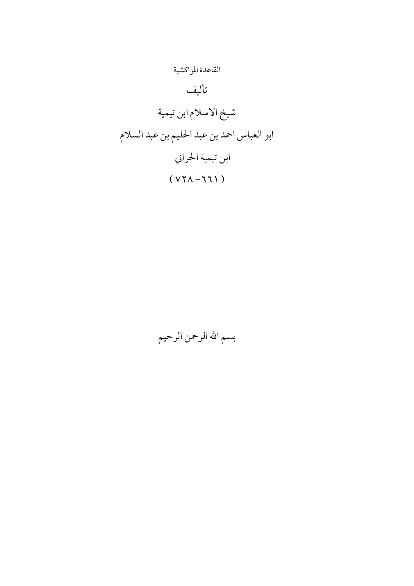

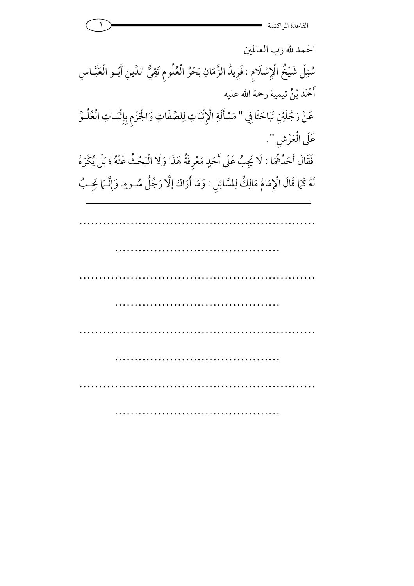

الحمد لله رب العالمين سُئِلَ شَيْخُ الْإِسْلَامِ : فَرِيدُ الزَّمَانِ بَحْرُ الْعُلُومِ تَقِيُّ الدِّينِ أَبُـو الْعَبَّـاسِ أَحْمَد بْنُ تيمية رحمة الله عليه عَنْ رَجُلَيْنِ تَبَاحَثَا فِي عَنْ رَجُلَيْنِ تَبَاحَثَا فِي " مَسْأَلَةِ الْإِثْبَاتِ لِلصِّفَاتِ وَالْجَزْمِ بِإِثْبَـاتِ الْعُلُـوِّ عَلَى الْعَرْشِ ". فَقَالَ أَحَدُهُمَا : لَا يَجِبُ عَلَى أَحَدٍ مَعْرِفَةُ هَذَا وَلَا الْبَ يَجِبُ عَلَى أَحَدٍ مَعْرِفَةٌ هَذَا وَلَا الْبَحْثُ عَنْهُ ؛ بَلْ يُكْرَهُ لَهُ كَمَا قَالَ الْإِمَامُ مَالِكٌ لِلسَّائِلِ : وَمَا أَرَاك إلَّا رَجُلُ سُـوءٍ وَمَا أَرَاك إِلَّا رَجُلُ سُـوءٍ. وَإِنَّـمَا يَجِـبُ .<br>.<br>.

…………………………………………………… …………………………………… …………………………………………………… ……………………………………………………………… …………………………………………………… …………………………………… …………………………………………………… …………………………………………………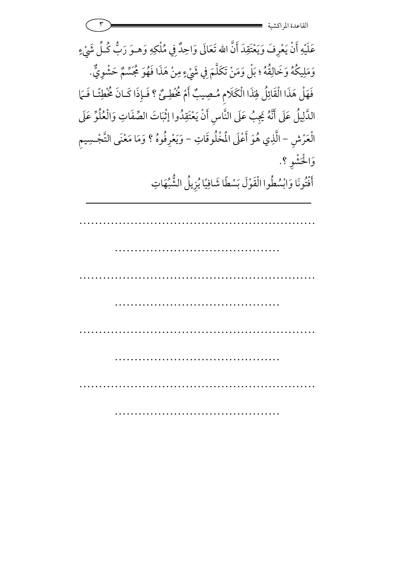| القاعدة المراك                                                                                                                                                                                               |
|--------------------------------------------------------------------------------------------------------------------------------------------------------------------------------------------------------------|
| عَلَيْهِ أَنْ يَعْرِفَ وَيَعْتَقِدَ أَنَّ الله تَعَالَى وَاحِدٌ فِي مُلْكِهِ وَهـوَ رَبُّ كُـلِّ شَيْءٍ<br>وَمَلِيكُهُ وَخَالِقُهُ ؛ بَلْ وَمَنْ تَكَلَّمَ فِي شَيْءٍ مِنْ هَذَا فَهُوَ مُجَسِّمٌ حَشْوِيٌّ. |
| فَهَلْ هَذَا الْقَائِلُ لِهَذَا الْكَلَامِ مُصِيبٌ أَمْ خُطِئٌ ؟ فَإِذَا كَـانَ خُطِئًـا فَـمَا<br>الذَّلِيلُ عَلَى أَنَّهُ يَجِبُ عَلَى النَّاسِ أَنْ يَعْتَقِدُوا إِثْبَاتَ الصِّفَاتِ وَالْعُلُوِّ عَلَى  |
| الْعَرْشِ – الَّذِي هُوَ أَعْلَى الْمُخْلُوقَاتِ – وَيَعْرِفُوهُ ؟ وَمَا مَعْنَى التَّجْسِيمِ<br>وَالْحَشْوِ ؟.                                                                                              |
| أَفْتُونَا وَابْسُطُوا الْقَوْلَ بَسْطًا شَافِيًا يُزِيلُ الشُّبْهَاتِ                                                                                                                                       |
|                                                                                                                                                                                                              |
|                                                                                                                                                                                                              |
|                                                                                                                                                                                                              |
|                                                                                                                                                                                                              |
|                                                                                                                                                                                                              |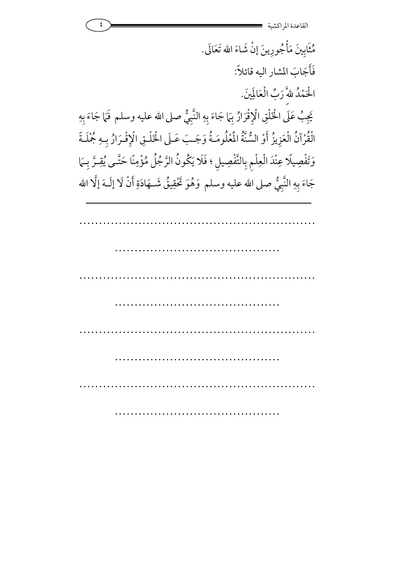٤ -القاعدة المراكشي مُثَابِينَ مَأْجُورِينَ إِنْ شَاءَ الله تَعَالَى. فَأجَابَ المشار اليه قائلاً: الْحَمْدُ للهَّ رَبِّ الْعَالَمِينَ. يَجِبُ عَلَى الْخَلْقِ الْإِقْرَارُ بِهَا جَاءَ بِهِ النَّبِيُّ يَجِبُ عَلَى الْخَلْقِ الْإِقْرَارُ بِهَا جَاءَ بِهِ النَّبِيُّ صلى الله عليه وسلم فَمَا جَاءَ بِهِ **غ** الْقُرْآنُ الْعَزِيزُ أَوْ السُّنَّةُ الْمُلْومَـةُ وَجَـبَ عَـلَى الْخَلْـقِ الْإِقْـرَارُ بِـهِ جُمْلَـةً وَتَفْصِيلًا عِنْدَ الْعِلْمِ بِالتَّفْصِيلِ ؛ فَلَا يَكُونُ الرَّجُلُ مُؤْمِنًا حَتَّـى يُقِـرَّ بِـهَا جَاءَ بِهِ النَّبِيُّ صلى الله عليه وسلم ۖ وَهُوَ تَحْقِيقُ شَــهَادَةِ أَنْ لَا إِلَــهَ إِلَّا الله

…………………………………………………… …………………………………… …………………………………………………… ………………………………………………………… …………………………………………………… …………………………………………………………… …………………………… ……………………………………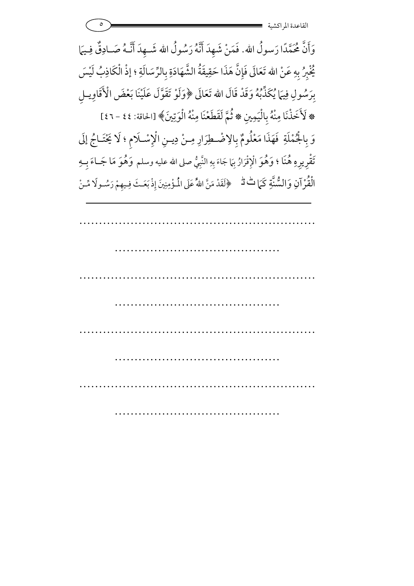٥ -القاعدة المراكشي …………………………………………………… وَأَنَّ مُحَمَّدًا رَسولُ الله. فَمَنْ شَهِدَ أَنَّهُ رَسُولُ الله شَــهِدَ أَنَّـهُ صَـادِقٌ فِـيَمَا كُّبِرُ بِهِ عَنْ الله تَعَالَى فَإِنَّ هَذَا حَقِيقَةُ الشَّهَادَةِ بِالرِّسَالَةِ ؛ إذْ الْكَاذِبُ لَيْسَ بِرَسُولِ فِيهَا يُكَذِّبُهُ وَقَدْ قَالَ الله تَعَالَى ﴿وَلَوْ تَقَوَّلَ عَلَيْنَا بَعْضَ الْأَقَاوِيـلِ \* لَأَخَذْنَا مِنْهُ بِالْيَمِينِ \* ثُمَّ لَقَطَعْنَا مِنْهُ الْوَتِينَ﴾ [الحاقة: ٤٤ - ٤٢] 7 وَ بِالْجُمْلَةِ فَهَذَا مَعْلُومٌ بِالِاضْطِرَارِ مِنْ دِيـنِ الْإِسْـلَامِ ؛ لَا يَحْتَـاجُ إِلَى تَقْرِيرِهِ هُنَا ؛ وَهُوَ الْإِقْرَازُ بِمَا جَاءَ بِهِ النَّبِيُّ صلى الله عليه وسلم وَهُوَ مَا جَــاءَ بِـهِ الْقُرْآنِ وَالسُّنَّةِ كَمَا 6 هُرْ آنِ وَالسُّنَّةِ كَمَا تُ لَّـ ﴿لَقَدْ مَنَّ اللّهُ عَلَى الْمُؤْمِنِينَ إِذْ بَعَـثَ فِـيهِمْ رَسُـولًا مِّـنْ

 …………………………………… …………………………………………………… …………………………………… …………………………………………………… ……………………………………

……………………………………………………

……………………………………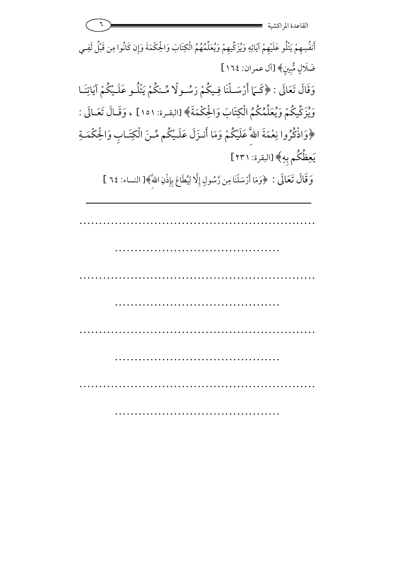| القاعدة المراكشية                                                                                                               |
|---------------------------------------------------------------------------------------------------------------------------------|
| أَنفُسِهِمْ يَتْلُو عَلَيْهِمْ آيَاتِهِ وَيُزَكِّيهِمْ وَيُعَلِّمُهُمُ الْكِتَابَ وَالْحِكْمَةَ وَإِن كَانُوا مِن قَبْلُ لَفِـي |
| ضَلَالٍ مُّبِينٍ﴾ [آل عمران: ١٦٤]                                                                                               |
| وَقَالَ تَعَالَى : ﴿كَـَمَا أَرْسَـلْنَا فِـيكُمْ رَسُـولًا مِّـنكُمْ يَتْلُـو عَلَـيْكُمْ آيَاتِنَـا                           |
| وَيْزَكِّيكُمْ وَيُعَلِّمُكُمُ الْكِتَابَ وَالْحِكْمَةَ﴾ [البقرة: ١٥١] ، وَقَـالَ تَعَـالَى :                                   |
| ﴿وَاذْكُرُوا نِعْمَةَ اللَّهَ عَلَيْكُمْ وَمَا أَنـزَلَ عَلَـيْكُم مِّـنَ الْكِتَـابِ وَالْحِكْمَـةِ                            |
| يَعِظُكُم بِهِ﴾ [البقرة: ٢٣١]                                                                                                   |
| وَقَالَ تَعَالَى : ﴿وَمَا أَرْسَلْنَا مِن رَّسُولٍ إِلَّا لِيُطَاعَ بِإِذْنِ اللَّهَ﴾[ النساء: ٢٤ ]                             |
|                                                                                                                                 |
|                                                                                                                                 |
|                                                                                                                                 |
|                                                                                                                                 |
|                                                                                                                                 |
|                                                                                                                                 |
|                                                                                                                                 |
|                                                                                                                                 |
|                                                                                                                                 |
|                                                                                                                                 |
|                                                                                                                                 |
|                                                                                                                                 |
|                                                                                                                                 |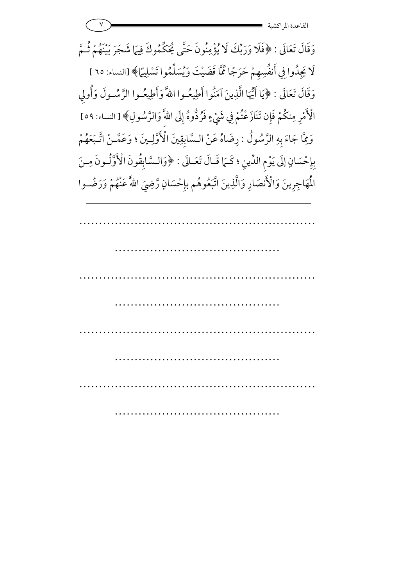٧ -القاعدة المراكشي …………………………………………………… …………………………………… …………………………………………………… وَقَالَ تَعَالَى : ﴿فَلَا وَرَبِّكَ لَا يُؤْمِنُونَ حَتَّى يُحَكِّمُوكَ فِيهَا شَجَرَ بَيْنَهُمْ ثُـمَّ لَا يَجِدُوا فِي أَنفُسِهِمْ حَرَجًا مِّمَّا قَضَيْتَ وَيُسَلِّمُوا تَسْلِيمًا﴾ [النساء: ٦٥ ] وَقَالَ تَعَالَى : ﴿يَا أَيُّهَا الَّذِينَ آمَنُوا أَطِيعُـوا اللَّهَ وَأَطِيعُـوا الرَّسُـولَ وَأُولِي الْأَمْرِ مِنكُمْ فَإِن تَنَازَعْتُمْ فِي شَيْءٍ فَرُدُّوهُ إِلَى اللّهَ ۖ وَالرَّسُولِ 7 لْأَمْرِ مِنكُمْ فَإِن تَنَازَعْتُمْ فِي شَيْءٍ فَرُدُّوهُ إِلَى اللّهَ وَالرَّسُولِ﴾ [ النساء: ٥٩] وَمِّاً جَاءَ بِهِ الرَّسُولُ : رِضَاهُ عَنْ السَّابِقِينَ الْأَوَّلِينَ ؛ وَعَمَّـنْ اتَّـبَعَهُمْ بِإِحْسَانٍ إِلَى يَوْمِ الدِّينِ ؛ كَـَمَا قَـالَ تَعَـالَى : ﴿وَالـسَّابِقُونَ الْأَوَّلُـونَ مِـنَ الْمَهَاجِرِينَ وَالْأَنصَارِ وَالَّذِينَ اتَّبَعُوهُم بِإِحْسَانٍ رَّضِيَ اللهُ عَنْهُمْ وَرَضُــوا

……………………………………

……………………………………………………

……………………………………

……………………………………………………

……………………………………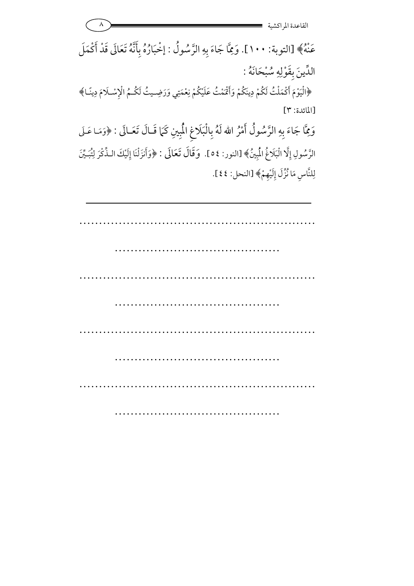<u>^</u> القاعدة المراكشي …………………………………………………… …………………………………… …………………………………………………… ……………………………………………………… …………………………………………………… …………………………………… عَنْهُ﴾ [التوبة: ١٠٠]. وَمِمَّا جَاءَ بِهِ الرَّسُولُ : إخْبَارُهُ بِأَنَّهُ تَعَالَى قَدْ أَكْمَلَ **1** الدِّينَ بِقَوْلِهِ سُبْحَانَهُ : ﴿الْيَوْمَ أَكْمَلْتُ لَكُمْ دِينَكُمْ وَأَقْمْتُ عَلَيْكُمْ نِعْمَتِي وَرَضِـيتُ لَكُـمُ الْإِسْـلَامَ دِينًـا﴾  $[$ المائدة: ٣] وَمِمَّا جَاءَ بِهِ الرَّسُولُ أَمْرُ الله لَهُ بِالْبَلَاغِ الْمُبِينِ كَمَا قَـالَ تَعَـالَى : ﴿وَمَـا عَـلَى الرَّسُولِ إِلَّا الْبَلَاغُ الْمُبِينُ﴾ [النور: ٥٤ ]. ۖ وَقَالَ تَعَالَى : ﴿وَأَنزَلْنَا إِلَيْكَ الـذِّكْرَ لِتُبَيِّنَ لِلنَّاسِ مَا نُزِّلَ إِلَيْهِمْ﴾ [النحل: ٤٤]. :

……………………………………………………

…………………………………………………………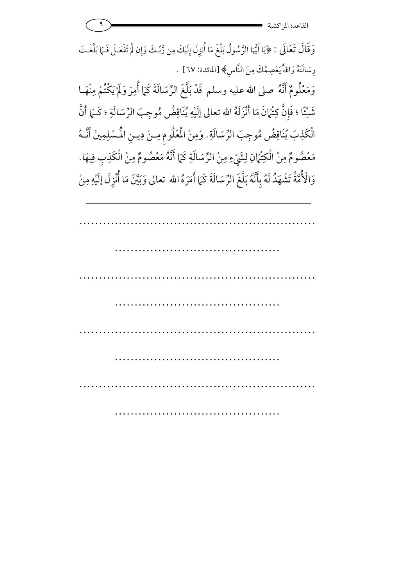وَقَالَ تَعَالَى : ﴿يَا أَيُّهَا الرَّسُولُ بَلِّغْ مَا أُنزِلَ إِلَيْكَ مِن رَّبِّكَ وَإِن لَّمْ تَفْعَـلْ فَـهَا بَلَّغْـتَ 7 رِسَالَتَهُ وَاللَّهُ يَعْصِمُكَ مِنَ النَّاسِ﴾ [المائدة: ٦٧] . وَمَعْلُومٌ أَنَّهُ صلى الله عليه وسلم قَدْ بَلَّغَ الرِّسَالَةَ كَمَا أُمِرَ وَلَمْ يَكْتُمْ مِنْهَـا 7 شَيْئًا ؛ فَإِنَّ كِتْهَانَ مَا أَنْزَلَهُ الله تعالى إلَيْهِ يُنَاقِضُ مُوجِبَ الرِّسَالَةِ ؛ كَـهَا أَنَّ الْكَذِبَ يُنَاقِضُ مُوجِبَ الرِّسَالَةِ. وَمِنْ الْمُعْلُومِ مِـنْ دِيـنِ الْمُسْلِمِينَ أَنَّـهُ **⁄** 

مَعْصُومٌ مِنْ الْكِتْهَانِ لِشَيْءِ مِنْ الرِّسَالَةِ كَمَا أَنَّهُ مَعْصُومٌ مِنْ الْكَذِبِ فِيهَا. 7 وَالْأُمَّةُ تَشْهَدُ لَهُ بِأَنَّهُ بَلَّغَ الرِّسَالَةَ كَمَا أَمَرَهُ الله تعالى وَبَيَّنَ مَا أُنْزِلَ إلَيْهِ مِنْ .<br>د .<br>ا

…………………………………………………… …………………………………… …………………………………………………… ……………………………………………………… …………………………………………………… …………………………………… …………………………………………………… ………………………………………………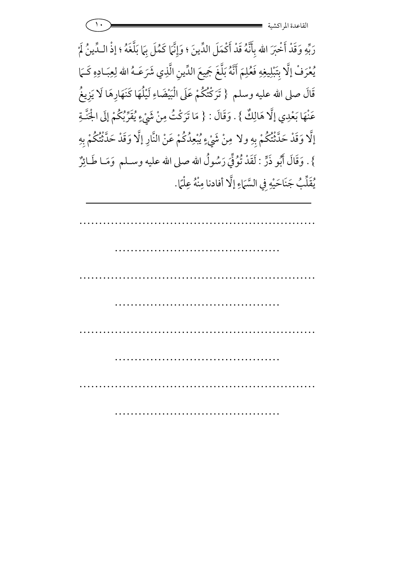رَبِّهِ وَقَدْ أَخْبَرَ الله بِأَنَّهُ قَدْ أَكْمَلَ الدِّينَ ؛ وَإِنَّمَا كَمُلَ بِمَا بَلَّغَهُ ؛ إذْ الـدِّينُ لَمْ ;<br> 7 يُعْرَفْ إِلَّا بِتَبْلِيغِهِ فَعُلِمَ أَنَّهُ بَلَّغَ جَمِيعَ الدِّينِ الَّذِي شَرَعَـهُ الله لِعِبَـادِهِ كَـمَا قَالَ صلى الله عليه وسلم { تَرَكْتُكُمْ عَلَى الْبَيْضَاءِ لَيْلُهَا كَنَهَارِهَا لَا يَزِيغُ عَنْهَا بَعْدِي إِلَّا هَالِكٌ } . وَقَالَ : { مَا تَرَكْتُ مِنْ شَيْءٍ يُقَرِّبُكُمْ إِلَى الْجَنَّـةِ 7 إلَّا وَقَدْ حَدَّثْتُكُمْ بِهِ ولا مِنْ شَيْءٍ يُبْعِدُكُمْ عَنْ النَّارِ إلَّا وَقَدْ حَدَّثْتُكُمْ بِهِ 7 7 شة<br>لغ } . وَقَالَ أَبُو ذَرٍّ : لَقَدْ تُوْفِّيَ رَسُولُ الله صلى الله عليه وسـلم وَمَـا طَـائِرٌ يُقَلِّبُ جَنَاحَيْهِ فِي السَّمَاءِ إِلَّا  $\ddot{\phantom{1}}$ يُقَلِّبُ جَنَاحَيْهِ فِي السَّمَاءِ إِلَّا أفادنا مِنْهُ عِلْمًا  $\overline{a}$ مِنْهُ عِلْمًا.

…………………………………………………… …………………………………… …………………………………………………… …………………………………… …………………………………………………… …………………………………………… …………………………………………………… ……………………………………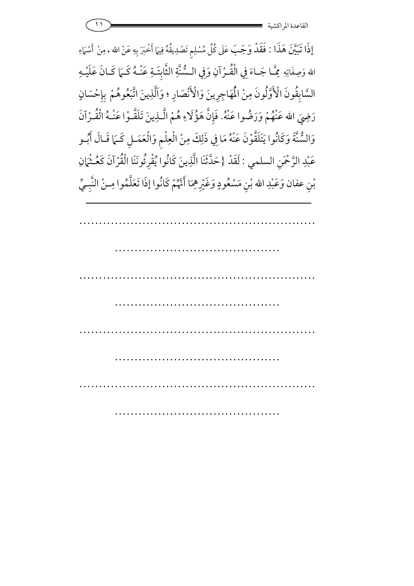|  | $\bullet$<br>. .  |
|--|-------------------|
|  | القاعدة المراكشية |

إِذَا تَبَيَّنَ هَذَا : فَقَدْ وَجَبَ عَلَى كُلِّ مُسْلِمٍ تَصْدِيقُهُ فِيهَا أَخْبَرَ بِهِ عَنْ الله ، مِنْ أَسْهَاءِ ;<br><br>; مِنْ أَسْهَ 7 الله وَصِفَاتِهِ مِمَّــا جَــاءَ فِي الْفُــرْآ مِّـَا جَـاءَ فِي الْقُـرْآنِ وَفِي الـسُّنَّةِ الثَّابِتَـةِ عَنْـهُ كَـمَا كَـانَ عَلَيْـهِ السَّابِقُونَ الْأَوَّلُونَ مِنْ الْمُهَاجِرِينَ وَالْأَنْصَارِ ؛ وَاَلَّذِينَ اتَّبَعُوهُمْ بِإِحْسَانٍ رَضِيَ الله عَنْهُمْ وَرَضُوا عَنْهُ. فَإِنَّ هَؤُلَاءِ هُمْ الَّـذِينَ تَلَقَّـوْا عَنْـهُ الْقُـرْآنَ ر<br>( 7 وَالسُّنَّةَ وَكَانُوا يَتَلَقَّوْنَ عَنْهُ مَا فِي ذَلِكَ مِنْ الْعِلْمِ وَالْعَمَـلِ كَـمَا قَـالَ أَبُـو عَبْدِ الرَّحْمَنِ السلمي لِ الرَّحْمَنِ السلمي : لَقَدْ {حَدَّثَنَا الَّذِينَ كَانُوا يُقْرِئُونَنَا الْقُرْآنَ كَعُـثْمَانِ 7 بْنِ عفان وَعَبْدِ الله بْنِ مَسْعُودٍ وَغَيْرِهِمَا أَنَّهُمْ كَانُوا إذَا تَعَلَّمُوا مِـنْ النَّبِـيِّ 6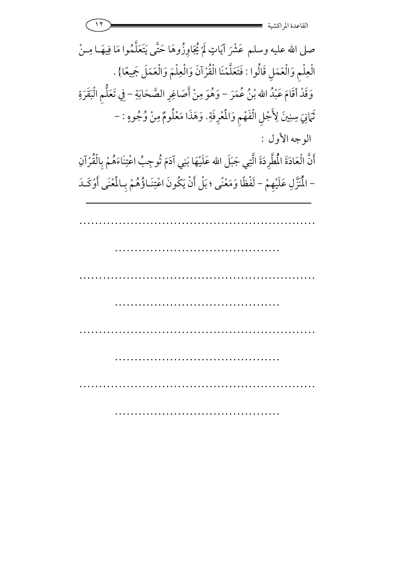11 **- 2008 - 2008 - 2008 - 2008 - 2008 - 2008 - 2008 - 2008 - 2008 - 2008 - 2008 - 2008 - 2008 - 200** القاعدة المراكشي

…………………………………………………… …………………………………… …………………………………………………… ……………………………………………………… …………………………………………………… …………………………………………………………… ………… ………………………………… صلى الله عليه وسلم عَشْرَ آيَاتٍ لَمْ يُجَاوِزُوهَا حَتَّى يَتَعَلَّمُوا مَا فِيهَــا مِــنْ الْعِلْمِ وَالْعَمَلِ قَالُوا : فَتَعَلَّمْنَا الْقُرْآنَ وَالْعِلْمَ وَالْعَمَلَ جَمِيعًا} . وَقَدْ أَقَامَ عَبْدُ الله بْنُ عُمَرَ – وَهُوَ مِنْ أَصَاغِرِ الصَّحَابَةِ – فِي تَعَلُّمِ الْبَقَرَةِ فِي تَعَلَّمِ الْبَقَرَ ثَمَانِيَ سِنِينَ لِأَجْلِ الْفَهْمِ وَالْمُرْفَةِ :<br>د تَمَانِيَ سِنِينَ لِأَجْلِ الْفَهْمِ وَالْمُعْرِفَةِ. وَهَذَا مَعْلُومٌ مِنْ وُجُوهِ : -الوجه الأول : أَنَّ الْعَادَةَ الْمُطَّرِدَةَ الَّتِي جَبَلَ الله عَلَيْهَا بَنِي آدَمَ تُوجِبُ اعْتِنَاءَهُمْ بِالْقُرْآنِ لَيْهَا بَنِي آدَمَ تُوجِبُ اعْتِنَاءَهُمْ بِالْقَرْ .<br>نه \_ آدَمَ نُو حبُ اعْدَ عَلَيْهَا بَنِي آدَمَ تُوجِبُ اءْ – الْمُتَزَّلِ عَلَيْهِمْ – لَفْظًا وَمَعْنًى ؛ بَلْ أَنْ يَكُونَ اعْتِنَـاؤُهُمْ بِـالْمُنْى أَوْكَـدَ :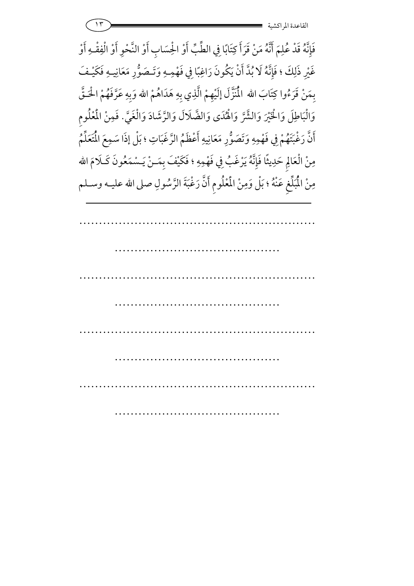$\sum_{i=1}^{n}$  if  $\sum_{i=1}^{n}$  and  $\sum_{i=1}^{n}$  and  $\sum_{i=1}^{n}$  and  $\sum_{i=1}^{n}$  and  $\sum_{i=1}^{n}$  and  $\sum_{i=1}^{n}$  and  $\sum_{i=1}^{n}$  and  $\sum_{i=1}^{n}$  and  $\sum_{i=1}^{n}$  and  $\sum_{i=1}^{n}$  and  $\sum_{i=1}^{n}$  and  $\sum_{i=1}^{n}$  and القاعدة المراكشي

فَإِنَّهُ قَدْ عُلِمَ أَنَّهُ مَنْ قَرَأَ كِتَابًا فِي الطِّبِّ أَوْ الْحِسَابِ أَوْ النَّحْوِ أَوْ الْفِقْـهِ أَوْ غَيْرِ ذَلِكَ ؛ فَإِنَّهُ لَا بُدَّ أَنْ يَكُونَ رَاغِبًا فِي فَهْمِـهِ وَتَـصَوُّرِ مَعَانِيـهِ فَكَيْـفَ بِمَنْ قَرَءُوا كِتَابَ الله الْمُنَزَّلَ إلَيْهِمْ الَّذِي بِهِ هَدَاهُمْ الله وَبِهِ عَرَّفَهُمْ الْحَـقَّ <u>ا</u> وَالْبَاطِلَ وَالْخَيْرَ وَالشَّرَّ وَالْهُدَى وَالضَّلَالَ وَالرَّشَادَ وَالْغَيَّ. فَمِنْ الْمُلُومِ **1** أَنَّ رَغْبَتَهُمْ فِي فَهْمِهِ وَتَصَوُّرِ مَعَانِيهِ أَعْظَمُ الرَّغَبَاتِ ؛ بَلْ إذَا سَمِعَ الْمَتَعَلِّمُ مِنْ الْعَالِمِ حَدِيثًا فَإِنَّهُ يَرْغَبُ فِي فَهْمِهِ ؛ فَكَيْفَ بِمَـنْ يَـسْمَعُونَ كَـلَامَ الله <u>;</u> مِنْ الْمُبَلِّغِ عَنْهُ ؛ بَلْ وَمِنْ الْمُعْلُومِ أَنَّ رَغْبَةَ الرَّسُولِ صلى الله عليـه وسـلم

…………………………………………………… …………………………………… …………………………………………………… …………………………………… …………………………………………………… …………………………………… …………………………………………………… ……………………………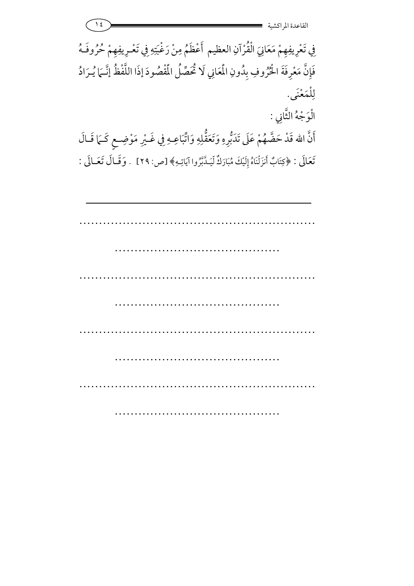$\frac{12}{15}$  =  $\frac{1}{15}$  =  $\frac{1}{15}$  =  $\frac{1}{15}$  =  $\frac{1}{15}$  =  $\frac{1}{15}$  =  $\frac{1}{15}$  =  $\frac{1}{15}$  =  $\frac{1}{15}$  =  $\frac{1}{15}$  =  $\frac{1}{15}$  =  $\frac{1}{15}$  =  $\frac{1}{15}$  =  $\frac{1}{15}$  =  $\frac{1}{15}$  =  $\frac{1}{15}$  =  $\frac{1}{15}$  = القاعدة المراكشي

فِي تَعْرِيفِهِمْ مَعَانِيَ الْقُرْآنِ فِي تَعْرِيفِهِمْ مَعَانِيَ الْقُرْآنِ العظيم أَعْظَمُ مِنْ رَغْبَتِهِ فِي تَعْرِيفِهِمْ حُرُوفَهُ فَإِنَّ مَعْرِفَةَ الْحُرُوفِ بِدُونِ الْمَعَانِي لَا تُحَصِّلُ الْمُقْصُودَ إذَا اللَّفْظُ إِنَّـمَا يُـرَادُ لِلْمَعْنَى.  $\overline{a}$ الْوَجْهُ الثَّانِي : أَنَّ الله قَدْ حَضَّهُمْ عَلَى تَدَبُّرِهِ وَتَعَقُّلِهِ وَاتَّبَاعِـهِ فِي غَــيْرِ مَوْضِـعٍ كَــَمَا قَــالَ

تَعَالَى : ﴿كِتَابٌ أَنزَلْنَاهُ إِلَيْكَ مُبَارَكٌ لِّيَدَّبَّرُوا آيَاتِهِ﴾ [ص: ٢٩] . وَقَـالَ تَعَـالَى :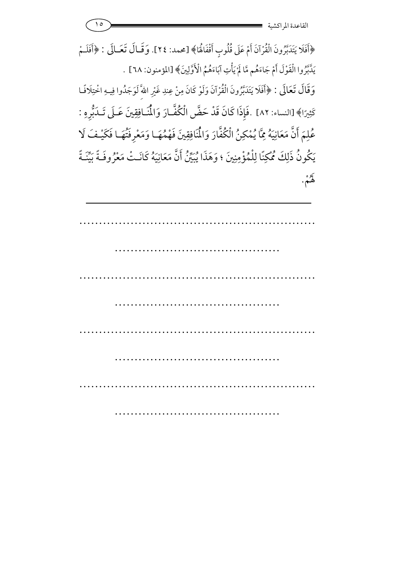﴿أَفَلَا يَتَدَبَّرُونَ الْقُرْآنَ أَمْ عَلَى قُلُوبٍ أَقْفَاهُا﴾ [محمد: ٢٤]. وَقــال تَعَــالَى : ﴿أَفَلَــمْ يَدَّبَّرُوا الْقَوْلَ أَمْ جَاءَهُم مَّا لَمْ يَأْتِ آبَاءَهُمُ الْأَوَّلِينَ﴾ [المؤمنون: ٦٨] . آ 7 وَقَالَ تَعَالَى : ﴿أَفَلَا يَتَدَبَّرُونَ الْقُرْآنَ وَلَوْ كَانَ مِنْ عِندِ غَيْرِ اللّهِ ّلَوَجَدُوا فِيهِ اخْتِلَافًـا كَثِيرًا﴾ [النساء: ٨٢] .فَإِذَا كَانَ قَدْ حَضَّ الْكُفَّـارَ وَالْمُنَـافِقِينَ عَـلَى تَـدَبُّرِهِ : عُلِمَ أَنَّ مَعَانِيَهُ مِمَّا يُمْكِنُ الْكُفَّارَ وَالْمُنَافِقِينَ فَهْمُهَـا وَمَعْرِفَتُهَـا فَكَيْـفَ لَا لِمَ أَنَّ مَعَانِيَهُ مِمَّا يُمْكِنُ الْكُفَّارَ وَالْمُنَافِقِ يَكُونُ ذَلِكَ مُحْكِنًا لِلْمُؤْمِنِينَ ؛ وَهَذَا يُبَيِّنُ أَنَّ مَعَانِيَهُ كَانَـتْ مَعْرُوفَـةً بَيِّنَـةً لهُمْ.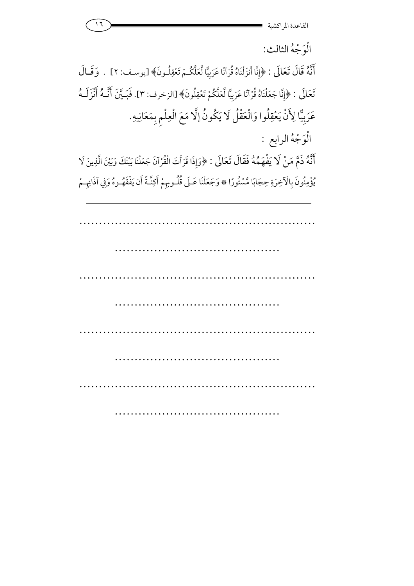

الوَجْهُ الثالث:

أَنَّهُ قَالَ تَعَالَى : ﴿إِنَّا أَنزَلْنَاهُ قُرْآنًا عَرَبِيًّا لَّعَلَّكُمْ تَعْقِلُونَ﴾ [يوسف: ٢] . وَقَـالَ تَعَالَى : ﴿إِنَّا جَعَلْنَاهُ قُرْآنًا عَرَبِيًّا لَّعَلَّكُمْ تَعْقِلُونَ﴾ [الزخرف: ٣]. فَبَـيَّنَ أَنَّـهُ أَنْزَلَـهُ عَرَبِيًّا لِأَنْ يَعْقِلُوا وَالْعَقْلُ لَا يَكُونُ إلَّا مَعَ الْعِلْمِ بِمَعَانِيهِ.

الوَجْهُ الرابع :

أَنَّهُ ذَمَّ مَنْ لَا يَفْهَمُهُ فَقَالَ تَعَالَى : ﴿وَإِذَا قَرَأْتَ الْقُرْآنَ جَعَلْنَا بَيْنَكَ وَبَيْنَ الَّذِينَ لَا يُؤْمِنُونَ بِالْآخِرَةِ حِجَابًا مَّسْتُورًا ۞ وَجَعَلْنَا عَـلَى قُلُـوبِهِمْ أَكِنَّـةً أَن يَفْقَهُـوهُ وَفِي آذَانِهِـمْ 7

…………………………………………………… …………………………………… …………………………………………………… ……………………………………………………………… …………………………………………………… …………………………………… …………………………………………………… ……………………………………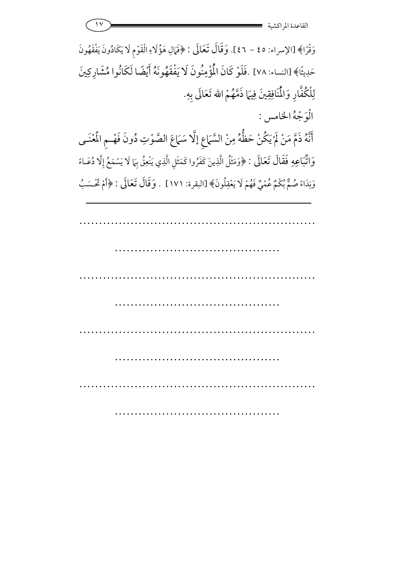وَقْرًا﴾ [الإسراء: ٤٥ - ٤٢]. وَقَالَ تَعَالَى : ﴿فَمَالِ هَؤُلَاءِ الْقَوْمِ لَا يَكَادُونَ يَفْقَهُونَ حَدِيثًا﴾ [النساء: ٧٨] .فَلَوْ كَانَ الْمُؤْمِنُونَ لَا يَفْقَهُونَهُ أَيْضًا لَكَانُوا مُشَارِكِينَ لِلْكُفَّارِ وَالْمُنَافِقِينَ فِيهَا ذَمَّهُمْ الله تَعَالَى بِهِ. الوَجْهُ الخامس :

أَنَّهُ ذَمَّ مَنْ لَمْ يَكُنْ حَظُّهُ مِنْ السَّمَاعِ إلَّا سَمَاعَ الصَّوْتِ دُونَ فَهْــمِ الْمُغْنَـى 7 وَاتِّبَاعِهِ فَقَالَ تَعَالَى : ﴿وَمَثَلُ الَّذِينَ كَفَرُوا كَمَثَلِ الَّذِي يَنْعِقُ بِهَا لَا يَسْمَعُ إِلَّا دُعَـاءً وَنِدَاءً صُمٌّ بُكُمٌ عُمْيٌ فَهُمْ لَا يَعْقِلُونَ﴾ [البقرة: ١٧١] . وَقَالَ تَعَالَى : ﴿أَمْ تَحْسَبُ 7

…………………………………………………… …………………………………… …………………………………………………… ……………………………………………………… …………………………………………………… …………………………………… …………………………………………………… ………………………………………………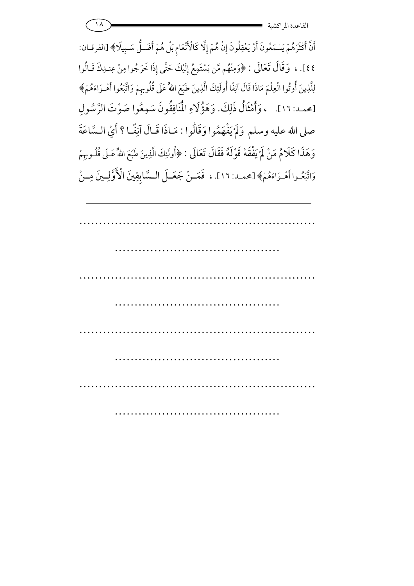11 - Andrea Andrew American Studies of the Second Studies of the Second Studies of the Second Studies of the S القاعدة المراكشي

أَنَّ أَكْثَرَهُمْ يَسْمَعُونَ أَوْ يَعْقِلُونَ إِنْ هُمْ إِلَّا كَالْأَنْعَامِ بَلْ هُمْ أَضَـلُّ سَـبِيلًا﴾ [الفرقـان: ٤٤]. ، وَقَالَ تَعَالَى : ﴿وَمِنْهُم مَّن يَسْتَمِعُ إِلَيْكَ حَتَّى إِذَا خَرَجُوا مِنْ عِنـٰدِكَ قَـالُوا لِلَّذِينَ أُوتُوا الْعِلْمَ مَاذَا قَالَ آنِفًا أُولَئِكَ الَّذِينَ طَبَعَ اللّهُ عَلَى قُلُوبِهِمْ وَاتَّبَعُوا أَهْـوَاءَهُمْ﴾ [محمد: ١٦]. ، وَأَمْثَالُ ذَلِكَ. وَهَؤُلَاءِ الْمُنَافِقُونَ سَمِعُوا صَوْتَ الرَّسُولِ  $\overline{a}$ صلى الله عليه وسلم وَلَمْ يَفْهَمُوا وَقَالُوا : مَـاذَا قَـالَ آنِفًـا ؟ أَيْ الـسَّاعَةَ وَهَذَا كَلَامُ مَنْ لَمْ يَفْقَهْ قَوْلَهُ فَقَالَ تَعَالَى : ﴿أُولَئِكَ الَّذِينَ طَبَعَ اللَّهُ عَـلَى قُلُـوبِهِمْ 7 وَاتَّبَعُـوا أَهْـوَاءَهُمْ﴾ [محمـد: ١٦]. ، فَعَــنْ جَعَــلَ الـسَّابِقِينَ الْأَوَّلِــينَ مِــنْ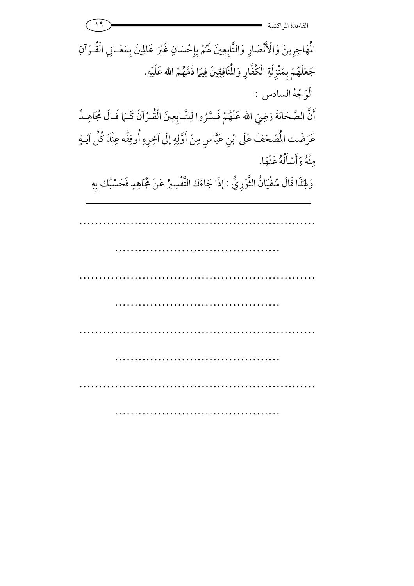| $\rightarrow$<br>القاعدة المراكش                                                                          |
|-----------------------------------------------------------------------------------------------------------|
| الْمَهَاجِرِينَ وَالْأَنْصَارِ وَالتَّابِعِينَ لَهُمْ بِإِحْسَانٍ غَيْرَ عَالِينَ بِمَعَـانِي الْقُـرْآنِ |
| جَعَلَهُمْ بِمَنْزِلَةِ الْكُفَّارِ وَالْمُنَافِقِينَ فِيهَا ذَمَّهُمْ الله عَلَيْهِ.                     |
| الْوَجْهُ السادس :                                                                                        |
| أَنَّ الصَّحَابَةَ رَضِيَ الله عَنْهُمْ فَسَّرُوا لِلتَّـابِعِينَ الْقُـرْآنَ كَـمَا قَـالَ مُجَاهِـدٌ    |
| عَرَضْت الْمُصْحَفَ عَلَى ابْنِ عَبَّاسٍ مِنْ أَوَّلِهِ إلَى آخِرِهِ أُوقِفُه عِنْدَ كُلِّ آيَـةٍ         |
| وْنُهُ وَأَسْأَلُهُ عَنْهَا.                                                                              |
| وَلِهَذَا قَالَ سُفْيَانُ الثَّوْرِيُّ : إذَا جَاءَك التَّفْسِيرُ عَنْ مُجَاهِدٍ فَحَسْبُك بِهِ           |
|                                                                                                           |
|                                                                                                           |
|                                                                                                           |
|                                                                                                           |
|                                                                                                           |
|                                                                                                           |
|                                                                                                           |
|                                                                                                           |
|                                                                                                           |
|                                                                                                           |
|                                                                                                           |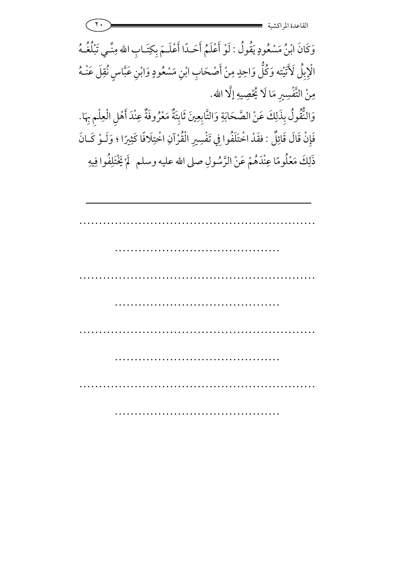<u>۲۰ - The Communication and The Communication and The Communication and The Communication and The Communication</u> القاعدة المراكشي وَكَانَ ابْنُ مَسْعُودٍ يَقُولُ : لَوْ أَعْلَمُ أَحَـدًا أَعْلَـمَ بِكِتَـابِ الله مِنِّـي تَبْلُغُـهُ الْإِبِلُ لَأَتَيْته وَكُلُّ وَاحِدٍ مِنْ أَصْحَابِ ابْنِ مَسْعُودٍ وَابْنِ عَبَّاسٍ نُقِلَ عَنْـهُ مِنْ التَّفْسِيرِ مَا لَا يُحْصِيهِ إلَّا 7 نْ التَّفْسِيرِ مَا لَا يُحْصِيهِ إلَّا الله. وَالنُّقُولُ بِذَلِكَ عَنْ الصَّحَابَةِ وَالتَّابِعِينَ ثَابِتَةٌ مَعْرُوفَةٌ عِنْدَ أَهْلِ الْعِلْمِ بِهَا. a<br>1 7 فَإِنْ قَالَ قَائِلٌ : فقَدْ اخْتَلَفُوا فِي تَفْسِيرِ الْقُرْآنِ اخْتِلَافًا كَثِيرًا ؛ وَلَـوْ كَـانَ لْ اخْتَلَفُوا فِي تَفْسِيرِ الْقُرْآنِ اخْتِلَافًا كَثِ <u>;</u> ذَلِكَ مَعْلُومًا عِنْدَهُمْ عَنْ الرَّسُولِ صلى الله عليه وسلم ۖ لَمْ يَخْتَلِفُوا فِيهِ 7 6

…………………………………………………… …………………………………… …………………………………………………… ……………………………………………………… …………………………………………………… …………………………………… …………………………………………………… ……………………………………………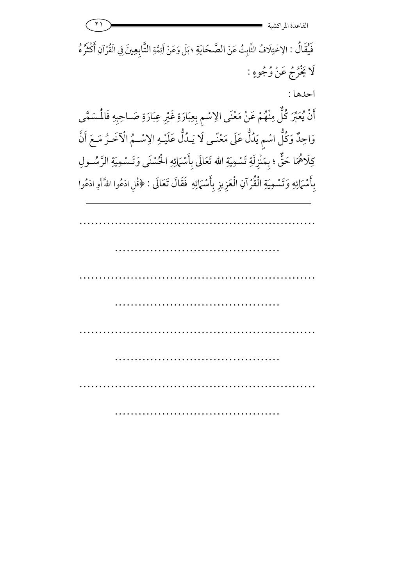11 **- 2008 - 2008 - 2008 - 2008 - 2008 - 2008 - 2008 - 2008 - 2008 - 2008 - 2008 - 2008 - 2008 - 200**<br>2008 - 2008 - 2008 - 2008 - 2008 - 2008 - 2008 - 2008 - 2008 - 2008 - 2008 - 2008 - 2008 - 2008 - 2008 - 2008 القاعدة المراكشي …………………………………………………… ………………………………………………………… …………………………………………………… ……………………………………………………… …………………………………………………… …………………………………… ………… فَيْقَالُ : الِاخْتِلَافُ الثَّابِتُ عَنْ الصَّحَابَةِ مَّحَابَةِ ؛ بَلْ وَعَنْ أَئِمَّةِ التَّابِعِينَ فِي الْقُرْآنِ أَكْثَرُهُ ; لَا يَخْرُجُ عَنْ وُجُوهٍ : احدها : أَنْ يُعَبِّرَ كُلُّ مِنْهُمْ عَنْ مَعْنَى الِاسْمِ بِعِبَارَةِ غَيْرِ عِبَارَةِ صَـاحِبِهِ فَالْمُسَمَّى وَاحِدٌ وَاحِدٌ وَكُلُّ اسْمٍ يَدُلُّ عَلَى مَعْنًـى لَا يَـدُلُّ عَلَيْـهِ الِاسْــمُ الْآخَـرُ مَـعَ أَنَّ كِلَاهُمَا حَقٌّ ؛ بِمَنْزِلَةِ تَسْمِيَةِ الله تَعَالَى بِأَسْمَائِهِ الْحُسْنَى وَتَـسْمِيَةِ الرَّسُـولِ بِأَسْمَائِهِ وَتَسْمِيَةِ الْقُرْآنِ الْعَزِيزِ بِأَسْمَائِهِ ۖ فَقَالَ تَعَالَى : ﴿قُلِ ادْعُوا اللَّهَ أَوِ ادْعُوا

………………………………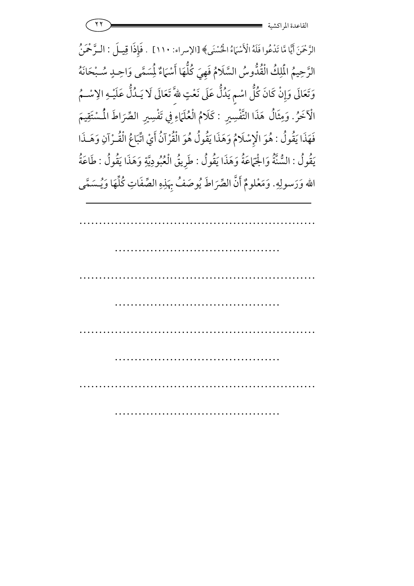الرَّحْمَنَ أَيًّا مَّا تَدْعُوا فَلَهُ الْأَسْبَاءُ اخْسُنَى﴾ [الإسراء: ١١٠] . فَإِذَا قِيـلَ : الـرَّحْمَنُ الرَّحِيمُ الْمَلِكُ الْقُذُّوسُ السَّلَامُ فَهِيَ كُلُّهَا أَسْمَاءٌ لِمُسَمَّى وَاحِـدٍ سُـبْحَانَهُ وَتَعَالَى وَإِنْ كَانَ كُلُّ اسْمٍ يَدُلُّ عَلَى نَعْتٍ للهِّ تَعَالَى لَا يَـدُلُّ عَلَيْـهِ الِاسْـمُ الْآخَرُ. وَمِثَالُ وَمِثَالُ هَذَا التَّفْسِيرِ : كَلَامُ الْعُلَمَاءِ فِي تَفْسِيرِ مُ الْعُلَمَاءِ فِي تَفْسِيرِ الصِّرَاطَ المُسْتَقِيمَ فَهَذَا يَقُولُ : هُوَ الْإِسْلَامُ وَهَذَا يَقُولُ هُوَ الْقُرْآنُ أَيْ اتِّبَاعُ الْقُـرْآنِ وَهَـذَا يَقُولُ : السُّنَّةُ وَاجْمَاعَةُ وَهَذَا يَقُولُ : طَرِيقُ الْعُبُودِيَّةِ وَهَذَا يَقُولُ : طَاعَةُ الله وَرَسولِهِ. وَمَعْلومٌ أَنَّ الصِّرَاطَ يُوصَفُ بِهَذِهِ الصِّفَاتِ كُلِّهَا وَيُـسَمَّى

…………………………………………………… …………………………………… …………………………………………………… …………………………………… …………………………………………………… …………………………………… …………………………………………………… ……………………………………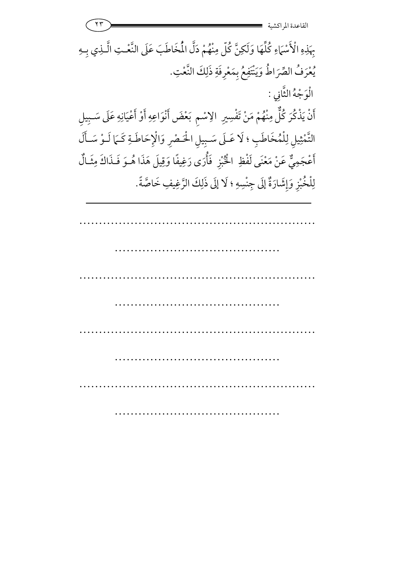٢٣ -القاعدة المراكشي بِهَذِهِ الْأَسْهَاءِ كُلِّهَا وَلَكِنَّ كُلّ مِنْهُمْ دَلَّ الْمُخَاطَبَ عَلَى النَّعْـتِ الَّـذِي بِـهِ 7 يُعْرَفُ الصِّرَاطُ وَيَنْتَفِعُ بِمَعْرِفَةِ ذَلِكَ النَّعْتِ. الْوَجْهُ الثَّانِي : أَنْ يَذْكُرَ كُلُّ مِنْهُمْ مَنْ تَفْسِيرِ الإسْمِ بَعْضَ أَنْوَاعِهِ أَوْ أَعْيَانِهِ عَلَى سَـبِيلِ **م** .<br>د التَّمْثِيلِ لِلْمُخَاطَبِ ؛ لَا عَـلَى سَـبِيلِ الْحَـصْرِ وَالْإِحَاطَـةِ كَـمَا لَـوْ سَـأَلَ أَعْجَمِيٌّ عْجَمِيٌّ عَنْ مَعْنَى لَفْظِ الْخُبْزِ ;<br>A عَنْ مَعْنَى لَفْظِ ِ الْخُبْزِ ۚ فَأَرَى رَغِيفًا وَقِيلَ هَذَا هُــوَ فَـذَاكَ مِثَـالٌ لِلْخُبْزِ وَإِشَارَةٌ إِلَى جِنْسِهِ ؛ لَا إِلَى ذَلِكَ الرَّغِيفِ خَاصَّةً.

…………………………………………………… …………………………………… …………………………………………………… ……………………………………………………… …………………………………………………… …………………………………… …………………………………………………… …………………………………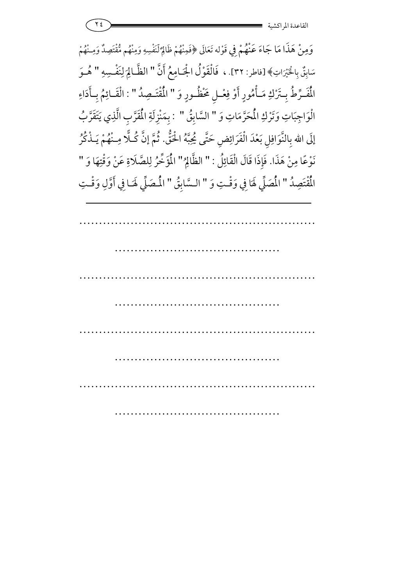|  | القاعدة المو |
|--|--------------|
|  | ِ اکسیه      |

وَمِنْ هَذَا مَا جَاءَ عَنْهُمْ فِي قَوْله تَعَالَى ﴿فَمِنْهُمْ ظَالِمٌ لّنَفْسِهِ وَمِنْهُم مُّقْتَصِدٌ وَمِـنْهُمْ سَابِقٌّ بِالْخَيْرَاتِ﴾[فاطر: ٣٢]. ، فَالْقَوْلُ الْجَامِعُ أَنَّ " الظَّالِمَ لِنَفْسِهِ <u>ا</u> ;<br>4  $\overline{6}$ لِمَفْسِهِ "هُوَ الْمُفَرِّطُ بِتَرْكِ مَـأْمُورٍ أَوْ فِعْـلِ مَخْظُـورٍ وَ " الْمُقْتَـصِدُ " : الْقَـائِمُ بِـأَدَاءِ لْقَـائِمُ بِـأَدَ الْوَاجِبَاتِ وَتَرْكِ الْمُحَرَّمَاتِ وَ " السَّابِقُ " : بِمَنْزِلَةِ الْمُقَرَّبِ الَّذِي يَتَقَرَّبُ إِلَى الله بِالنَّوَافِلِ بَعْدَ الْفَرَائِضِ حَتَّى يُحِبَّهُ الْحَقُّ. ثُمَّ إِنَّ كُـلَّا مِـنْهُمْ يَـذْكُرُ نَوْعًا مِنْ هَذَا. فَإِذَا قَالَ الْقَائِلُ : " الظَّالِمُ لَّالِمُ" الْمُؤَخِّرُ لِلصَّلَاةِ عَنْ وَقْتِهَا وَ " الْمُقْتَصِدُ " الْمَصَلِّ لَهَا فِي وَقْتِ وَ ;<br>0 لُصَلِّي هَا فِي وَقْتِ وَ " السَّابِقُ " الْمُصَلِّي لَهَـا فِي أَوَّلِ وَقْتِ ;<br>0 ً لَهَـا فِي أَوَّلِ وَ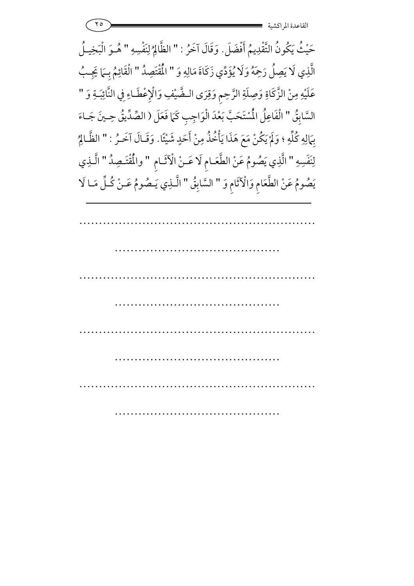حَيْثُ يَكُونُ التَّقْدِيمُ أَفْضَلَ حَيْثُ يَكُونُ التَّقْدِيمُ أَفْضَلَ. وَقَالَ آخَرُ : " الظَّالِمُ لِنَفْسِهِ إ لِنَفْسِهِ " هُـوَ الْبَخِيلُ هــوَ الدِّ الَّذِي لَا يَصِلُ رَحِمَهُ وَلَا يُؤَدِّي زَكَاةَ مَالِهِ وَ " الْمُقْتَصِدُ " الْقَائِمُ بِـهَا يَجِـبُ عَلَيْهِ مِنْ الزَّكَاةِ وَصِلَةِ الرَّحِمِ وَقِرَى الـضَّيْفِ وَالْإِعْطَاءِ فِي النَّائِبَـةِ وَ " السَّابِقُ " الْفَاعِلُ الْمُسْتَحَبَّ بَعْدَ الْوَاجِبِ كَمَا فَعَلَ ( الصِّدِّيقُ حِـينَ جَـاءَ بِهَالِهِ كُلِّهِ ؛ وَلَمْ يَكُنْ مَعَ هَذَا يَأْخُذُ مِنْ أَحَدٍ شَيْئًا. وَقَـالَ آخَـرُ : " الظَّـالِمُ 7 ٿَـالِا لِنَفَسِهِ " الَّذِي يَصُومُ عَنْ لَّذِي يَصُومُ عَنْ الطَّعَـامِ لَا عَـنْ الْآثَـامِ " والمُقْتَـصِدُ " الَّـذِي يَصُومُ عَنْ الطَّعَامِ وَالْآثَامِ وَ " السَّابِقُ " الَّــٰذِي يَـصُومُ عَــنْ كُـلِّ مَـا لَا ۖ 5

…………………………………………………… …………………………………………………………… …………………………………………………… …………………………………… …………………………………………………… …………………………………… …………………………………………………… ……………………………………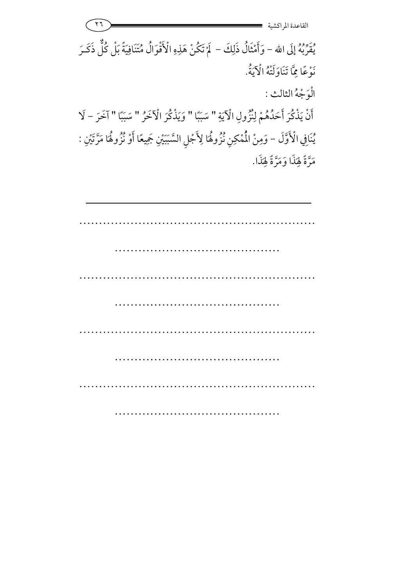٢٦ -القاعدة المراكشي يُقَرِّبُهُ إِلَى الله – وَأَمْثَالُ ذَلِكَ – ۖ لَمْ تَكُنْ هَذِهِ الْأَقْوَالُ مُتَنَافِيَةً بَلْ كُلُّ ذَكَـرَ  $\lambda$ 7 نَوْعًا مِمَّا تَنَاوَلَتْهُ الْآيَةُ. 7 الوَجْهُ الثالث : أَنْ يَذْكُرَ أَحَدُهُمْ لِنُزُولِ الْآيَةِ " سَبَبًا " وَيَذْكُرَ الْآخَرُ " سَبَبًا " آخَرَ - لَا 7 يُنَافِي الْأَوَّلَ – وَمِنْ الْمُمْكِنِ نُزُوهُا لِأَجْلِ السَّبَيَّنِ جَمِيعًا أَوْ نُزُوهُا مَرَّتَيْنِ : <u>ا</u> مَرَّةً لِهَذَا وَمَرَّةً لِهَذَا.

| $\cdots$ |  |  |
|----------|--|--|
|          |  |  |
|          |  |  |
|          |  |  |
|          |  |  |
|          |  |  |
|          |  |  |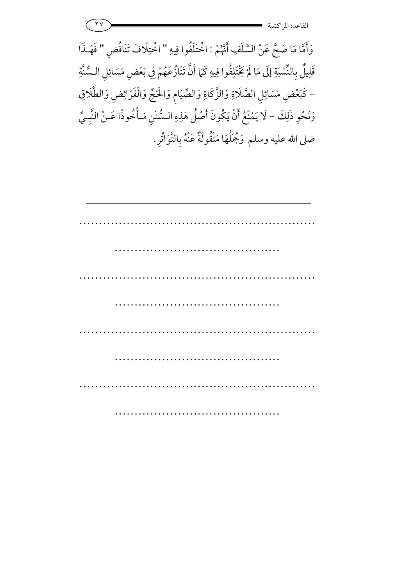|  | القاعدة المراكشية |
|--|-------------------|
|  |                   |

وَأَمَّا مَا صَحَّ عَنْ السَّلَفِ أَنَّهُمْ : اخْتَلَفُوا فِيهِ " اخْتِلَافَ تَنَاقُضٍ " فَهَـذَا قَلِيلٌ بِالنِّسْبَةِ إِلَى مَا لَمْ يَخْتَلِفُو 7 بِالنِّسْبَةِ إِلَى مَا لَمْ يَخْتَلِفُوا فِيهِ كَمَا أَنَّ تَنَازُعَهُمْ فِي بَعْضٍ مَسَائِلِ السُّنَّةِ − كَبَعْضِ مَسَائِلِ الصَّلَاةِ وَالزَّكَاةِ وَالصِّيَامِ وَالْحَجِّ وَالْفَرَائِضِ وَالطَّلَاقِ وَنَحْوِ ذَلِكَ – لَا يَمْنَعُ أَنْ يَكُونَ أَصْلُ هَذِهِ السُّنَنِ مَـأْخُوذًا عَـنْ النَّبِـيِّ لَا يَمْنَعُ أَنْ يَكُونَ أَصْلَ هَ صلى الله عليه وسلم وَمُجَلَّهَا مَنْقُولَةٌ عَنْهُ بِالتَّوَاتُرِ.

| $\cdots$ |  |
|----------|--|
|          |  |
|          |  |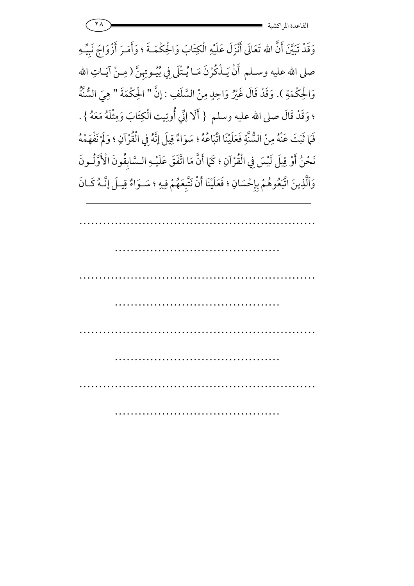وَقَدْ تَبَيَّنَ أَنَّ الله تَعَالَى أَنْزَلَ عَلَيْهِ الْكِتَابَ وَالْحِكْمَــةَ ؛ وَأَمَـرَ أَزْوَاجَ نَبِيٍّـهِ صلى الله عليه وسـلم أَنْ يَـذْكُرْنَ مَـا يُـتْلَى فِي بُيُـوتِهِنَّ ( مِـنْ آيَـاتِ الله وَالْحِكْمَةِ ). وَقَدْ قَالَ غَيْرُ وَاحِدٍ مِنْ السَّلَفِ : إِنَّ " الْحِكْمَةَ " هِيَ السُّنَّةُ **5** ؛ وَقَدْ قَالَ صلى الله عليه وسلم { أَلَا إِنِّي أُوتِيت الْكِتَابَ وَمِثْلَهُ مَعَهُ } . فَمَا ثَبَتَ عَنْهُ مِنْ السُّنَّةِ فَعَلَيْنَا اتَّبَاعُهُ ؛ سَوَاءٌ قِيلَ إِنَّهُ فِي الْقُرْآنِ ؛ وَلَمْ نَفْهَمْهُ 7 8 نَحْنُ أَوْ قِيلَ لَيْسَ فِي الْقُرْآنِ ؛ كَمَا أَنَّ مَا اتَّفَقَ عَلَيْـهِ الـسَّابِقُونَ الْأَوَّلُـونَ وَاَلَّذِينَ اتَّبَعُوهُمْ بِإِحْسَانِ ؛ فَعَلَيْنَا أَنْ نَتَّبِعَهُمْ فِيهِ ؛ سَـوَاءٌ قِيـلَ إِنَّـهُ كَـانَ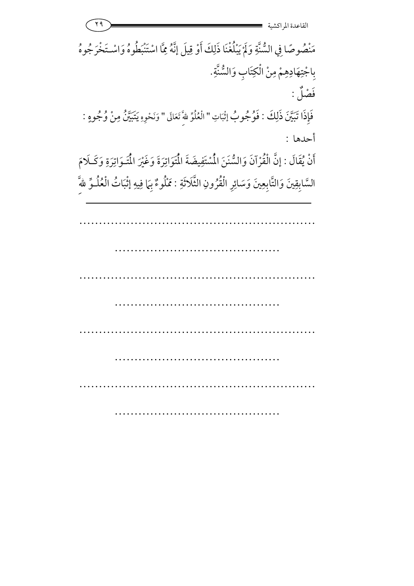| ۲۹                                                                                                                  | القاعدة المر اكش |
|---------------------------------------------------------------------------------------------------------------------|------------------|
| مَنْصُوصًا فِي السُّنَّةِ وَلَمْ يَبْلُغْنَا ذَلِكَ أَوْ قِيلَ إِنَّهُ مِمَّا اسْتَنْبَطُوهُ وَاسْتَخْرَجُوهُ       |                  |
| بِاجْتِهَادِهِمْ مِنْ الْكِتَابِ وَالسُّنَّةِ.                                                                      |                  |
|                                                                                                                     | فَصْلٌ :         |
| فَإِذَا تَبَيَّنَ ذَلِكَ : فَوُجُوبُ إثْبَاتِ " الْعُلُوِّ للهَّ تَعَالَى " وَنَحْوِهِ يَتَبَيَّنُ مِنْ وُجُوهٍ :   |                  |
|                                                                                                                     | أحدها :          |
| أَنْ يُقَالَ : إِنَّ الْقُرْآنَ وَالسُّنَنَ الْمُسْتَفِيضَةَ الْمُتَوَاتِرَةَ وَغَيْرَ الْمُتَـوَاتِرَةِ وَكَـلَامَ |                  |
| السَّابِقِينَ وَالتَّابِعِينَ وَسَائِرِ الْقُرُونِ الثَّلَاثَةِ : مَمْلُوءٌ بِهَا فِيهِ إِثْبَاتُ الْعُلُـوِّ للَّه |                  |
|                                                                                                                     |                  |
|                                                                                                                     |                  |
|                                                                                                                     |                  |
|                                                                                                                     |                  |
|                                                                                                                     |                  |
|                                                                                                                     |                  |
|                                                                                                                     |                  |
|                                                                                                                     |                  |
|                                                                                                                     |                  |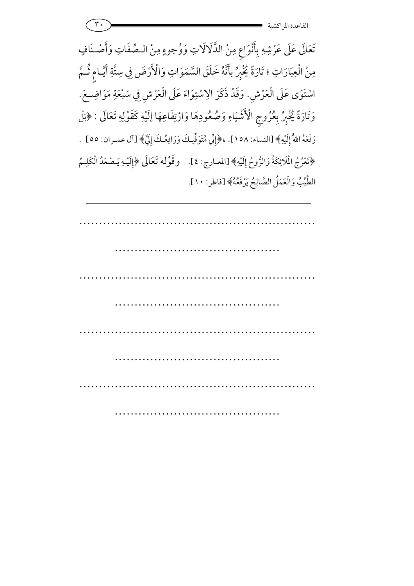تَعَالَى عَلَى عَرْشِهِ بِأَنْوَاعٍ مِنْ الذَّلَالَاتِ وَوُجوهٍ مِنْ الـصِّفَاتِ وَأَصْـنَافٍ مِنْ الْعِبَارَاتِ ؛ تَارَةً يُخْبِرُ بأَنَّهُ خَلَقَ السَّمَوَاتِ وَالْأَرْضَ فِي سِتَّةِ أَيَّـامٍ ثُـمَّ اسْتَوَى عَلَى الْعَرْشِ. وَقَدْ ذَكَرَ الِاسْتِوَاءَ عَلَى الْعَرْشِ فِي سَبْعَةِ مَوَاضِعَ. وَتَارَةً يُخْبِرُ بِعُرُوجِ الْأَشْيَاءِ وَصُعُودِهَا وَارْتِفَاعِهَا إِلَيْهِ كَقَوْلِهِ تَعَالَى ثَخْبِرُ بِعُرُوجِ الْأَشْيَاءِ وَصُعُودِهَا وَارْتِفَاعِهَا إِلَيْهِ كَقَوْلِهِ تَعَالَى : ﴿بَلْ رَفَعَهُ اللّهُ إِلَيْهِ﴾ [النساء: ١٥٨]. ،﴿إِنِّي مُتَوَفِّيكَ وَرَافِعُكَ إِلَيَّ﴾ [آل عمـران: ٥٥] . ﴿تَعْرُجُ الْمَلَائِكَةُ وَالزُّوحُ إِلَيْهِ﴾ [المعارج: ٤]. وقَوْله تَعَالَى ﴿إِلَيْهِ يَـصْعَدُ الْكَلِـمُ الطَّيِّبُ وَالْعَمَلُ الصَّالِحُ يَرْفَعُهُ﴾ [فاطر: ١٠].

…………………………………………………… …………………………………… …………………………………………………… …………………………………… …………………………………………………… …………………………………… …………………………………………………… ………………………………………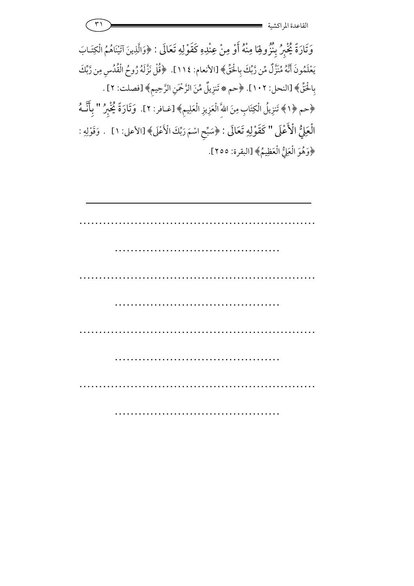| ه سه |                            |
|------|----------------------------|
|      | ِ ، دسیه<br>الصانعك ٥ المه |

وَتَارَةً يُخْبِرُ بِنُزُولِهَا مِنْهُ أَوْ مِنْ عِنْدِهِ كَقَوْلِهِ تَعَالَى : ﴿وَالَّذِينَ آتَيْنَاهُمُ الْكِتَـابَ يَعْلَمُونَ أَنَّهُ مُنَزَّلٌ مِّن رَّبِّكَ بِالْحَقِّ﴾ [الأنعام: ١١٤]. ﴿قُلْ نَزَّلَهُ رُوحُ الْقُدُسِ مِن رَّبِّكَ بِالْحَقِّ﴾ [النحل: ١٠٢]. ﴿حم ۞ تَنزِيلٌ مِّنَ الرَّحْمَنِ الرَّحِيمِ﴾ [فصلت: ٢] . ﴿حم ﴿ ا﴾ تَنزِيلُ الْكِتَابِ مِنَ اللّهِ الْعَزِيزِ الْعَلِيمِ﴾ [غـافر: ٢]. ۖ وَتَارَةً يُخْبِرُ " بِأَنَّــهُ الْعَلِيُّ الْأَعْلَى .<br>د لْعَلِيُّ الْأَعْلَى " كَقَوْلِهِ تَعَالَى : ﴿سَبِّحِ اسْمَ رَبِّكَ الْأَعْلَى﴾ [الأعلى: ١ ] . وَقَوْلِهِ : ﴿وَهُوَ الْعَلِيُّ الْعَظِيمُ﴾ [البقرة: ٢٥٥].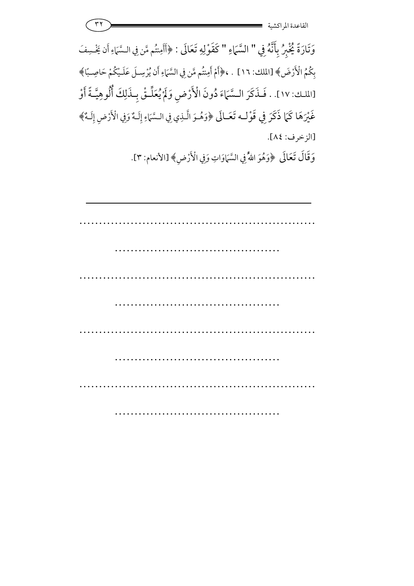| ب س | $\rightarrow$            |
|-----|--------------------------|
|     | ِ اکسیه<br>القانعده المو |

وَتَارَةً يُخْبِرُ بِأَنَّهُ فِي " السَّمَاءِ " كَقَوْلِهِ تَعَالَى : ﴿أَأَمِنتُم مَّن فِي السَّمَاءِ أَن يَخْسِفَ تُم مَّن فِي الـسَّمَ بِكُمُ الْأَرْضَ﴾ [الملك: ١٦] . ، ﴿أَمْ أَمِنتُم مَّن فِي السَّمَاءِ أَن يُرْسِـلَ عَلَـيْكُمْ حَاصِـبًا﴾ [الملك: ١٧]. . فَـذَكَرَ الـسَّمَاءَ دُونَ الْأَرْضِ وَلَمْ يُعَلِّـقْ بِـذَلِكَ أُلُوهِيَّـةً أَوْ 7 غَيْرَهَا كَمَا ذَكَرَ فِي قَوْلـه تَعَـالَى غَيْرَهَا كَمَا ذَكَرَ فِي قَوْلُـه تَعَـالَى ﴿وَهُـوَ الَّـٰذِي فِي الـسَّمَاءِ إِلَـهٌ وَفِي الْأَرْضِ إِلَـهٌ﴾ [الزخرف: ٨٤].

وَقَالَ تَعَالَى ﴿وَهُوَ اللَّهُ فِي السَّمَاوَاتِ وَفِي الْأَرْضِ﴾ [الأنعام: ٣]. <u>بر</u><br>م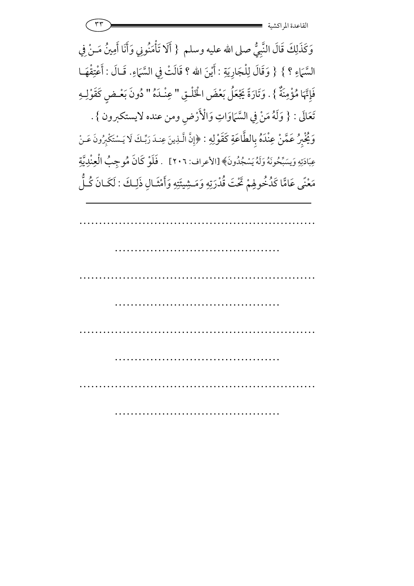$\mathsf{rr}$  -  $\blacksquare$ القاعدة المراكشي

وَكَذَلِكَ قَالَ النَّبِيُّ صلى الله عليه وسلم { أَلَا تَأْمَنُونِي وَأَنَا أَمِينُ مَـنْ فِي أَلَا تَأْمَنُونِي وَأَنَا أَهِ السَّمَاءِ ؟ } { وَقَالَ لِلْجَارِيَةِ : أَيْنَ الله ؟ قَالَتْ فِي السَّمَاءِ قَالَتْ فِي السَّمَاءِ. قَـالَ : أَعْتِقْهَـا .<br>2 أعْدِ **5** فَإِنَّهَا مُؤْمِنَةٌ إِنَّهَا مُؤْمِنَةٌ } . وَتَارَةً يَجْعَلُ بَعْضَ الْخَلْقِ " عِنْدَهُ " دُونَ بَعْـضٍ كَقَوْلِـهِ تَعَالَى : { وَلَهُ مَنْ فِي السَّمَاوَاتِ وَالْأَرْضِ ومن عنده لايستكبرون } . وَيُّخْبِرُ عَمَّنْ عِنْدَهُ بِالطَّاعَةِ كَقَوْلِهِ : ﴿إِنَّ الَّذِينَ عِندَ رَبِّكَ لَا يَـسْتَكْبِرُونَ عَـنْ عِبَادَتِهِ وَيسَبِّحُونَهُ وَلَهُ يَسْجُدُونَ﴾ [الأعراف: ٢٠٦] . فَلَوْ كَانَ مُوجِبُ الْعِنْدِيَّةِ فلوْ كَان هُ مَعْنًى عَامًّا كَدُخُولِهِمْ تَحْتَ قُدْرَتِهِ وَمَشِيئَتِهِ وَأَمْثَـالِ ذَلِـكَ مَعْنًى عَامًّا كَدُخُوهِمْ تَحْتَ قُدْرَتِهِ وَمَـشِيئَتِهِ وَأَمْثَـالِ ذَلِـكَ : لَكَـانَ كُـلَّ

…………………………………………………… …………………………………… …………………………………………………… …………………………………… …………………………………………………… …………………………………… ………… ……………………………………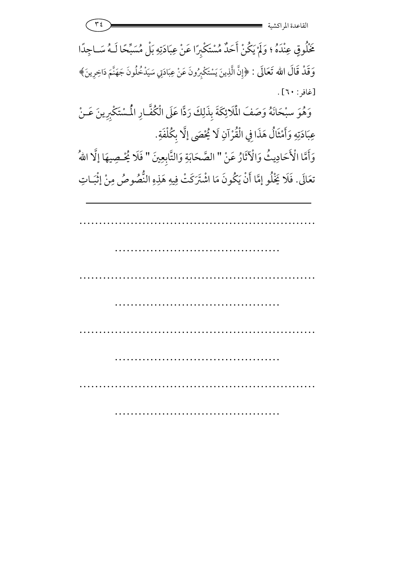$\mathsf{r}$   $\epsilon$  ) and the set of  $\epsilon$  and the set of  $\epsilon$  and the set of  $\epsilon$  and the set of  $\epsilon$ القاعدة المراكشي

خَلُوقٍ عِنْدَهُ ؛ وَلَمْ يَكُنْ أَحَدٌ مُسْتَكْبِرًا عَنْ عِبَادَتِهِ بَلْ مُسَبِّحًا لَـهُ سَـاجِدًا 7 ڈبراً ءَ وَقَدْ قَالَ الله تَعَالَى : ﴿إِنَّ الَّذِينَ يَسْتَكْبِرُونَ عَنْ عِبَادَتِي سَيَدْخُلُونَ جَهَنَّمَ دَاخِرِينَ﴾  $[3 \cdot : 3]$ .

وَهُوَ سبْحَانَهُ وَصَفَ الْمَلَائِكَةَ بِذَلِكَ رَدًّا عَلَى الْكُفَّارِ الْمُسْتَكْبِرِينَ عَـنْ عِبَادَتِهِ وَأَمْثَالُ هَذَا فِي الْقُرْآنِ لَا يُحْصَى إلَّا بِكُلْفَةِ.

وَأَمَّا الْأَحَادِيثُ وَالْآثَارُ عَنْ " الصَّحَابَةِ وَالتَّابِعِينَ " فَلَا يُحْصِيهَا إِلَّا اللهُ فَلَا يُخْهِ 7 تعَالَى. فَلَا يَخْلُو إِمَّا أَنْ يَكُونَ مَا اشْتَرَكَتْ فِيهِ هَذِهِ النُّصُوصُ مِنْ إِثْبَـاتِ 7

…………………………………………………… …………………………………… …………………………………………………… ……………………………………………………………… …………………………………………………… …………………………………………………………… …………………………………………………… ……………………………………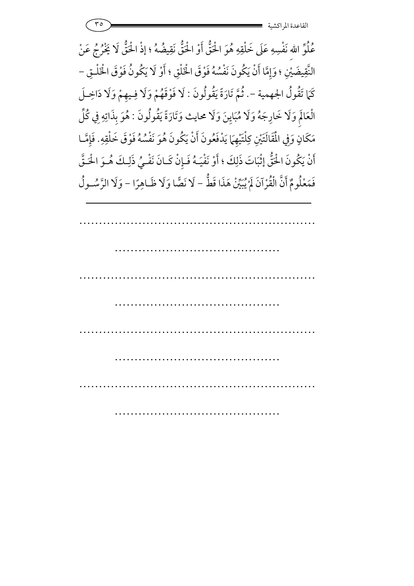عُلُوِّ اللهِ نَفْسِهِ عَلَى خَلْقِهِ هُوَ اخْقُّ أَوْ اخْقُّ نَقِيضُهُ ؛ إذْ اخْقُّ لَا يَخْرُجُ عَنْ النَّقِيضَيْنِ ؛ وَإِمَّا أَنْ يَكُونَ نَفْسُهُ فَوْقَ الْخَلْقِ ؛ أَوْ لَا يَكُونُ فَوْقَ الْخَ قِيضَيْنِ ؛ وَإِمَّا أَنْ يَكُونَ نَفْسُهُ فَوْقَ الْخَلْقِ ؛ أَوْ لَا يَكُونُ فَوْقَ الْخَلْـقِ – كَمَا تَقُولُ الجهمية -. ثُمَّ تَارَةً يَقُولُونَ : لَا فَوْقَهُمْ وَلَا فِـيهِمْ وَلَا دَاخِـلَ الْعَالَمِ وَلَا خَارِجَهُ وَلَا مُبَايِنَ وَلَا محايث وَتَارَةً يَقُولُونَ : هُوَ بِذَاتِهِ فِي كُلِّ مَكَانٍ وَفِي الْمَقَالَتَيْنِ كِلْتَيْهِمَا يَدْفَعُونَ أَنْ يَكُونَ هُوَ نَفْسُهُ فَوْقَ خَلْقِهِ. فَإِمَّـا أَنْ يَكُونَ الْحَقُّ إِثْبَاتَ ذَلِكَ ؛ أَوْ نَفْيَـهُ فَـإِنْ كَـانَ نَفْـيُ ذَلِـكَ هُـوَ الْحَـقَّ فَمَعْلُومٌ أَنَّ الْقُرْآنَ لَمْ يُبَيِّنْ هَذَا قَطُّ – لَا نَصَّا وَلَا ظَـاهِرًا – وَلَا الرَّسُـولُ 7 |<br>|<br>|

…………………………………………………… …………………………………… …………………………………………………… …………………………………… …………………………………………………… …………………………………… …………………………………………………… ……………………………………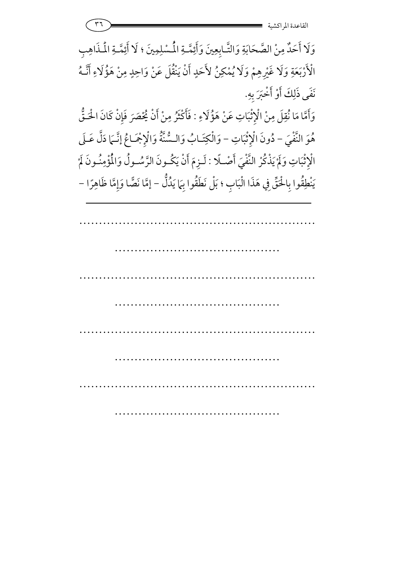وَلَا أَحَدٌ مِنْ الصَّحَابَةِ وَالتَّـابِعِينَ وَأَئِمَّـةِ المُسْلِمِينَ ؛ لَا أَئِمَّـةِ المُـذَاهِبِ وَلَا أَحَدٌ مِنْ الصَّحَابَةِ وَالتَّـابِعِينَ وَ الْأَرْبَعَةِ وَلَا غَيْرِهِمْ وَلَا يُمْكِنُ لأَحَدٍ حَدٍ أَنْ يَنْقُلَ عَنْ وَاحِدٍ مِنْ هَؤُلَاءِ أَنَّـهُ نَفَى ذَلِكَ أَوْ أَخْبَرَ بِهِ. ;<br><br>

وَأَمَّا مَا نُقِلَ مِنْ الْإِثْبَاتِ عَنْ هَؤُلَاءِ : فَأَكْثَرُ مِنْ أَنْ يُحْصَرَ فَإِنْ كَانَ الْحَـقُّ ة<br>ن .<br>-هُوَ النَّفْيَ – دُونَ الْإِثْبَاتِ دُونَ الْإِثْبَاتِ - وَالْكِتَـابُ وَالسُّنَّةُ وَالْإِجْمَاعُ إِنَّـمَا دَلَّ عَـلَى الْإِثْبَاتِ وَلَمْ يَذْكُرْ النَّفْيَ أَصْـلًا : لَـزِمَ أَنْ يَكُـونَ الرَّسُـولُ وَالْمُؤْمِنُـونَ لَمْ 7 7 يُكــون الرَّسُــول وَالمُؤ يَنْطِقُوا بِالْحَقِّ فِي هَذَا الْبَابِ ؛ بَلْ نَطَقُوا بِهَا يَدُلُّ − إِمَّا نَصَّا وَإِمَّا ظَاهِرًا −

…………………………………………………… …………………………………… …………………………………………………… …………………………………………………………… …………………………………………………… …………………………………… …………………………………………………… …………………………………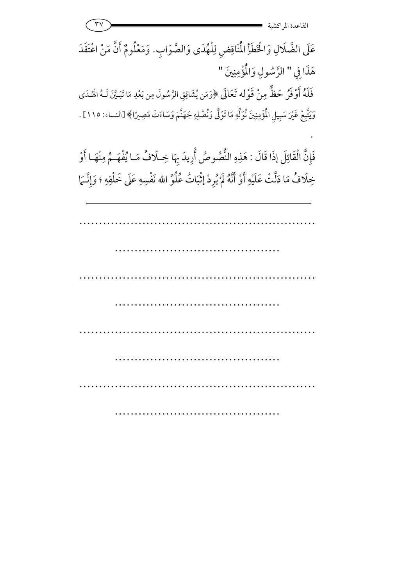$\mathsf{r} \mathsf{v}$   $\qquad \qquad \qquad$   $\mathsf{r}$   $\qquad \qquad$   $\mathsf{r}$   $\qquad \qquad$   $\mathsf{r}$   $\qquad \qquad$   $\qquad$   $\qquad$   $\qquad$   $\qquad$   $\qquad$   $\qquad$   $\qquad$   $\qquad$   $\qquad$   $\qquad$   $\qquad$   $\qquad$   $\qquad$   $\qquad$   $\qquad$   $\qquad$   $\qquad$   $\qquad$   $\qquad$   $\qquad$   $\qquad$   $\qquad$   $\qquad$   $\$ القاعدة المراكشي

عَلَى الضَّلَالِ وَالْخَطَأِ الْمُنَاقِضِ لِلْهُدَى وَالصَّوَابِ. وَمَعْلُومٌ أَنَّ مَنْ اعْتَقَدَ هَذَا فِي " الرَّسُولِ وَالْمُؤْمِنِينَ <u>ا</u> رَّسُولِ وَالْمُؤْمِنِينَ " فَلَهُ أَوْفَرُ حَظٍّ مِنْ قَوْله تَعَالَى لَمُ أَوْفَرُ حَظَّ مِنْ قَوْله تَعَالَى ﴿وَمَن يُشَاقِقِ الرَّسُولَ مِن بَعْدِ مَا تَبَيَّنَ لَـهُ الْهُـدَى **)** وَيَتَّبِعْ غَيْرَ سَبِيلِ الْمُؤْمِنِينَ نُوَلِّهِ مَا تَوَلَّى وَنُصْلِهِ جَهَنَّمَ وَسَاءَتْ مَصِيرًا﴾ [النساء: ١١٥] .

فَإِنَّ الْقَائِلَ إِذَا قَالَ : هَذِهِ النُّصُوصُ أُرِيدَ بِهَا خِـلَافُ مَـا يُفْهَــمُ مِنْهَـا أَوْ خِلَافُ مَا دَلَّتْ عَلَيْهِ أَوْ أَنَّهُ لَمْ يُرِدْ إِثْبَاتُ عُلُوِّ الله نَفْسِهِ عَلَى خَلْقِهِ ؛ وَإِنَّـَمَا 7 سِهِ عَلَى خَلْقِهِ

S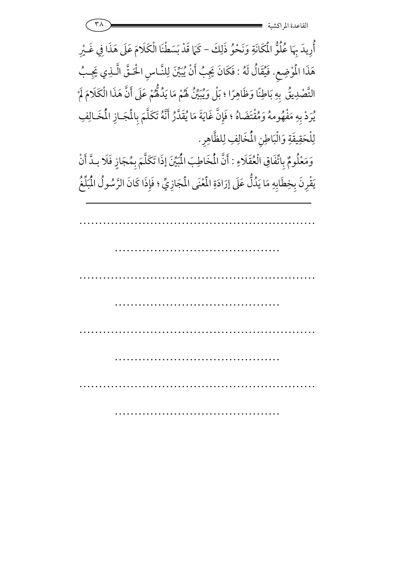أُوِيدَ بِهَا عُلُوُّ الْمُكَانَةِ وَنَحْوُ ذَلِكَ – كَمَا قَدْ بَسَطْنَا الْكَلَامَ عَلَى هَذَا فِي غَـيْرِ هَذَا الْمُوْضِعِ. فَيُقَالُ لَهُ : فَكَانَ يَجِبُ أَنْ يُبَيِّنَ لِلنَّـاسِ الْحَـقَّ الَّـذِي يَجِـبُ 7 فَكَانَ يَجِبُ أَنْ يُبَيِّنَ لِلنَّـاسِ اخْـقَّ الَّـذِ التَّصْدِيقُ بِهِ بَاطِنًا وَظَاهِرًا ؛ بَلْ وَيُبَيِّنُ لَهُمْ مَا يَدُلُّهُمْ عَلَى أَنَّ هَذَا الْكَلَامَ لَمْ 7 يُرِدْ بِهِ مَفْهُومهُ وَمُقْتَضَاهُ ؛ فَإِنَّ غَايَةَ مَا يُقَدَّرُ أَنَّهُ تَكَلَّمَ بِالْمَجَـازِ الْمُخَـالِفِ لِلْحَقِيقَةِ وَالْبَاطِنِ الْمُخَالِفِ لِلظَّاهِرِ.

وَمَعْلُومٌ بِاتِّفَاقِ الْعُقَلَاءِ : أَنَّ الْمُخَاطِبَ الْمُبَيِّنَ إِذَا تَكَلَّمَ بِمُجَازٍ فَلَا بِدَّ أَنْ يَقْرِنَ بِخِطَابِهِ مَا يَدُلُّ عَلَى إِرَادَةِ الْمُنْيَ الْمَجَازِيِّ ؛ فَإِذَا كَانَ الرَّسُولُ الْمُلِّعُ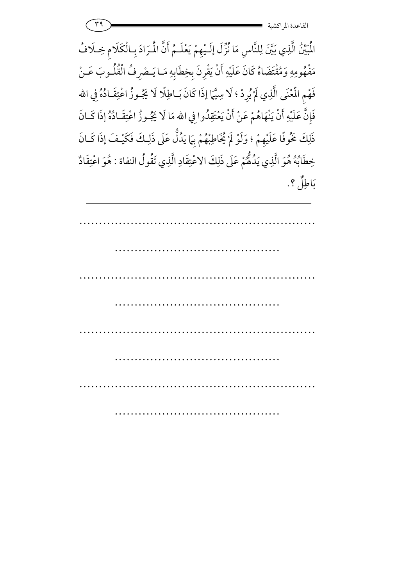

الْمُيِّنُ الَّذِي بَيَّنَ لِلنَّاسِ مَا نُزِّلَ إِلَـيْهِمْ يَعْلَـمُ أَنَّ الْمُرَادَ بِـالْكَلَامِ خِـلَافُ مَفْهُومِهِ وَمُقْتَضَاهُ كَانَ عَلَيْهِ أَنْ يَقْرِنَ بِخِطَابِهِ مَـا يَـصْرِفُ الْقُلُـوبَ عَـنْ فَهْمِ الْمُعْنَى الَّذِي لَمْ يُرِدْ ؛ لَا سِيَّمَا إذَا كَانَ بَـاطِلًا لَا يَجُـوزُ اعْتِقَـادُهُ فِي مِ الْمُعْنَى الَّذِي لَمْ يُرِدْ ؛ لَا سِيَّمَا إذَا كَانَ بَـاطِلًا لَا يَجُـوزُ اعْتِقَـادُهُ فِي الله 7 فَإِنَّ عَلَيْهِ أَنْ يَنْهَاهُمْ عَنْ أَنْ يَعْتَقِدُوا فِي : يَنْهَاهُمْ عَنْ أَنْ يَعْتَقِدُوا فِي الله مَا لَا يَجُـوزُ اعْتِقَـادُهُ إذَا كَـانَ ذَلِكَ خَمُوفًا عَلَيْهِمْ ؛ وَلَوْ لَمْ يُخَاطِبْهُمْ بِهَا يَدُلُّ عَلَى ذَلِكَ فَكَيْـفَ إذَا كَـانَ 7 خِطَابُهُ هُوَ الَّذِي يَدُلُّهُمْ عَلَى ذَلِكَ الاعْتِقَادِ الَّذِي تَقُولُ النفاة : هُوَ اعْتِقَادٌ ۚ هُوَ اء بَاطِلٌ ؟.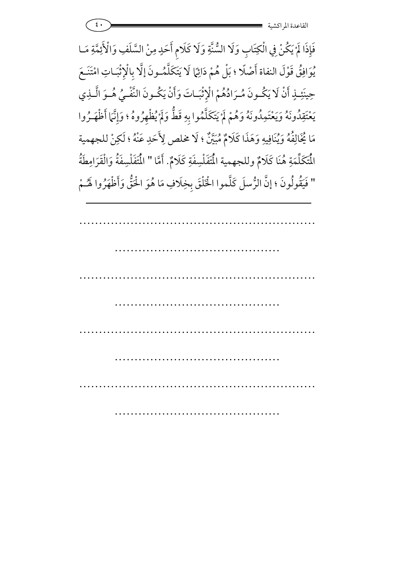فَإِذَا لَمْ يَكُنْ فِي الْكِتَابِ وَلَا السُّنَّةِ وَلَا كَلَامِ أَحَدٍ مِنْ السَّلَفِ وَالْأَئِمَّةِ مَـا 7 يُوَافِقُ قَوْلَ النفاة أَصْلًا ؛ بَلْ هُمْ دَائِمًا لَا يَتَكَلَّمُـونَ إلَّا بِالْإِثْبَـاتِ امْتَنَـعَ حِينَئِـذٍ أَنْ لَا يَكُـونَ مُـرَادُهُمْ الْإِثْبَـاتَ وَأَنْ يَكُـونَ النَّفْـيُ هُـوَ الَّـذِي يَعْتَقِدُونَهُ وَيَعْتَمِدُونَهُ وَهُمْ لَمْ يَتَكَلَّمُوا بِهِ قَطَّ وَلَمْ يُظْهِرُوهُ ؛ وَإِنَّمَا أَظْهَـرُوا قِدُونَهُ وَيَعْتَمِدُونَهُ وَهُمْ لَمْ يَتَكَلَّمُوا بِهِ قَطٌّ وَلَمْ مَا يُخَالِفُهُ وَيُنَافِيهِ وَهَذَا كَلَامٌ مُبَيَّنٌ ؛ لَا مخلص لِأَحَدِ عَنْهُ ؛ لَكِنْ للجهمية الْمَكَلِّمَةِ هُنَا كَلَامٌ وللجهمية الْمَتَفَلْسِفَةِ كَلَامٌ. أَمَّا " الْمَتَفَلْسِفَةُ وَالْقَرَامِطَةُ " فَيَقُولُونَ ؛ إنَّ الرُّسلَ كَلَّموا الْخَلْقَ بِخِلَافِ مَا هُوَ الْحَقُّ وَأَظْهَرُوا لَهُـمْ 6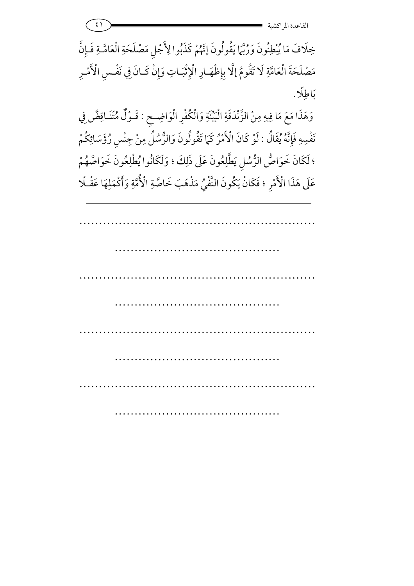$\epsilon$ <sup>1</sup>  $\epsilon$  -  $\epsilon$  -  $\epsilon$  -  $\epsilon$  -  $\epsilon$  -  $\epsilon$  -  $\epsilon$  -  $\epsilon$  -  $\epsilon$  -  $\epsilon$  -  $\epsilon$  -  $\epsilon$  -  $\epsilon$  -  $\epsilon$  -  $\epsilon$  -  $\epsilon$  -  $\epsilon$  -  $\epsilon$  -  $\epsilon$  -  $\epsilon$  -  $\epsilon$  -  $\epsilon$  -  $\epsilon$  -  $\epsilon$  -  $\epsilon$  -  $\epsilon$  -  $\epsilon$  -  $\epsilon$  -  $\epsilon$  -  $\epsilon$  -  $\epsilon$ القاعدة المراكشي

خِلَافَ مَا يُبْطِنُونَ وَرُبَّمَا يَقُولُونَ إِنَّهُمْ كَذَبُوا لِأَجْلِ مَصْلَحَةِ الْعَامَّـةِ فَـإِنَّ مَصْلَحَةَ الْعَامَّةِ لَا تَقُومُ إِلَّا بِإِظْهَـارِ الْإِثْبَـاتِ وَإِنْ كَـانَ فِي نَفْـسِ الْأَمْـرِ بَاطِلًا.

وَهَذَا مَعَ مَا فِيهِ مِنْ الزَّنْدَقَةِ الْبَيِّنَةِ وَالْكُفْرِ الْوَاضِـحِ لْبَيِّنَةِ وَالْكُفْرِ الْوَاضِحِ : قَـوْلٌ مُتَنَاقِضٌ فِي قَـوْلٌ مُتَنَـاةِ نَفْسِهِ فَإِنَّهُ يُقَالُ : لَوْ كَانَ الْأَمْرُ كَمَا تَقُولُونَ وَالرُّسُلُ مِنْ جِنْسِ رُؤَسَائِكُمْ لَوْ كَانَ الْأَمْرُ كَمَا تَقُولُونَ وَالرُّسُلُ مِنْ جِنْسٍ رُؤَ ؛ لَكَانَ خَوَاصُّ الرُّسُلِ يَطَّلِعُونَ عَلَى ذَلِكَ ؛ وَلَكَانُوا يُطْلِعُونَ خَوَاصَّهُمْ عَلَى هَذَا الْأَمْرِ ؛ فَكَانْ يَكُونَ النَّفْيُ مَذْهَبَ خَاصَّةِ الْأُمَّةِ وَأَكْمَلِهَا عَقْـلًا  $\overline{a}$ ُونَ النَّفْيُ مَذْهَبَ خَاصَّةِ الْأُمَّةِ وَأَكْمَ **1**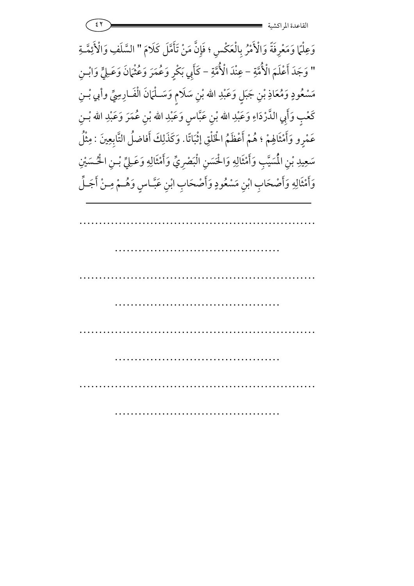$\mathcal{L}(\mathbf{Y})$  - and  $\mathcal{L}(\mathbf{Y})$  - and  $\mathcal{L}(\mathbf{X})$  - and  $\mathcal{L}(\mathbf{X})$  - and  $\mathcal{L}(\mathbf{X})$  - and  $\mathcal{L}(\mathbf{X})$  - and  $\mathcal{L}(\mathbf{X})$  - and  $\mathcal{L}(\mathbf{X})$  - and  $\mathcal{L}(\mathbf{X})$  - and  $\mathcal{L}(\mathbf{X})$  - and  $\mathcal{L}(\mathbf{$ القاعدة المراكشي

وَعِلْمًا وَمَعْرِفَةً وَالْأَمْرُ بِالْعَكْسِ ؛ فَإِنَّ مَنْ تَأَمَّلَ كَلَامَ " السَّلَفِ وَالْأَئِمَّـةِ 7 " وَجَدَ أَعْلَمَ الْأُمَّةِ وَجَدَ أَعْلَمَ الْأُمَّةِ – عِنْدَ الْأُمَّةِ – كَأَبِي بَكْرٍ وَعُمْرَ وَعُثْمَانَ وَعَـلِيٍّ وَابْـنِ كَأَبِي بَكْرٍ وَعُمَرَ وَعُثْمَانَ وَعَـِ **5** مَسْعُودٍ وَمُعَاذِ بْنِ جَبَلٍ وَعَبْدِ الله بْنِ سَلَامٍ وَسَــلْمَانَ الْفَــارِسِيِّ وأبي بْــنِ سَلَامٍ وَسَـلْمَانَ الْفَـارِهِ كَعْبِ وَأَبِي الدَّرْدَاءِ وَعَبْدِ .<br>e .<br>م كَعْبٍ وَأَبِي الدَّرْدَاءِ وَعَبْدِ الله بْنِ عَبَّاسٍ وَعَبْدِ الله بْنِ عُمَرَ وَعَبْدِ الله بْـنِ عَمْرٍو وَأَمْثَالِهِمْ ؛ هُمْ أَعْظَمُ الْخَ 7 رٍو وَأَمْثَالِهِمْ ؛ هُمْ أَعْظَمُ الْخَلْقِ إِثْبَاتًا. وَكَذَلِكَ أَفاضلُ التَّابِعِينَ : مِثْلُ ة<br>ذ سَعِيدِ بْنِ الْمُسَيَّبِ وَأَمْثَالِهِ وَالْحَسَنِ الْبَصْرِيِّ وَأَمْثَالِهِ وَعَـلِيِّ بْـنِ الْحُسَيْنِ مِيدِ بْنِ الْمُسَيَّبِ وَأَمْثَالِهِ وَالْحَسَنِ الْبَصْرِيِّ وَأَمْثَالِهِ وَعَــِ وَأَمْثَالِهِ وَأَصْحَابِ ابْنِ مَسْعُودٍ وَأَصْحَابِ ابْنِ عَبَّـاسٍ وَهُــمْ مِـنْ أَجَـلِّ ، ابْنِ عَبَّـاسٍ وَهُــمْ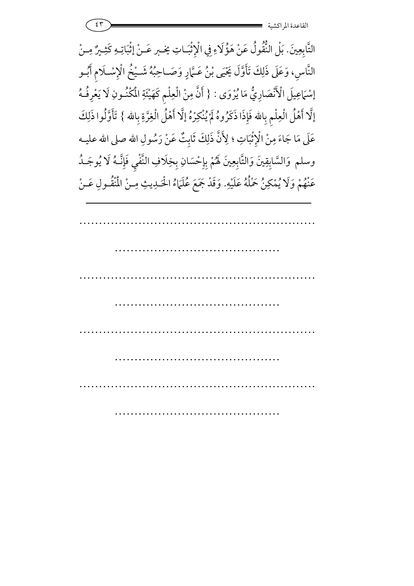$\mathfrak{S}$  =  $\mathfrak{S}$  =  $\mathfrak{S}$  =  $\mathfrak{S}$  =  $\mathfrak{S}$  =  $\mathfrak{S}$  =  $\mathfrak{S}$  =  $\mathfrak{S}$  =  $\mathfrak{S}$  =  $\mathfrak{S}$  =  $\mathfrak{S}$  =  $\mathfrak{S}$  =  $\mathfrak{S}$  =  $\mathfrak{S}$  =  $\mathfrak{S}$  =  $\mathfrak{S}$  =  $\mathfrak{S}$  =  $\mathfrak{S}$  =  $\mathfrak$ القاعدة المراكشي

التَّابِعِينَ. بَلْ النُّقُولُ عَنْ هَؤُلَاءِ فِي الْإِثْبَـاتِ بَلْ النُّقُولُ عَنْ هَؤُلَاءِ فِي الْإِثْبَـاتِ يَحْبِر عَـنْ إِثْبَاتِـهِ كَثِـيرٌ مِـنْ النَّاسِ، وَعَلَى ذَلِكَ تَأَوَّلَ يَحْيَى بْنُ عَـَمَارٍ وَصَـاحِبُهُ شَـيْخُ الْإِسْـلَامِ أَبُــو إسْمَاعِيلَ الْأَنْصَارِيُّ مَا يُرْوَى : { أَنَّ مِنْ الْعِلْمِ كَهَيْئَةِ الْمُكْنُونِ لَا يَعْرِفُهُ إلَّا أَهْلُ الْعِلْمِ بِالله فَإِذَا ذَكَرُوهُ لَمْ يُنْكِرْهُ إلَّا أَهْلُ الْغِرَّةِ بِالله } تَأَوَّلُوا ذَلِكَ 7 عَلَى مَا جَاءَ مِنْ الْإِثْبَاتِ ؛ لِأَنَّ ذَلِكَ ثَابِتٌ عَنْ رَسُولِ الله صلى الله عليــه وسلم وَالسَّابِقِينَ وَالتَّابِعِينَ لَهُمْ بِإِحْسَانِ بِخِلَافِ النَّفْيِ فَإِنَّـهُ لَا يُوجَـدُ سَّابِقِينَ وَالتَّابِعِينَ لَهُمْ بِإِحْسَ عَنْهُمْ وَلَا يُمْكِنُ حَمْلُهُ عَلَيْهِ. وَقَدْ جَمَعَ عُلَمَاءُ الْحَـٰدِيثِ مِـنْ الْمُنْقُـولِ عَـنْ 7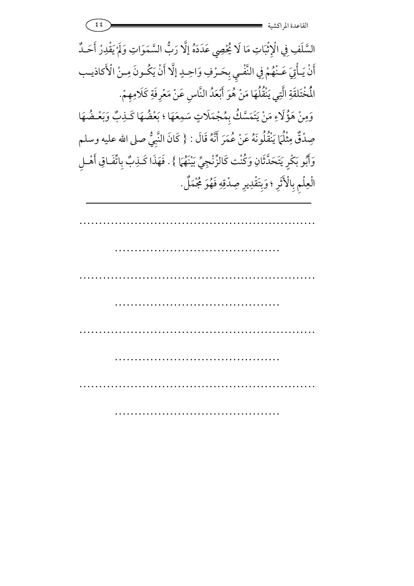السَّلَفِ فِي الْإِثْبَاتِ مَا لَا يُحْصِي عَدَدَهُ إِلَّا رَبُّ السَّمَوَاتِ وَلَمْ يَقْدِرْ أَحَـدٌ 7 أَنْ يَـأْتِيَ عَـنْهُمْ فِي النَّفْـيِ بِحَـرْفِ وَاحِـدٍ إلَّا أَنْ يَكُـونَ مِـنْ الْأَكاذيـب الْمُخْتَلِقَةِ الَّتِي يَنْقُلُهَا مَنْ هُوَ أَبْعَدُ النَّاسِ عَنْ مَعْرِفَةِ كَلَامِهِمْ. 7 وَمِنْ هَؤُلَاءِ مَنْ يَتَمَسَّكُ بِمُجْمَلَاتٍ سَمِعَهَا سَمِعَهَا ؛ بَعْضُهَا كَـٰذِبٌ وَبَعْـضُهَا صِدْقٌ مِثْلُمَا يَنْقُلُونَهُ عَنْ عُمَرَ أَنَّهُ قَالَ : { كَانَ النَّبِيُّ صلى الله عليه وسلم وَأَبُو بَكْرٍ يَتَحَدَّثَانِ وَكُنْت كَالزِّنْجِيِّ بَيْنَهُمَا } . فَهَذَا كَـٰذِبٌ بِاتَّفَـاقِ أَهْـلِ **5 a** الْعِلْمِ بِالْأَثَرِ ؛ وَبِتَقْدِيرِ صِدْقِهِ فَهُوَ مُجْمَلٌ.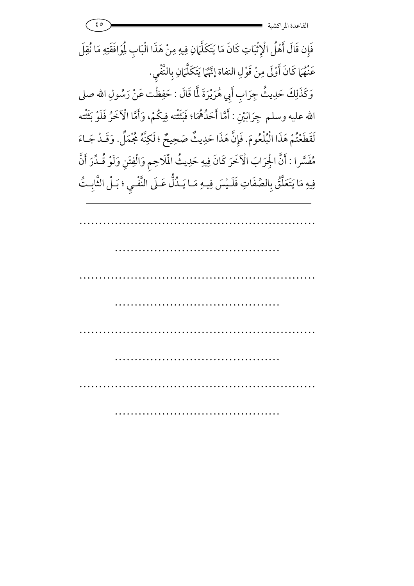٤٥ -القاعدة المراكشي فَإِن قَالَ أَهْلُ الْإِثْبَاتِ كَانَ مَا يَتَكَلَّهَانِ فِيهِ مِنْ هَذَا الْبَابِ لِمُوَافَقَتِهِ مَا نُقِلَ أَهْلُ الْإِثْبَاتِ كَانَ مَا يَتَكَلَّهَانِ عَنْهُمَا كَانَ أَوْلَى مِنْ قَوْلِ النفاة إِنَّهُمَا يَتَكَلَّمَانِ بِالنَّفْيِ تَّهُمَّا يَتَكَلَّمَانِ بِالنَّف*يِ*. وَكَذَلِكَ حَدِيثُ جِرَابِ أَبِي هُرَيْرَةَ لَّمَا قَالَ : حَفِظْت عَنْ رَسُولِ الله صلى الله عليه وسلم جِرَابَيْنِ : أَمَّا أَحَدُهُمَا؛ فَبَثَثْته فِيكُمْ، وَأَمَّا الْآخَرُ فَلَوْ بَثَثْته 7 لَقَطَعْتُمْ هَذَا الْبُلْعُومَ. فَإِنَّ هَذَا حَدِيثٌ صَحِيحٌ ؛ لَكِنَّهُ مُجْمَلٌ. وَقَـدْ جَـاءَ مُفْسَّرا : أَنَّ الْجِرَابَ الْآخَرَ كَانَ فِيهِ حَدِيثُ الْمَلَاحِمِ وَالْفِتَنِ وَلَوْ قُـدِّرَ أَنَّ فِيهِ مَا يَتَعَلَّقُ بِالصِّفَاتِ فَلَـيْسَ فِيـهِ مَـا يَـدُلُّ عَـلَى النَّفْـيِ ؛ بَـلْ الثَّابِـتُ 5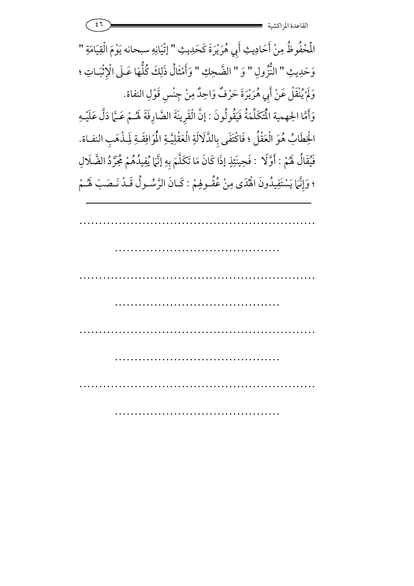$\epsilon$ ٦ -  $\epsilon$  -  $\epsilon$  -  $\epsilon$  -  $\epsilon$  -  $\epsilon$  -  $\epsilon$  -  $\epsilon$  -  $\epsilon$  -  $\epsilon$  -  $\epsilon$  -  $\epsilon$  -  $\epsilon$  -  $\epsilon$  -  $\epsilon$  -  $\epsilon$  -  $\epsilon$  -  $\epsilon$  -  $\epsilon$  -  $\epsilon$  -  $\epsilon$  -  $\epsilon$  -  $\epsilon$  -  $\epsilon$  -  $\epsilon$  -  $\epsilon$  -  $\epsilon$  -  $\epsilon$  -  $\epsilon$  -  $\epsilon$  -  $\epsilon$  -  $\epsilon$ القاعدة المراكشي

المُحْفُوظُ مِنْ أَحَادِيثِ أَبِي هُرَيْرَةَ كَحَدِيثِ " إِتْيَانِهِ سبحانه يَوْمَ الْقِيَامَةِ " وَحَدِيثِ " النُّزُولِ " وَ " الضَّحِكِ " وَأَمْثَالُ ذَلِكَ كُلُّهَا عَـلَى الْإِثْبَـاتِ ؛  $\overline{a}$ وَلَمْ يُنْقَلْ عَنْ أَبِي هُرَيْرَةَ حَرْفٌ وَاحِدٌ مِنْ جِنْسِ قَوْلِ النفاة. 7 وَأَمَّا الجهمية الْمُتَكَلِّمَةُ فَيَقُولُونَ : إنَّ الْقَرِينَةَ الصَّارِفَةَ لَهُمْ عَـمَّا دَلَّ عَلَيْـهِ الْخِطَابُ هُوَ الْعَقْلُ ؛ فَاكْتَفَى بِالذَّلَالَةِ الْعَقْلِيَّةِ الْمُوَافِقَـةِ لِمَذْهَبِ النفـاة. فَيْقَالُ لَهُمْ : أَوَّلًا ۚ : فَحِينَئِذٍ إذَا كَانَ مَا تَكَلَّمَ بِهِ إنَّمَا يُفِيدُهُمْ مُجَرَّدُ الضَّلَالِ ؛ وَإِنَّهَا يَسْتَفِيدُونَ الْهُدَى مِنْ عُقْـولِهِمْ **1** إِنَّهَا يَسْتَفِيدُونَ الْهُدَى مِنْ عُقُـولِهِمْ : كَـانَ الرَّسُـولُ قَـدْ نَـصَبَ لَهُـمْ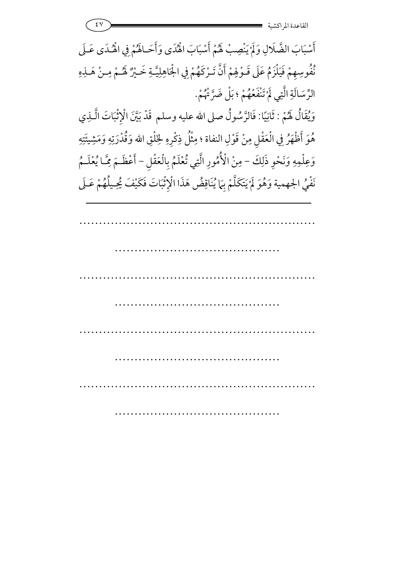$\mathcal{L}(\mathbf{Y})$  - and  $\mathcal{L}(\mathbf{Y})$  - and  $\mathcal{L}(\mathbf{X})$  - and  $\mathcal{L}(\mathbf{X})$  - and  $\mathcal{L}(\mathbf{X})$  - and  $\mathcal{L}(\mathbf{X})$  - and  $\mathcal{L}(\mathbf{X})$  - and  $\mathcal{L}(\mathbf{X})$  - and  $\mathcal{L}(\mathbf{X})$  - and  $\mathcal{L}(\mathbf{X})$  - and  $\mathcal{L}(\mathbf{$ القاعدة المراكشي

أَسْبَابَ الضَّلَالِ وَلَمْ يَنْصِبْ هُمْ أَسْبَابَ الْهُٰدَى وَأَحَـاهُمْ فِي الْهُـدَى عَـلَى 7 نُفُوسِهِمْ فَيَلْزَمُ عَلَى قَـوْلِهِمْ أَنَّ تَـرْكَهُمْ فِي الْجَاهِلِيَّـةِ خَـيْرٌ لَهُـمْ مِـنْ هَـلِهِ الرِّسَالَةِ الَّتِي لَمْ تَنْفَعْهُمْ ؛ بَلْ ضَرَّتْهُمْ. 7 وَيُقَالُ لَهُمْ : ثَانِيًا: فَالرَّسُولُ صلى الله عليه وسلم قَدْ بَيَّنَ الْإِثْبَاتَ الَّــٰذِي **7** هُوَ أَظْهَرُ فِي الْعَقْلِ مِنْ قَوْلِ النفاة ؛ مِثْلُ ذِكْرِهِ لِخَلْقِ هُوَ أَظْهَرُ فِي الْعَقْلِ مِنْ قَوْلِ النفاة ؛ مِثْلُ ذِكْرِهِ لِخَلْقِ الله وَقُدْرَتِهِ وَمَشِيئَتِهِ وَعِلْمِهِ وَنَحْوِ ذَلِكَ – مِنْ الْأُمُورِ الَّتِي تُعْلَمُ بِالْعَقْلِ – أَعْظَـمَ مِّـَا يُعْلَـمُ أَعْظَمَ مِ نَفْيُ الجهمية وَهُوَ لَمْ يَتَكَلَّمْ بِهَا يُنَاقِضُ هَذَا الْإِثْبَاتَ فَكَيْفَ يُحِيلُهُمْ عَـلَى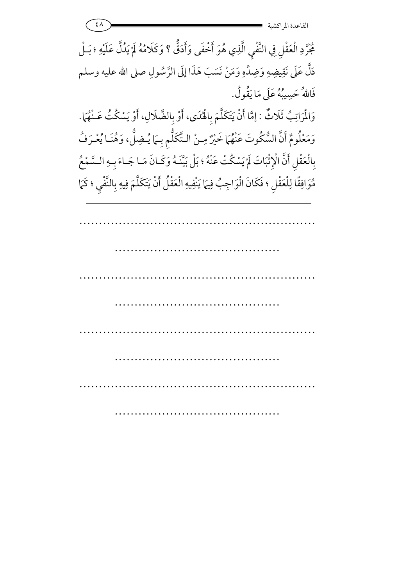$\mathcal{L}(\lambda)$  =  $\mathcal{L}(\lambda)$  =  $\mathcal{L}(\lambda)$  =  $\mathcal{L}(\lambda)$  =  $\mathcal{L}(\lambda)$ القاعدة المراكشي

مُجَرَّدِ الْعَقْلِ فِي النَّفْيِ الَّذِي هُوَ أَخْفَى وَأَدَقُّ ؟ وَكَلَامُهُ لَمْ يَدُلَّ عَلَيْهِ ؛ بَـلْ 7 دَلَّ عَلَى نَقِيضِهِ وَضِدٍّهِ وَمَنْ نَسَبَ هَذَا إِلَى الرَّسُولِ هَذَا إِلَى الرَّسُولِ صلى الله عليه وسلم فَاللهُ حَسِيبُهُ عَلَى مَا يَقُولُ. وَالْمَرَاتِبُ ثَلَاثٌ : إِمَّا أَنْ يَتَكَلَّمَ بِالْهُدَى، أَوْ بِالضَّلَالِ، أَوْ يَسْكُتُ عَـنْهُمَا. **1** <u>ب</u> وَمَعْلُومٌ أَنَّ السُّكُوتَ عَنْهُمَا خَيْرٌ مِـنْ الـتَّكَلُّمِ بِـهَا رٌ مِنْ الشَّكَلَّمِ بِـمَا يُـضِلُّ، وَهُنَـا يُعْـرَفُ بِالْعَقْلِ أَنَّ الْإِثْبَاتَ لَمْ يَسْكُتْ عَنْهُ ؛ بَلْ بَيَّنَـهُ وَكَـانَ مَـا جَـاءَ بِـهِ الـسَّمْعُ 7 مُوَافِقًا لِلْعَقْلِ ؛ فَكَانَ الْوَاجِبُ فِيهَا يَنْفِيهِ الْعَقْلُ أَنْ يَتَكَلَّمَ فِيهِ بِالنَّفْيِ ؛ كَمَا  $\overline{a}$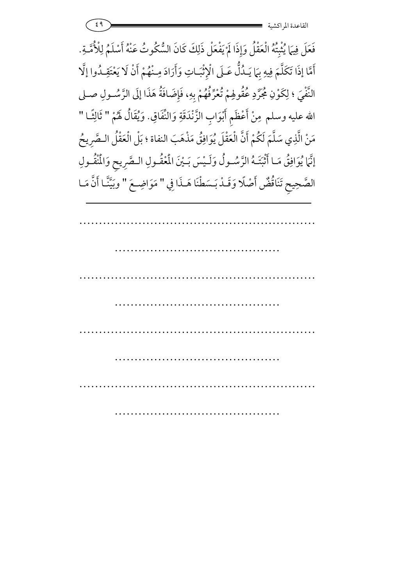$\epsilon$ ٩ -  $\frac{1}{2}$  -  $\frac{1}{2}$  -  $\frac{1}{2}$  -  $\frac{1}{2}$  -  $\frac{1}{2}$  -  $\frac{1}{2}$  -  $\frac{1}{2}$  -  $\frac{1}{2}$  -  $\frac{1}{2}$  -  $\frac{1}{2}$  -  $\frac{1}{2}$  -  $\frac{1}{2}$  -  $\frac{1}{2}$  -  $\frac{1}{2}$  -  $\frac{1}{2}$  -  $\frac{1}{2}$  -  $\frac{1}{2}$  -  $\frac{1}{2}$ القاعدة المراكشي

فَعَلَ فِيهَا يُثْبِتُهُ الْعَقْلُ وَإِذَا لَمْ يَفْعَلْ ذَلِكَ كَانَ السُّكُوتُ عَنْهُ أَسْلَمُ لِلْأُمَّـةِ. 7 أَمَّا إذَا تَكَلَّمَ فِيهِ بِمَا يَـدُلُّ عَـلَى الْإِثْبَـاتِ وَأَرَادَ مِـنْهُمْ أَنْ لَا يَعْتَقِـدُوا إِلَّا النَّفْيَ ؛ لِكَوْنِ مُحَرَّدِ عُقُولِهِمْ تُعْرِّفُهُمْ بِهِ، فَإِضَافَةُ هَذَا إِلَى الرَّسُـولِ صـلى الله عليه وسلم مِنْ أَعْظَمِ أَبْوَابِ الزَّنْدَقَةِ وَالنَّفَاقِ. وَيُقَالُ لَهُمْ " ثَالِثًـا " مَنْ الَّذِي سَلَّمَ لَكُمْ أَنَّ الْعَقْلَ يُوَافِقُ مَذْهَبَ النفاة ؛ بَلْ الْعَقْلُ الـصَّرِيحُ إنَّمَا يُوَافِقُ مَـا أَثْبَتَـهُ الرَّسُـولُ وَلَـيْسَ بَـيْنَ المُعْقُـولِ الـصَّرِيحِ وَالمُنْقُـولِ الصَّحِبِحِ تَنَاقُضُّ أَصْلًا وَقَـدْ بَـسَطْنَا هَـذَا فِي " مَوَاضِـعَ " وبَيَّنَّـا أَنَّ مَـا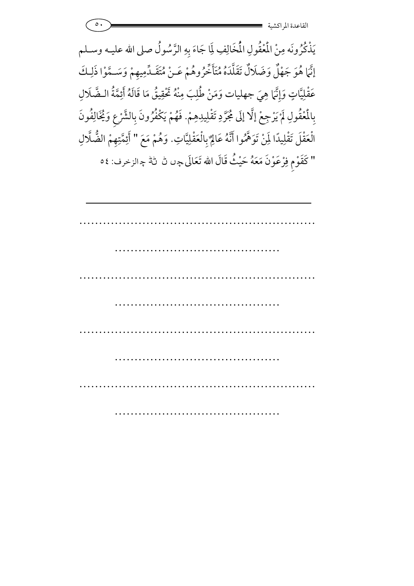|  | ا شمشی شد<br>$\sim 1 - 1$ |
|--|---------------------------|
|  | القاعدة المراكشية         |

يَذْكُرُونَه مِنْ المُغْقُولِ الْمُخَالِفِ لِمَا جَاءَ بِهِ الرَّسُولُ صلى الله عليـه وسـلم إِنَّمَا هُوَ جَهْلٌ وَضَلَالٌ تَقَلَّدَهُ مُتَأَخِّرُوهُمْ عَـنْ مُتَقَـدٍّمِيهِمْ وَسَـمَّوْا ذَلِـكَ عَقْلِيَّاتٍ وَإِنَّمَا هِيَ جهليات وَمَنْ طُٰلِبَ مِنْهُ تَحْقِيقُ مَا قَالَهُ أَئِمَّةُ الـضَّلَالِ بِالْمُقُولِ لَمْ يَرْجِعْ إِلَّا إِلَى مُجَرَّدِ تَقْلِيدِهِمْ. فَهُمْ يَكْفُرُونَ بِالشَّرْعِ وَيُخَالِفُونَ 7 هُمْ يَكْفَرُونَ بِالشَّرْعِ وَيُح  $\overline{y}$ **5** الْعَقْلَ تَقْلِيدًا لِمَنْ تَوَهَّمُوا أَنَّهُ عَالِمٌ بِالْعَقْلِيَّاتِ d تَقْلِيدًا لَمِنْ تَوَهَّمُوا أَنَّهُ عَالِمٌ بِالْعَقْلِيَّاتِ. وَهُمْ مَعَ " أَئِمَّتِهِمْ الضُّلَّالِ "كَقَوْمٍ فِرْعَوْنَ مَعَهُ حَيْثُ قَالَ الله تَعَالَى چِ لِّ لِّ لِّ جِالزخرف: ٤٥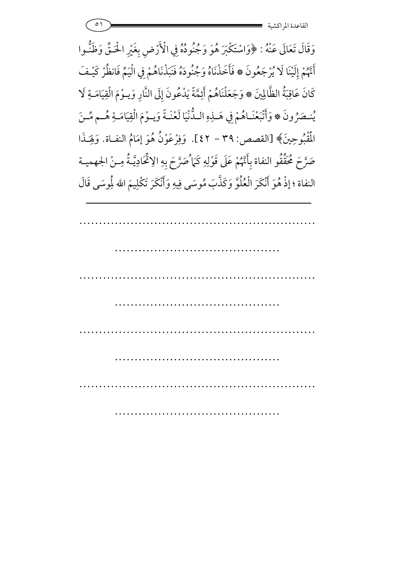وَقَالَ تَعَالَى عَنْهُ : ﴿وَاسْتَكْبَرَ هُوَ وَجُنُودُهُ فِي الْأَرْضِ بِغَيْرِ الْحَتَّى وَظَنَّـوا **J** أَتَهُمْ إِلَيْنَا لَا يُرْجَعُونَ ۞ فَأَخَذْنَاهُ وَجُنُودَهُ فَنَبَذْنَاهُمْ فِي الْيَمِّ فَانظُرْ كَيْـفَ كَانَ عَاقِبَةُ الظَّالِينَ ۞ وَجَعَلْنَاهُمْ أَئِمَّةً يَدْعُونَ إِلَى النَّارِ وَيـوْمَ الْقِيَامَـةِ لَا يُنصَرُونَ ۞ وَأَتْبَعْنَـاهُمْ فِي هَــٰذِهِ الـدُّنْيَا لَعْنَـةً وَيــوْمَ الْقِيَامَـةِ هُــم مِّــنَ الْمَقْبُوحِينَ﴾ [القصص: ٣٩ – ٤٢]. وَفِرْعَوْنُ هُوَ إِمَامُ النفاة. وَلِهَـذَ )<br>1 وَلِهَـٰذا صَرَّحَ مُحَقَّقُو النفاة بِأَنَّهُمْ عَلَى قَوْلِهِ كَمَا ُصَرَّحَ بِهِ الِاتَّحَادِيَّـةُ مِـنْ الجهميـة النفاة ؛ إذْ هُوَ أَنْكَرَ الْعُلُوَّ وَكَذَّبَ مُوسَى فِيهِ وَأَنْكَرَ تَكْلِيمَ الله لِمُوسَى قَالَ .<br>.<br>.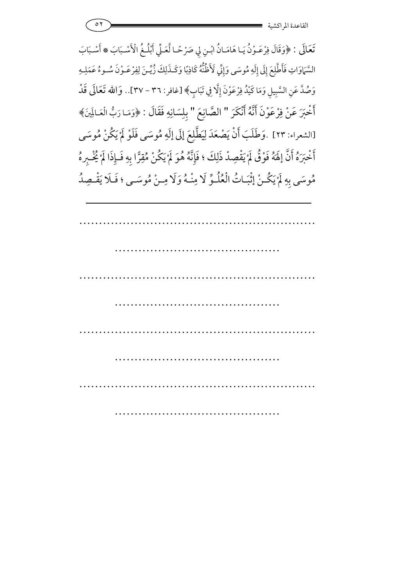0۲ **- محمد المسلسل**ة المسلسل القاعدة المراكشي

تَعَالَى : ﴿وَقَالَ فِرْعَـوْنُ يَـا هَامَـانُ ابْـنِ لِي صَرْحًـا لَّعَـلِّي أَبْلُـغُ الْأَسْـبَابَ \* أَسْـبَابَ 7 السَّمَاوَاتِ فَأَطَّلِعَ إِلَى إِلَهِ مُوسَى وَإِنِّي لَأَظُنُّهُ كَاذِبًا وَكَـذَلِكَ زُيِّـنَ لِفِرْعَـوْنَ سُـوءُ عَمَلِـهِ وَصُدَّ عَنِ السَّبِيلِ وَمَا كَيْدُ فِرْعَوْنَ إِلَّا فِي تَبَابٍ﴾ [غافر : ٣٦ – ٣٧].. وَالله تَعَالَى قَدْ أَخْبَرَ عَنْ فِرْعَوْنَ أَنَّهُ أَنْكَرَ " الصَّانِعَ " بِلِسَانِهِ فَقَالَ : ﴿وَمَا رَبُّ الْعَـالَمِينَ﴾ [الشعراء: ٢٣] .وَطَلَبَ أَنْ يَصْعَدَ لِيَطَّلِعَ إِلَى إِلَهِ مُوسَى فَلَوْ لَمْ يَكُنْ مُوسَى 7 أَخْبَرَهُ أَنَّ إِلَهَهُ فَوْقُ لَمْ يَقْصِدْ ذَلِكَ ؛ فَإِنَّهُ هُوَ لَمْ يَكُنْ مُقِرًّا بِهِ فَـإِذَا لَمْ يُخْـبِرهُ 7 مُوسَى بِهِ لَمْ يَكُنْ إِثْبَـاتُ الْعُلُـوِّ لَا مِنْـهُ وَلَا مِـنْ مُوسَـى ؛ فَـلَا يَقْـصِدُ 7 5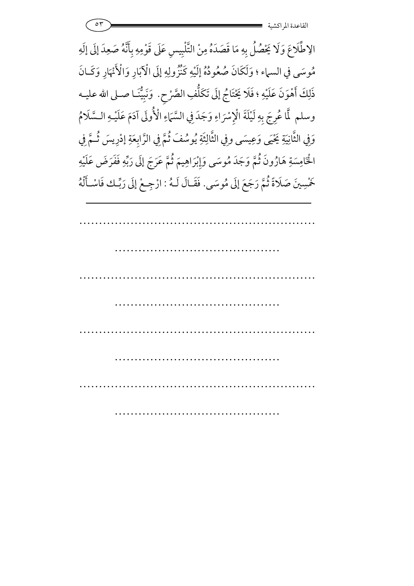

الِاطَّلَاعَ وَلَا يَحْصُلُ بِهِ مَا قَصَدَهُ مِنْ التَّلْبِيسِ عَلَى قَوْمِهِ بِأَنَّهُ صَعِدَ إِلَى إِلَهِ مُوسَى في السماء ؛ وَلَكَانَ صُعُودُهُ إِلَيْهِ كَنْزُولِهِ إِلَى الْآبَارِ وَالْأَنْهَارِ وَكَـانَ ذَلِكَ أَهْوَنَ عَلَيْهِ ؛ فَلاَ يَخْتَاجُ إِلَى تَكْلُفِ الصَّرْحِ ذَلِكَ أَهْوَنَ عَلَيْهِ ؛ فَلَا يَحْتَاجُ إِلَى تَكَلُّفِ الصَّرْحِ. ۚ وَنَبِيُّنَـا صـلى الله عليـه وسلم لَّا عُرِجَ بِهِ لَيْلَةَ الْإِسْرَاءِ وَجَدَ فِي السَّمَاءِ الْأُولَى آدَمَ عَلَيْـهِ الـسَّلَامُ  $\frac{1}{c}$ وَفِي الثَّانِيَةِ يَحْيَى وَعِيسَى وفِي الثَّالِثَةِ يُوسُفَ ثُمَّ فِي الزَّابِعَةِ إدْرِيسَ ثُمَّ فِي ثَّالِثَةِ يُوسُفَ ثُمَّ فِي الزَّابِعَةِ إدْرِيسَ ثُـمَّ الْخَامِسَةِ هَارُونَ ثُمَّ وَجَدَ مُوسَى وَإِبْرَاهِيمَ ثُمَّ عَ لْخَامِسَةِ هَارُونَ ثُمَّ وَجَدَ مُوسَى وَإِبْرَاهِيمَ ثُمَّ عَرَجَ إلَى رَبِّهِ فَفَرَضَ عَلَيْهِ خَمْسِينَ صَلَاةً ثُمَّ رَجَعَ إِلَى مُوسَى. فَقَـالَ لَـهُ : ارْجِـعْ إِلَى رَبِّـك فَاسْـأَلْهُ Ĵ 5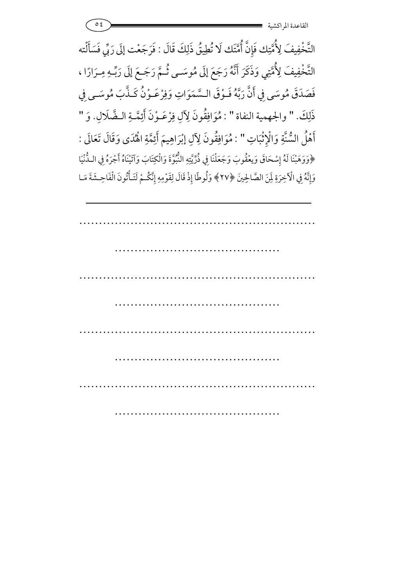0*٤* - 2010 - 2021 - 2021 - 2021 - 2022 - 2022 - 2022 - 2022 - 2022 - 2022 - 2022 - 2022 - 2022 - 20 القاعدة المراكشي

التَّخْفِيفَ لِأُمَّتِك فَإِنَّ أُمَّتَك لَا تُطِيقُ ذَلِكَ قَالَ : فَرَجَعْت إِلَى رَبِّي فَسَأَلْته التَّخْفِيفَ لِأُمَّتِي وَذَكَرَ أَنَّهُ رَجَعَ إِلَى مُوسَـى ثُـمَّ رَجَـعَ إِلَى رَبِّـهِ مِـرَارًا ، فَصَدَقَ مُوسَى فِي أَنَّ رَبَّهُ فَـوْقَ الـسَّمَوَاتِ وَفِرْعَـوْنُ كَـذَّبَ مُوسَـى فِي ذَلِكَ. " والجهمية النفاة " : مُوَافِقُونَ لِآلِ فِرْعَـوْنَ أَئِمَّـةِ الـضَّلَالِ. وَ " أَهْلُ السُّنَّةِ وَالْإِثْبَاتِ " : مُوَافِقُونَ لِآلِ إبْرَاهِيمَ أَئِمَّةِ الْهُدَى وَقَالَ تَعَالَى : ة<br>ن **)** ﴿وَوَهَبْنَا لَهُ إِسْحَاقَ وَيعْقُوبَ وَجَعَلْنَا فِي ذُرِّيَّتِهِ النُّبُوَّةَ وَالْكِتَابَ وَآتَيْنَاهُ أَجْرَهُ فِي اللُّنْيَا وَإِنَّهُ فِي الْآخِرَةِ لِمَنَ الصَّالِحِينَ ﴿٢٧﴾ وَلُوطًا إِذْ قَالَ لِقَوْمِهِ إِنَّكُمْ لَتَـأْتُونَ الْفَاحِـشَةَ مَـا آ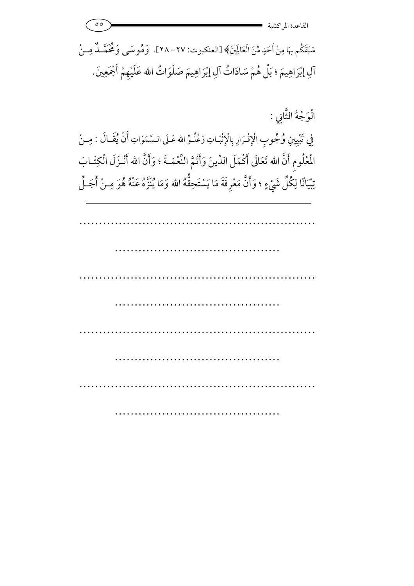٥٥ -القاعدة المراكشي سَبَقَكُم بهَا مِنْ أَحَدٍ مِّنَ الْعَالَمِينَ﴾ [العنكبوت: ٢٧ - ٢٨]. ۖ وَمُوسَى وَمُحَمَّــدٌ مِــنْ

آلِ إِبْرَاهِيمَ ؛ بَلْ هُمْ سَادَاتُ آلِ إِبْرَاهِيمَ صَلَوَاتُ الله عَلَيْهِمْ أَجْمَعِينَ. 7

الْوَجْهُ الثَّانِي :

فِي تَبْيِينِ وُجُوبِ الْإِقْرَارِ بِالْإِثْبَاتِ وَعُلُوٍّ الله عَـلَى الـسَّمَوَاتِ أَنْ يُقَـالَ : مِـنْ الْمُلُومِ أَنَّ الله تَعَالَى أَكْمَلَ الدِّينَ وَأَتَمَّ النَّعْمَــةَ ؛ وَأَنَّ الله أَنْـزَلَ الْكِتَـابَ تِبْيَانًا لِكُلِّ شَيْءٍ ؛ وَأَنَّ مَعْرِفَةَ مَا يَسْتَحِقُّهُ الله وَمَا يُنَزَّهُ عَنْهُ هُوَ مِـنْ أَجَـلِّ 7 نا يَنزهُ عنهُ هُ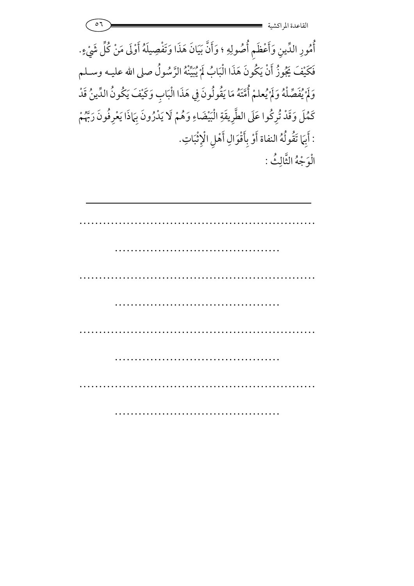٥٦ -القاعدة المراكشي …………………………………………………… ……………………………………………… …………………………………………………… …………………………………… …………………………………………………… …………………………………… …………………………………………………… ………………………… أُمُورِ الدِّينِ وَأَعْظَمِ أُصُولِهِ ؛ وَأَنَّ بَيَانَ هَذَا وَتَفْصِيلَهُ أَوْلَى مَنْ كُلِّ شَيْءٍ. 7 فَكَيْفَ يَجُوزُ أَنْ يَكُونَ هَذَا الْبَابُ لَمْ يُبَيِّنْهُ الرَّسُولُ صلى الله عليـه وسـلـم 7 وَلَمْ يُفَصِّلْهُ وَلَمْ يُعلمْ أُمَّتَهُ مَا يَقُولُونَ فِي هَذَا الْبَابِ وَكَيْفَ يَ مْ أُمَّتَهُ مَا يَقُولُونَ فِي هَذَا الْبَابِ وَكَيْفَ يَكُونُ الدِّينُ قَدْ كَمُلَ وَقَدْ تُرِكُوا عَلَى الطَّرِيقَةِ الْبَيْضَاءِ وَهُمْ لَا يَدْرُونَ بِهَاذَا يَعْرِفُونَ رَبَّهُمْ كَمُلَ وَقَدْ تُرِكُوا عَلَى الطَّرِيقَةِ الْبَيْضَ : أَبِهَا تَقُولُهُ النفاة أَوْ بِأَقْوَالِ أَهْلِ الْإِثْبَاتِ. a<br>1 الْوَجْهُ الثَّالِثُ وَجْهُ الثالِث :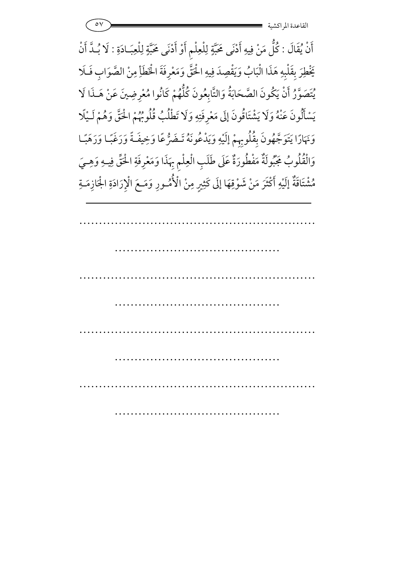أَنْ يُقَالَ : كُلُّ مَنْ فِيهِ أَدْنَى مَحَبَّةٍ لِلْعِلْمِ أَوْ أَدْنَى مَحَبَّةٍ لِلْعِبَـادَةِ : لَا بُـدَّ أَنْ يَخْطِرَ بِقَلْبِهِ هَذَا الْبَابُ وَيَقْصِدَ فِيهِ الْحَقَّ وَمَعْرِفَةَ الْخَطَأِ مِنْ الصَّوَابِ فَلَا يَخْطِرَ بِقَلْبِهِ هَ يُتَصَوَّرُ أَنْ يَكُونَ الصَّحَابَةُ وَالتَّابِعُونَ كُلُّهُمْ كَانُوا مُعْرِضِينَ عَنْ هَـذَا لَا يَسْأَلُونَ عَنْهُ وَلَا يَشْتَاقُونَ إِلَى مَعْرِفَتِهِ وَلَا تَطْلُبُ قُلُوبُهُمْ الْحَقَّ وَهُمْ لَـيْلَا وَنَهَارًا يَتَوَجَّهُونَ بِقُلُوبِهِمْ إِلَيْهِ وَيَدْعُونَهُ تَـضَرُّعًا وَخِيفَةً وَرَغَبًا وَرَهَبًـا وَالْقُلُوبُ جَبُّولَةٌ مَفْطُورَةٌ عَلَى طَلَبِ الْعِلْمِ بِهَذَا وَمَعْرِفَةِ الْحَقِّ فِيهِ وَهِيَ مُشْتَاقَةٌ إِلَيْهِ أَكْثَرَ مَنْ شَوْقِهَا إِلَى كَثِيرٍ مِنْ الْأُمُسُورِ وَمَـعَ الْإِرَادَةِ الْجَازِمَـةِ 6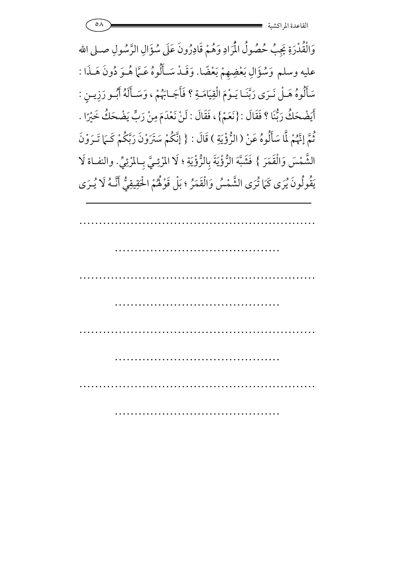0<sup>٨</sup> - محمد المستقلة المستقلة المستقلة المستقلة المستقلة المستقلة المستقلة المستقلة المستقلة المستقلة المستقلة ال<br>المستقلة المستقلة المستقلة المستقلة المستقلة المستقلة المستقلة المستقلة المستقلة المستقلة المستقلة المستقلة القاعدة المراكشي

وَالْقُدْرَةِ يَجِبُ حُصُولُ الْمُرَادِ وَهُمْ قَادِرُونَ عَلَى سُؤَا وَالْقُدْرَةِ يَجِبُ حُصُولُ الْمُرَادِ وَهُمْ قَادِرُونَ عَلَى سُؤَالِ الرَّسُولِ صـلى الله عليه وسلم وَسُؤَالِ بَعْضِهِمْ بَعْضًا. وَقَـدْ سَـأَلُوهُ عَـمَّا هُـوَ دُونَ هَـذَا : سَأَلُوهُ هَـلْ نَـرَى رَبَّنَـا يَـوْمَ الْقِيَامَـةِ ؟ فَأَجَـابَهُمْ ، وَسَـأَلَهُ أَبُـو رَزِيـنٍ : أَيَضْحَكُ رَبُّنَا ؟ فَقَالَ : {نَعَمْ}، فَقَالَ : لَنْ نَعْدَمَ مِنْ رَبٍّ يَضْحَكُ خَيْرًا . .<br>م ثُمَّ إِنَّهُمْ لَّا سَأَلُوهُ عَنْ ( الرُّؤْيَةِ رٌّؤْيَةِ ) قَالَ : { إِنَّكُمْ سَتَرَوْنَ رَبَّكُمْ كَـَمَا تَـرَوْنَ الشَّمْسَ وَالْقَمَرَ } فَشَبَّهَ الرُّؤْيَةَ بِالرُّؤْيَةِ ؛ لَا الم ؤْيَةَ بِالرُّؤْيَةِ ؛ لَا المْرْئِيَّ بِالمْرْئِيِّ. والنفاة لَا يَقُولُونَ يُرَى كَمَا تُرَى الشَّمْسُ وَالْقَمَرُ ؛ بَلْ قَوْلُهُمْ الْحَقِيقِيُّ أَنَّـهُ لَا يُـرَى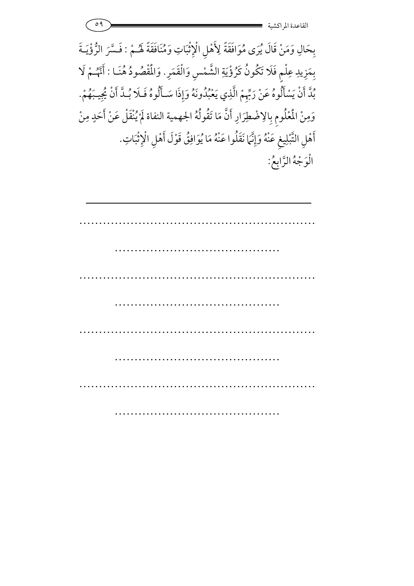

بِحَالِ وَمَنْ قَالَ يُرَى مُوَافَقَةً لِأَهْلِ الْإِثْبَاتِ وَمُنَافَقَةً لَهُـمْ : فَسَّرَ الرُّؤْيَـةَ a<br>1 بِمَزِيدِ عِلْمٍ فَلَا تَكُونُ كَرُؤْيَةِ الشَّمْسِ وَالْقَمَرِ. وَالْمُقْصُودُ هُنَـا : أَنَّهُـمْ لَا بُدَّ أَنْ يَسْأَلُوهُ عَنْ رَبِّهِمْ الَّذِي يَعْبُدُونَهُ وَإِذَا سَـأَلُوهُ فَـلَا بُـدَّ أَنْ يُجِيبَهُمْ. وَمِنْ المُعْلُومِ بِالِاضْطِرَارِ أَنَّ مَا تَقُولُهُ الجهمية النفاة لَمْ يُنْقَلْ عَنْ أَحَدٍ مِنْ 7 أَهْلِ التَّبْلِيغِ عَنْهُ وَإِنَّمَا نَقَلُوا عَنْهُ مَا يُوَافِقُ قَوْلَ أَهْلِ الْإِثْبَاتِ. الْوَجْهُ الرَّابِعُ: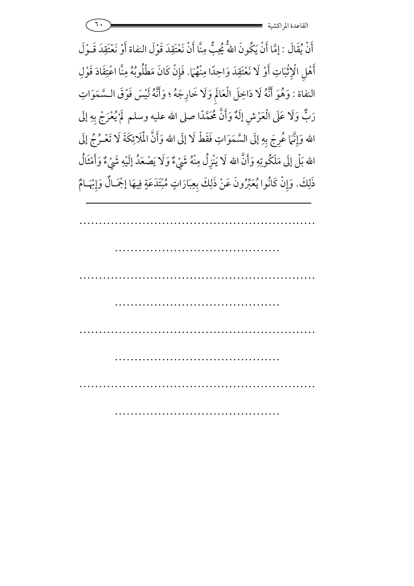|  | القاعده المو<br>ِ ، دسیه |
|--|--------------------------|
|--|--------------------------|

أَنْ يُقَالَ : إِمَّا أَنْ يَكُونَ اللهُ يُجِبُّ مِنَّا أَنْ نَعْتَقِدَ قَوْلَ النفاة أَوْ نَعْتَقِدَ قَـوْلَ أَهْلِ الْإِثْبَاتِ أَوْ لَا نَعْتَقِدَ وَاحِدًا مِنْهُمَا. فَإِنْ كَانَ مَطْلُوبُهُ مِنَّا اعْتِقَادَ قَوْلِ شة<br>ذ النفاة : وَهُوَ أَنَّهُ لَا دَاخِلَ الْعَالَمِ وَلَا خَارِجَهُ ؛ وَأَنَّهُ لَيْسَ فَوْقَ السَّمَوَاتِ رَبٌّ وَلَا عَلَى الْعَرْشِ إِلَهٌ وَأَنَّ مُحَمَّدًا صلى الله عليه وسلم ۖ لَمْ يُعْرَجْ بِهِ إِلَى الله وَإِنَّمَا عُرِجَ بِهِ إِلَى السَّمَوَاتِ فَقَطْ لَا إِلَى الله وَأَنَّ الْمَلَائِكَةَ لَا تَعْـرُجُ إِلَى الله بَلْ إِلَى مَلَكُوتِهِ وَأَنَّ الله لَا يَنْزِلُ مِنْهُ شَيْءٌ وَلَا يَصْعَدُ إِلَيْهِ شَيْءٌ وَأَمْثَالُ ذَلِكَ. وَإِنْ كَانُوا يُعَبِّرُونَ عَنْ ذَلِكَ بِعِبَارَاتٍ مُبْتَدَعَةٍ فِيهَا إجْمَـالٌ وَإِبْهَـامٌ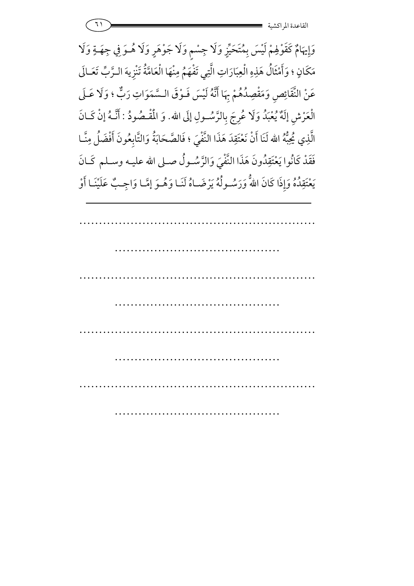وَإِيهَامٌ كَقَوْلِهِمْ لَيْسَ بِمُتَحَيِّزٍ وَلَا جِسْمٍ وَلَا جَوْهَرٍ وَلَا هُــوَ فِي جِهَــةٍ وَلَا **<sup>7</sup>** مَكَانٍ ؛ وَأَمْثَالُ هَذِهِ الْعِبَارَاتِ الَّتِي تَفْهَمُ مِنْهَا الْعَامَّةُ تَنْزِيهَ الـرَّبِّ تَعَـالَى عَنْ النَّقَائِصِ وَمَقْصِدُهُمْ بِهَا أَنَّهُ لَيْسَ فَـوْقَ الـسَّمَوَاتِ رَبٌّ ؛ وَلَا عَـلَى ع وَمَقْصِ الْعَرْشِ إِلَهٌ يُعْبَدُ وَلَا عُرِجَ بِالرَّسُـولِ إِلَى لْعَرْشِ إِلَهٌ يُعْبَدُ وَلَا عُرِجَ بِالرَّسُـولِ إِلَى الله. وَ الْمُقْـصُودُ : أَنَّـهُ إِنْ كَـانَ الَّذِي يُحِبُّهُ الله لَنَا أَنْ نَعْتَقِدَ هَذَا النَّفْيَ ؛ فَالصَّحَابَةُ وَالتَّابِعُونَ أَفْضَلُ مِنَّـا فَقَدْ كَانُوا يَعْتَقِدُونَ هَذَا النَّفْيَ وَالزَّسُـولُ صـلى الله عليـه وسـلم كَـانَ يَعْتَقِدُهُ وَإِذَا كَانَ اللهُّ وَرَسُــولُهُ يَرْضَــاهُ لَنَـا وَهُــوَ إِمَّـا وَاجِــبٌّ عَلَيْنَـا أَوْ 5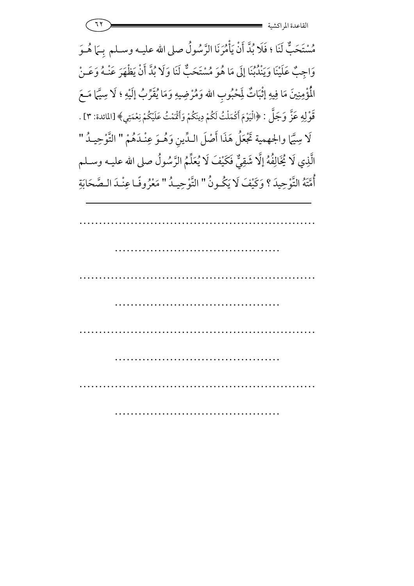11 **- 2008 - 2008 - 2008 - 2008 - 2008 - 2008 - 2008 - 2008 - 2008 - 2008 - 2008 - 2008 - 2008 - 200** القاعدة المراكشي

مُسْتَحَبٌّ لَنَا ؛ فَلَا بُدَّ أَنْ يَأْمُرَنَا الرَّسُولُ صلى الله عليــه وســلم بِــمَا هُــوَ أ وَاجِبٌ عَلَيْنَا وَيَنْدُبُنَا إِلَى مَا هُوَ مُسْتَحَبٌّ لَنَا وَلَا بُدَّ أَنْ يَظْهَرَ عَنْـهُ وَعَـنْ الْمُؤْمِنِينَ مَا فِيهِ إِثْبَاتٌ لِمَحْبُوبِ الله وَمُرْضِيهِ وَمَا يُقَرِّبُ إِلَيْهِ ؛ لَا سِيَّمَا مَـعَ ة<br>ن قَوْلِهِ عَزَّ وَجَلَّ : ﴿الْيَوْمَ أَكْمَلْتُ لَكُمْ دِينَكُمْ وَأَقْمَتُ عَلَيْكُمْ نِعْمَتِي﴾ [المائدة: ٣] . لَا سِيَّمَا والجهمية تَجْعَلُ هَذَا أَصْلَ الـدِّينِ وَهُـوَ عِنْـدَهُمْ " التَّوْحِيـدُ " الَّذِي لَا يُخَالِفُهُ إِلَّا شَقِيٌّ فَكَيْفَ لَا يُعَلِّمُ الرَّسُولُ صلى الله عليـه وســلم أُمَّتَهُ التَّوْحِيدَ ؟ وَكَيْفَ لَا يَكُونُ " التَّوْحِيدُ " مَعْرُوفًا عِنْـدَ الـصَّحَابَةِ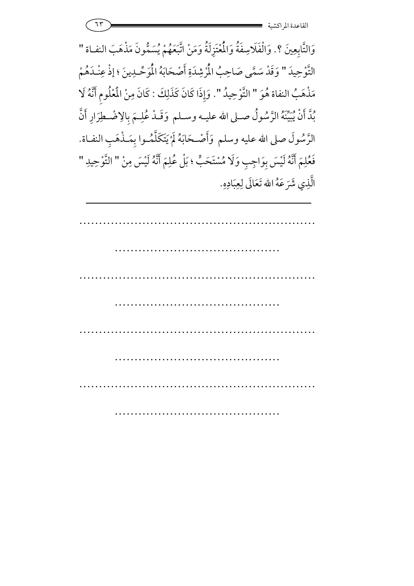| -- | $\bullet\bullet$  |
|----|-------------------|
|    | القاعدة المراكشية |

وَالتَّابِعِينَ ؟. وَالْفَلَاسِفَةُ وَالْمُتَزِلَةُ وَمَنْ اتَّبَعَهُمْ يُسَمُّونَ مَذْهَبَ النفـاة " التَّوْحِيدَ " وَقَدْ سَمَّى صَاحِبُ الْمُرْشِدَةِ أَصْحَابَهُ الْمَوَحِّـدِينَ ؛ إذْ عِنْـدَهُمْ مَذْهَبُ النفاة هُوَ " التَّوْحِيدُ ". وَإِذَا كَانَ كَذَلِكَ : كَانَ مِنْ الْمُلُومِ أَنَّهُ لَا بُدَّ أَنْ يُبَيِّنَهُ الرَّسُولُ صـلى الله عليـه وسـلم وَقَـدْ عُلِـمَ بِالِاضْـطِرَارِ أَنَّ الرَّسُولَ صلى الله عليه وسلم وَأَصْـحَابَهُ لَمْ يَتَكَلَّمُـوا بِمَـذْهَبِ النفـاة. ;<br>; 7 فَعْلِمَ أَنَّهُ لَيْسَ بِوَاجِبِ وَلَا مُسْتَحَبٍّ ؛ بَلْ عُلِمَ أَنَّهُ لَيْسَ مِنْ " التَّوْحِيدِ " الَّذِي شَرَعَهُ الله تَعَالَى لِعِبَادِهِ.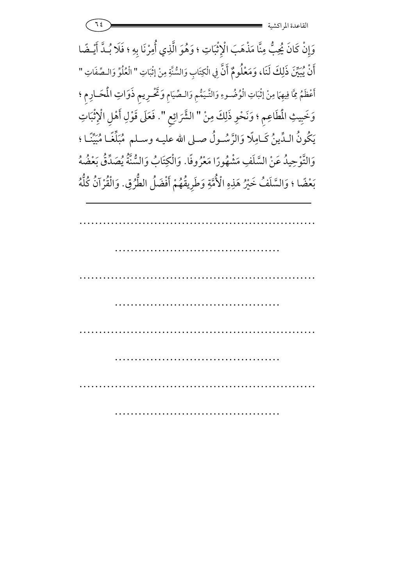$\frac{1}{2}$   $=$   $\frac{1}{2}$   $=$   $\frac{1}{2}$   $=$   $\frac{1}{2}$   $=$   $\frac{1}{2}$   $=$   $\frac{1}{2}$   $=$   $\frac{1}{2}$   $=$   $\frac{1}{2}$   $=$   $\frac{1}{2}$   $=$   $\frac{1}{2}$   $=$   $\frac{1}{2}$   $=$   $\frac{1}{2}$   $=$   $\frac{1}{2}$   $=$   $\frac{1}{2}$   $=$   $\frac{1}{2}$   $=$   $\frac{1}{2}$  القاعدة المراكشي

وَإِنْ كَانَ يُحِبُّ مِنَّا مَذْهَبَ الْإِثْبَاتِ ؛ وَهُوَ الَّذِي أُمِرْنَا بِهِ ؛ فَلَا بُـدَّ أَيْـضًا أَنْ يُبَيِّنَ ذَلِكَ لَنَا، وَمَعْلُومٌ أَنَّ فِي الْكِتَابِ وَالسُّنَّةِ مِنْ إثْبَاتِ " الْعُلُوِّ وَالـصِّفَاتِ " أَعْظَمُ مِمَّا فِيهِمَا مِنْ إِثْبَاتِ الْوُضُـوءِ وَالتَّيَمُّمِ وَالـصِّيَامِ وَتَحْـرِيمِ ذَوَاتِ المُحَـارِمِ ؛ Ĵ <u>ا</u> تٌحْرِيم ذَوَاتِ 7 وَخَبِيثِ المُطَاعِمِ ؛ وَنَحْوِ ذَلِكَ مِنْ " الشَّرَائِعِ شَّرَائِعِ ". فَعَلَى قَوْلِ أَهْلِ الْإِثْبَاتِ فَعَلَى قَوْلِ أَهْلِ الْإِثْبَ a يَكُونُ الـدِّينُ كَـامِلًا وَالرَّسُـولُ صـلى الله عليـه وسـلم مُبَلِّغًـا مُبَيِّنًا ؛ وَالتَّوْحِيدُ عَنْ السَّلْفِ مَشْهُورًا مَعْرُوفا ;<br>^ تَّوْحِيدُ عَنْ السَّلَفِ مَشْهُورًا مَعْرُوفًا. وَالْكِتَابُ وَالسُّنَّةُ يُصَدِّقُ بَعْضُهُ 7 بَعْضًا ؛ وَالسَّلَفُ خَيْرُ هَذِهِ الْأُمَّةِ وَطَرِيقُهُمْ أَفْضَلُ الطُّرُقِ. وَالْقُرْآنُ كُلُّهُ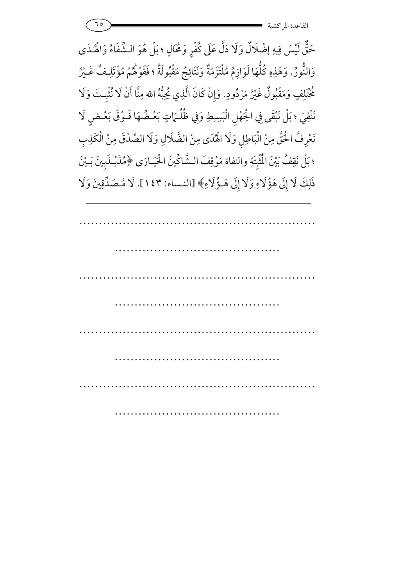حَقٌّ لَيْسَ فِيهِ إضْلَالٌ وَلَا دَلَّ عَلَى كُفْرٍ وَمُحَالٍ ؛ بَلْ هُوَ الـشَّفَاءُ وَالْهُـدَى **)** وَالنُّورُ. وَهَذِهِ كُلُّهَا لَوَازِمُ مُلْتَزَمَةٌ وَنَتَائِجُ مَقْبُولَةٌ ؛ فَقَوْلُهُمْ مُؤْتَلِـفٌ غَـيْرُ مُحْتَلِفٍ وَمَقْبُولٌ غَيْرُ مَرْدُودٍ. وَإِنْ كَانَ الَّذِي يُحِبُّهُ الله مِنَّا أَنْ لَا نُثْبِتَ وَلَا نَنْفِيَ ؛ بَلْ نَبْقَى فِي الْجَهْلِ الْبَسِيطِ وَفِي ظُلُّـمَاتٍ بَعْـضُهَا فَـوْقَ بَعْـضٍ لَا نَعْرِفُ الْحَقَّ مِنْ الْبَاطِلِ وَلَا الْهُدَى مِنْ الضَّلَالِ وَلَا الصِّدْقَ مِنْ الْكَذِبِ ؛ بَلْ نَقِفُ بَيْنَ الْمُثْبِتَةِ والنفاة مَوْقِفَ الشَّاكِّينَ الْحَيَـارَى ﴿مُذَبْـذَبِينَ بَـيْنَ ذَلِكَ لَا إِلَى هَؤُلَاءِ وَلَا إِلَى هَـؤُلَاءِ﴾ [النـساء: ١٤٣]. لَا مُـصَدِّقِينَ وَلَا <u>َـ</u>صَدِّقِ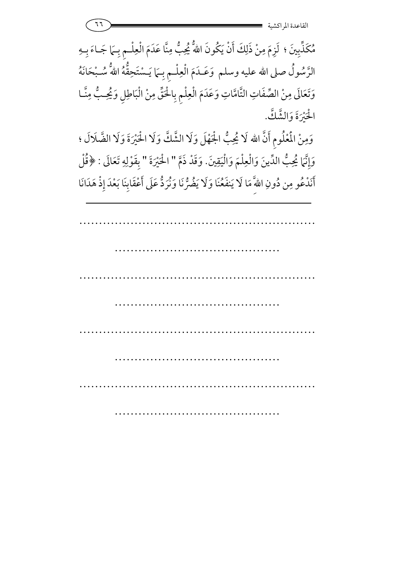مُكَذِّبِينَ ؛ لَزِمَ مِنْ ذَلِكَ أَنْ يَكُونَ اللَّهُ يُحِبُّ يُحِبُّ مِنَّا عَدَمَ الْعِلْـمِ بِـهَا جَـاءَ بِـهِ الرَّسُولُ صلى الله عليه وسلم وَعَــدَمَ الْعِلْــمِ بِــَمَا يَــسْتَحِقُّهُ اللهُّ سُــبْحَانَهُ وَتَعَالَى مِنْ الصِّفَاتِ التَّامَّاتِ وَعَدَمَ الْعِلْمِ بِالْحَقِّ مِنْ الْبَاطِلِ وَيُحِبُّ مِنَّـا الحَيْرَةَ وَالشَّكْ.

وَمِنْ الْمُعْلُومِ أَنَّ الله لَا يُحِبُّ الْجَهْلَ وَلَا الشَّكَّ وَلَا الْحَيْرَةَ وَلَا الضَّلَالَ ؛ وَإِنَّمَا يُحِبُّ الدِّينَ وَالْعِلْمَ وَالْيَقِينَ. وَقَدْ ذَمَّ " اخْيُرَةَ " بِقَوْلِهِ تَعَالَى : ﴿قُلْ أَنَدْعُو مِن دُونِ اللهِ مَا لَا  $\frac{1}{2}$  $\overline{\phantom{a}}$ نَدْعُو مِن دُونِ اللّهَ ۗ مَا لَا يَنفَعُنَا وَلَا يَضُرُّنَا وَنُرَدٌّ عَلَى أَعْقَابِنَا بَعْدَ إِذْ هَدَانَا 6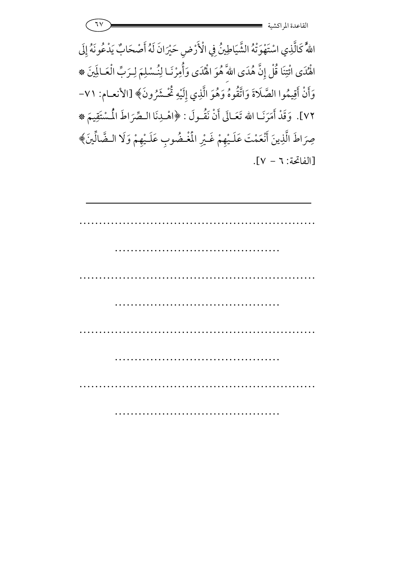| . | $\bullet$<br>. .<br>القاعده المو |
|---|----------------------------------|
|   | ِ اکسیه                          |

اللَّهُ كَالَّذِي اسْتَهْوَتْهُ الشَّيَاطِينُ فِي الْأَرْضِ حَيْرَانَ لَهُ أَصْحَابٌ يَدْعُونَهُ إِلَى اهْْدَى ائْتِنَا قُلْ إِنَّ هُدَى اللهَّ هُوَ اهْْدَى وَأُمِرْنَـا لِنُـسْلِمَ لِـرَبِّ الْعَـالَمِينَ ۞ وَأَنْ أَقِيمُوا الصَّلَاةَ وَاتَّقُوهُ وَهُوَ الَّذِي إِلَيْهِ تُّحْشَرُونَ﴾ [الأنعـام: ٧١v٢]. وَقَدْ أَمَرَنَـا الله تَعَـالَى أَنْ نَقُّـولَ : ﴿اهْـلِنَا الـصِّرَاطَ الْمُسْتَقِيمَ \* صِرَاطَ الَّذِينَ أَنْعَمْتَ عَلَـيْهِمْ غَـيْرِ الْمُغْضُوبِ عَلَـيْهِمْ وَلَا الـضَّالِّينَ﴾ .<br>د [الفاتحة: ٦ − V].

| $\cdots$ |  |  |
|----------|--|--|
|          |  |  |
|          |  |  |
|          |  |  |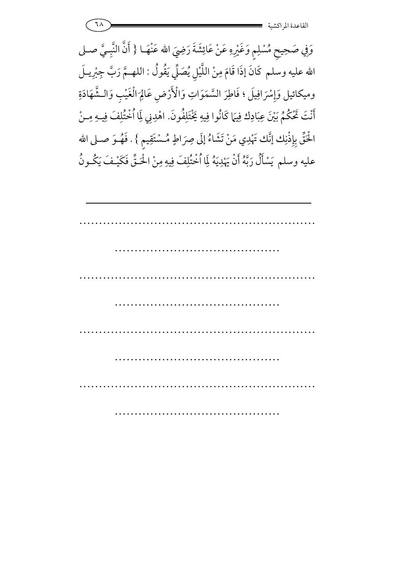وَفِي صَحِيحِ مُسْلِمٍ وَغَيْرِهِ عَنْ عَائِشَةَ رَضِيَ الله عَنْهَــا { أَنَّ النَّبِـيَّ صــلى الله عليه وسلم كَانَ إذَا قَامَ مِنْ اللَّيْلِ يُصَلِّّ يَقُولُ : اللهـمَّ رَبَّ جِبْرِيـلَ وميكائيل وَإِسْرَافِيلَ ؛ فَاطِرَ السَّمَوَاتِ وَالْأَرْضِ عَالِمَ الْغَيْبِ وَالـشَّهَادَةِ مْرَافِيلَ ؛ فَاطِرَ السَّمَوَاتِ وَالْأَرْضِ عَالِم  $\int$ أَنْتَ تَخْكُمُ بَيْنَ عِبَادِك فِيهَا كَانُوا فِيهِ يَخْتَلِفُونَ. اهْدِنِي لِمَا اُخْتُلِفَ فِيهِ مِنْ a<br>1 الْحَقِّ بِإِذْنِك إنَّك تَهْدِي مَنْ تَشَاءُ إِلَى صِرَاطٍ مُسْتَقِيمٍ } . فَهُـوَ صـلى الله عليه وسلم يَسْأَلُ رَبَّهُ أَنْ يَهْدِيَهُ لِمَا اُخْتُلِفَ فِيهِ مِنْ الْحَتَّى فَكَيْفَ يَكُونُ 7 6

| $\cdots$  |  |  |
|-----------|--|--|
|           |  |  |
| $\ddotsc$ |  |  |
|           |  |  |
|           |  |  |
|           |  |  |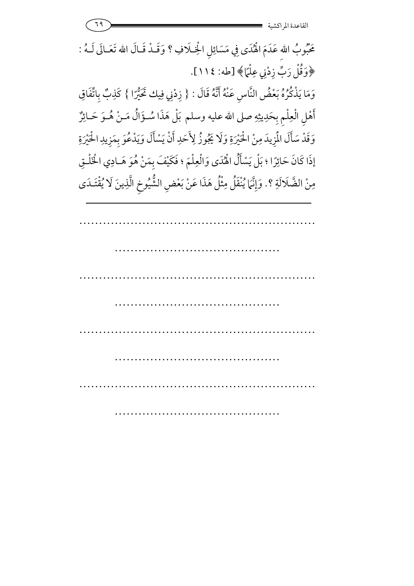مَحْبُوبُ اللهِ عَدَمَ الْهُدَى فِي مَسَائِلِ الْخِـلَافِ ؟ وَقَــدْ قَــالَ .<br>} عَدَمَ الْهُدَى فِي مَسَائِلِ الْخِــلافِ ؟ وَقــدْ قــال الله تَعَــالَى لــهُ : ﴿وَقُلْ رَبِّ زِدْنِي عِلْمًا﴾ [طه: ١١٤]. وَمَا يَذْكُرُهُ بَعْضُ النَّاسِ عَنْهُ أَنَّهُ قَالَ : { زِدْنِي فِيك كَيُّرًا } كَذِبٌ بِاتِّفَاقِ **:** 5 6 أَهْلِ الْعِلْمِ بِحَدِيثِهِ صلى الله عليه وسلم بَلْ هَذَا سُـؤَالٌ مَـنْ هُـوَ حَـائِزٌ وَقَدْ سَأَلَ الْمَزِيدَ مِنْ الْحَيْرَةِ وَلَا يَجُوزُ لِأَحَدِ أَنْ يَسْأَلَ وَيَدْعُوَ بِمَزِيدِ الْحَيْرَةِ إذَا كَانَ حَائِرًا ؛ بَلْ يَسْأَلُ الْهُدَى وَالْعِلْمَ ؛ فَكَيْفَ بِمَنْ هُوَ هَـادِي الْخَلْـقِ مِنْ الضَّلَالَةِ ؟. وَإِنَّمَا يُنْقَلُ مِثْلُ هَذَا عَنْ بَعْضِ الشُّيُوخِ الَّذِينَ لَا يُقْتَـدَى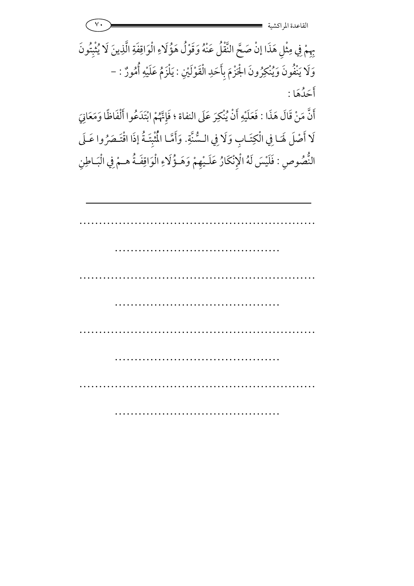بِهِمْ فِي مِثْلِ هَذَا إِنْ صَحَّ النَّقْلُ عَنْهُ وَقَوْلُ هَؤُلَاءِ الْوَاقِفَةِ الَّذِينَ لَا يُثْبِتُونَ فِي مِثْلِ هَذَا إِنْ صَحَّ النَّقْلُ عَنْهُ وَقَوْلُ هَؤُ 7 وَلَا يَنْفُونَ وَيُنْكِرُونَ الْجَزْمَ بِأَحَدِ الْقَوْلَيْنِ : يَلْزَمُ عَلَيْهِ أَمُورٌ يَلزَمُ عَلَيْهِ أَمُورٌ : − أَحَدُهَا :

أَنَّ مَنْ قَالَ هَذَا : فَعَلَيْهِ أَنْ يُنْكِرَ عَلَى النفاة ؛ فَإِنَّهُمْ ابْتَدَعُوا أَلْفَاظًا وَمَعَانِيَ لَا أَصْلَ لَهَـا فِي الْكِتَـابِ وَلَا فِي الـسُّنَّةِ. وَأَمَّـا الْمُثْبِتَةُ إِذَا اقْتَـصَرُوا عَـلَى النُّصُوصِ : فَلَيْسَ لَهُ الْإِنْكَارُ عَلَـيْهِمْ وَهَـؤُلَاءِ الْوَاقِفَـةُ وهـؤلاءِ الو Ĵ مِمْ وَهَـؤُلَاءِ الْوَاقِفَـةُ هـمْ فِي الْبَـاطِنِ فِي الْبَـ Ĵ .<br>|<br>|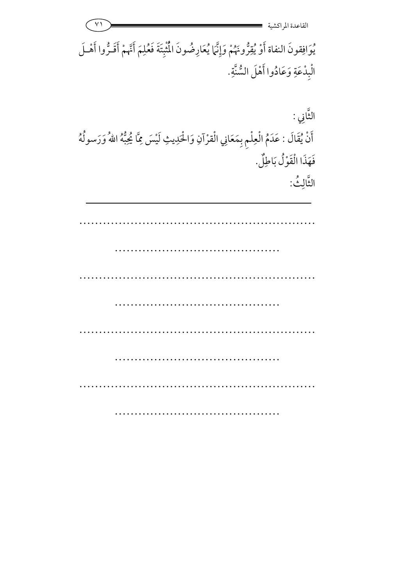| القاعدة المر اكشية                                                                                                                                            |                            |
|---------------------------------------------------------------------------------------------------------------------------------------------------------------|----------------------------|
| يُوافِقونَ النفاة أَوْ يُقِرُّونَهُمْ وَإِنَّهَا يُعَارِضُونَ الْمُثْبِتَةَ فَعُلِمَ أَنَّهُمْ أَقَـرُّوا أَهْـلَ<br>الْبِدْعَةِ وَعَادُوا أَهْلَ السُّنَّةِ. |                            |
| أَنْ يُقَالَ : عَدَمُ الْعِلْمِ بِمَعَانِي الْقرْآنِ وَالْحَدِيثِ لَيْسَ مِمَّا يُحِبُّهُ اللهُ وَرَسولُهُ<br>فَهَذَا الْقَوْلُ بَاطِلٌ.                      | التَّانِي :<br>الثَّالِثُ: |
|                                                                                                                                                               |                            |
|                                                                                                                                                               |                            |
|                                                                                                                                                               |                            |
|                                                                                                                                                               |                            |
|                                                                                                                                                               |                            |
|                                                                                                                                                               |                            |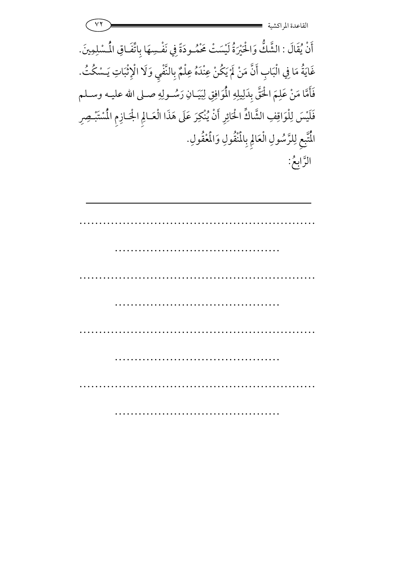| القاعدة المراك                                                                                               |
|--------------------------------------------------------------------------------------------------------------|
| أَنْ يُقَالَ : الشَّكُّ وَالْحَيْرَةُ لَيْسَتْ مَحْمُـودَةً فِي نَفْسِهَا بِاتِّفَاقِ الْمُسْلِمِينَ.        |
| غَايَةُ مَا فِي الْبَابِ أَنَّ مَنْ لَمْ يَكُنْ عِنْدَهُ عِلْمٌ بِالنَّفْيِ وَلَا الْإِثْبَاتِ يَـسْكُتُ.    |
| فَأَمَّا مَنْ عَلِمَ الْحَقَّ بِدَلِيلِهِ الْمُوَافِقِ لِبَيَـانِ رَسُــولِهِ صــلى الله عليــه وســلم       |
| فَلَيْسَ لِلْوَاقِفِ الشَّاكِّ الْحَائِرِ أَنْ يُنْكِرَ عَلَى هَذَا الْعَـالِمِ الْجَـازِمِ الْمُسْتَبْـصِرِ |
| الْمُتَّبِعِ لِلرَّسُولِ الْعَالِمِ بِالْمُنْقُولِ وَالْمُغْفُولِ.                                           |
| الرَّابعُ:                                                                                                   |
|                                                                                                              |
|                                                                                                              |
|                                                                                                              |
|                                                                                                              |
|                                                                                                              |
|                                                                                                              |
|                                                                                                              |
|                                                                                                              |
|                                                                                                              |
|                                                                                                              |
|                                                                                                              |
|                                                                                                              |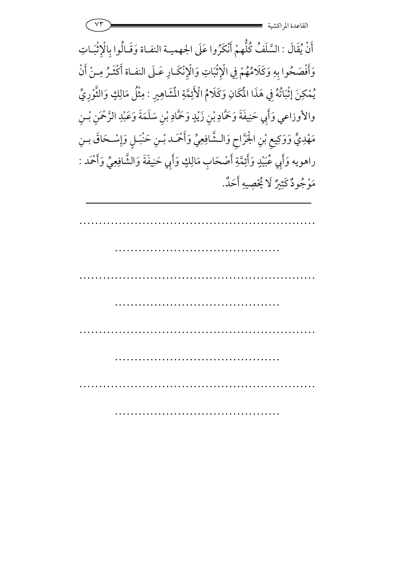| $\mathbf{v}$ | $\bullet\bullet$<br>$\sim$ $\sim$ |
|--------------|-----------------------------------|
|              | القاعدة المراكشية                 |

أَنْ يُقَالَ : السَّلَفُ كُلُّهمْ أَنْكَرُوا عَلَى الجهميـة النفـاة وَقَـالُوا بالْإِثْبَـاتِ وَأَفْصَحُوا بِهِ وَكَلَامُهُمْ فِي الْإِثْبَاتِ وَالْإِنْكَارِ عَـلَى النفـاة أَكْثَـرُ مِـنْ أَنْ يُمْكِنَ إِثْبَاتُهُ فِي هَذَا الْمَكَانِ وَكَلامُ الْأَئِمَّةِ الْمَشَاهِيرِ : مِثْلُ مَالِكٍ وَالثَّوْرِيِّ والأوزاعي وَأَبِي حَنِيفَةَ وَحَمَّادِ بْنِ زَيْدٍ وَحَمَّادِ بْنِ سَلَمَةَ وَعَبْدِ الرَّحْمَنِ بْـنِ مَهْدِيٍّ وَوَكِيعٍ بْنِ الْجَرَّاحِ وَالشَّافِعِيِّ وَأَحْمَد بْـنِ حَنْبَـلٍ وَإِسْـحَاقَ بِـنِ راهويه وَأَبِي عُبَيْدٍ وَأَئِمَّةِ أَصْحَابِ مَالِكٍ وَأَبِي حَنِيفَةَ وَالشَّافِعِيِّ وَأَحْمَد : مَوْجُودٌ كَثِيرٌ لَا يُحْصِيهِ أَحَلٌ.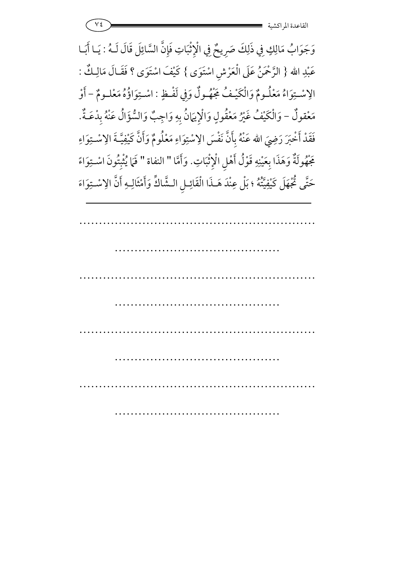$v \epsilon$  -  $=$   $\frac{1}{2}$ القاعدة المراكشي

وَجَوَابُ مَالِكٍ فِي ذَلِكَ صَرِيحٌ فِي الْإِثْبَاتِ فَإِنَّ السَّائِلَ قَالَ لَـهُ : يَـا أَبَـا عَبْدِ الله { الرَّحْمَنُ عَلَى الْعَرْشِ اسْتَوَى } كَيْفَ اسْتَوَى ؟ فَقَـالَ مَالِـكٌ كَيْفَ اسْتَوَى ؟ فقــال مَالِـكَ : الِاسْتِوَاءُ مَعْلُـومٌ وَالْكَيْـفُ مَجْهُ ولٌ وَفِي لَفْـظٍ : اسْتِوَاؤُهُ مَعْلـومٌ – أَوْ مَعْقولٌ – وَالْكَيْفُ غَيْرُ مَعْقُولٍ وَالْإِيَمَانُ بِ لْكَيْفُ غَيْرُ مَعْقُولٍ وَالْإِيَمَانُ بِهِ وَاجِبٌ وَالسُّؤَالَ عَنْهُ بِدْعَـةً هِ وَاجِبٌ وَالسُّؤَالُ عَنْهُ بِدْعَـةٌ. فَقَدْ أَخْبَرَ رَضِيَ فَقَدْ أَخْبَرَ رَضِيَ الله عَنْهُ بِأَنَّ نَفْسَ الِاسْتِوَاءِ مَعْلُومٌ وَأَنَّ كَيْفِيَّـةَ الِاسْـتِوَاءِ ;<br><br> جَْهُولَةٌ وَهَذَا بِعَيْنِهِ قَوْلُ أَهْلِ الْإِثْبَاتِ. وَأَمَّا " النفاة " فَمَا يُثْبِتُونَ اسْتِوَاءً حَتَّى ثُجْهَلَ كَيْفِيَّتُهُ ؛ بَلْ عِنْدَ هَـذَا الْقَائِـلِ الـشَّاكِّ وَأَمْثَالِـهِ أَنَّ الِاسْـتِوَاءَ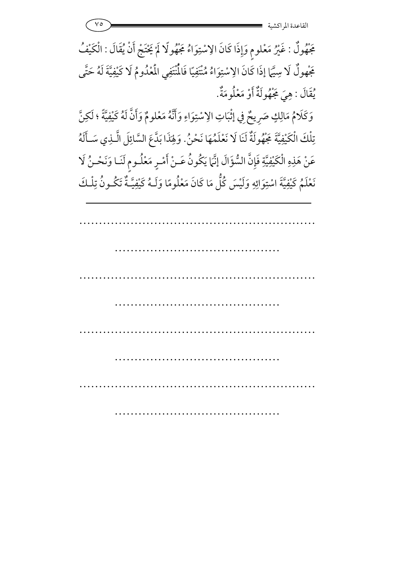مَجْهُولٌ : غَيْرُ مَعْلومٍ وَإِذَا كَانَ الِاسْتِوَاءُ مَجْهُولًا لَمْ يَحْتَجْ أَنْ يُقَالَ : الْكَيْفُ مَجْهولٌ لَا سِيَّمَا إذَا كَانَ الِاسْتِوَاءُ مُنْتَفِيًا فَالْمُتَفِي الْمَعْدُومُ لَا كَيْفِيَّةَ لَهُ حَتّى يُقَالَ : هِيَ مَجْهُولَةٌ أَوْ مَعْلُومَةٌ.

 $\vee$ 

وَكَلَامُ مَالِكٍ صَرِيحٌ فِي إِثْبَاتِ الِاسْتِوَاءِ وَأَنَّهُ مَعْلومٌ وَأَنَّ لَهُ كَيْفِيَّةً ؛ لَكِنَّ تِلْكَ الْكَيْفِيَّةَ جَهُولَةٌ لَنَا لَا نَعْلَمُهَا نَحْنُ. وَلِهَذَا بَدَّعَ السَّائِلَ الَّـٰذِي سَـأَلَهُ عَنْ هَذِهِ الْكَيْفِيَّةِ فَإِنَّ السُّؤَالَ إِنَّهَا يَكُونُ عَـنْ أَمْـرٍ مَعْلُـوم لَنَـا وَنَحْـنُ لَا نَعْلَمُ كَيْفِيَّةَ اسْتِوَائِهِ وَلَيْسَ كُلُّ مَا كَانَ مَعْلُومًا وَلَـهُ كَيْفِيَّـةٌ تَكُـونُ تِلْـكَ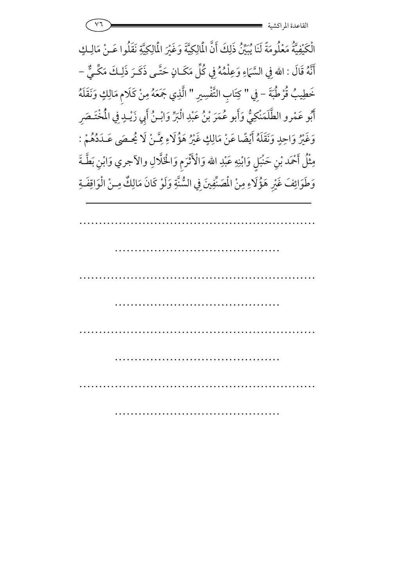| $\overline{1}$ | $\bullet\bullet$          |
|----------------|---------------------------|
|                | ِ دستیه<br>الصانعت ه المب |

الْكَيْفِيَّةُ مَعْلُومَةً لَنَا يُبَيِّنُ ذَلِكَ أَنَّ الْمَالِكِيَّةَ وَغَيْرَ الْمَالِكِيَّةِ نَقَلُوا عَـنْ مَالِـكٍ أَنَّهُ قَالَ : الله فِي السَّمَاءِ وَعِلْمُهُ فِي كُلِّ مَكَـانٍ حَتَّـى ذَكَـرَ ذَلِـكَ مَكِّـيٌّ – خَطِيبُ قُرْطُبَةَ - فِي " كِتَابِ التَّفْسِيرِ " الَّذِي جَمَعَهُ مِنْ كَلَامِ مَالِكٍ وَنَقَلَهُ أَبُو عَمْرو الطَّلَمَنْكِيُّ وَأَبو عُمَرَ بْنُ عَبْدِ الْبَرِّ وَابْـنُ أَبِي زَيْـدٍ فِي الْمُخْتَـصَرِ وَغَيْرُ وَاحِدٍ وَنَقَلَهُ أَيْضًا عَنْ مَالِكٍ غَيْرُ هَؤُلَاءِ مِمَّـنْ لَا يُحصَى عَـدَدُهُمْ : مِثْلُ أَحْمَد بْنِ حَنْبَلٍ وَابْنِهِ عَبْدِ الله وَالْأَثْرَمِ وَالْخَلَّالِ والآجري وَابْنِ بَطَّـةَ وَطَوَائِفَ غَيْرِ هَؤُلَاءِ مِنْ الْمَسَّفِينَ فِي السُّنَّةِ وَلَوْ كَانَ مَالِكٌ مِـنْ الْوَاقِفَـةِ 7 1<br>" .<br>ا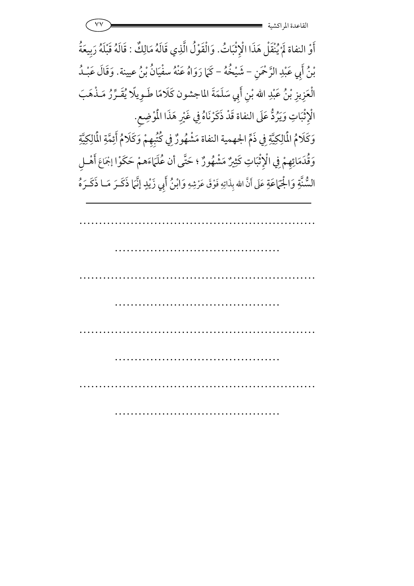أَوْ النفاة لَمْ يُنْقَلْ هَذَا الْإِثْبَاتُ. وَالْقَوْلُ الَّذِي قَالَهُ مَالِكٌ : قَالَهُ قَبْلَهُ رَبِيعَةُ 7 بْنُ أَبِي عَبْدِ الرَّحْمَنِ بْنُ أَبِي عَبْدِ الرَّحْمَنِ – شَيْخُهُ – كَمَا رَوَاهُ عَنْهُ سفْيَانُ بْنُ عيينة. وَقَالَ عَبْـدُ الْعَزِيزِ بْنُ عَبْدِ الله بْنِ أَبِي سَلَمَةَ الماجشون كَلَامًا طَـوِيلًا يُقَـرِّرُ مَـذْهَبَ <u>ر</u> الْإِثْبَاتِ وَيَرُدُّ عَلَى النفاة قَدْ ذَكَرْنَاهُ فِي غَيْرِ هَذَا الْمُوْضِعِ. 7 وَكَلَامُ الْمَالِكِيَّةِ فِي ذَمٍّ الجهمية النفاة مَشْهُورٌ فِي كُتُبِهِمْ وَكَلَامُ أَئِمَّةِ الْمَالِكِيَّةِ وَقُدَمَائِهِمْ فِي الْإِثْبَاتِ كَثِيرٌ مَشْهُورٌ ؛ حَتَّى لْإِثْبَاتِ كَثِيرٌ مَشْهُورٌ ؛ حَتَّى أن عُلَمَاءَهمْ حَكَوْا إجْمَاعَ أَهْـلِ **ب**<br>د **a** السُّنَّةِ وَالْجَمَاعَةِ عَلَى أَنَّ الله بِذَاتِهِ فَوْقَ عَرْشِهِ وَابْنُ أَبِي زَيْدٍ إِنَّمَا ذَكَرَ مَـا ذَكَـرَهُ <u>ا</u> 7 ُږ<br>بي ز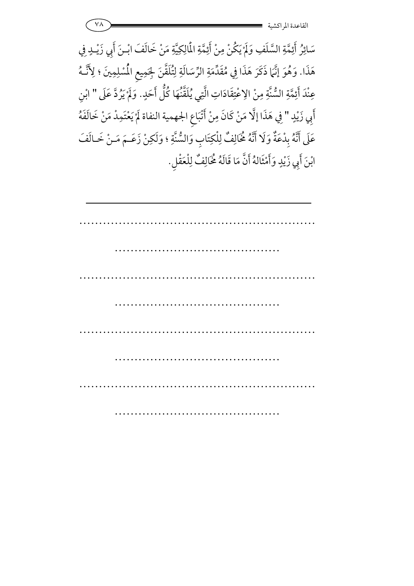| القاعده المو<br>. ىسيە |
|------------------------|

سَائِرُ أَئِمَّةِ السَّلَفِ وَلَمْ يَكُنْ مِنْ أَئِمَّةِ الْمَالِكِيَّةِ مَنْ خَالَفَ ابْـنَ أَبِي زَيْـدٍ فِي هَذَا. وَهُوَ إِنَّهَا ذَكَرَ هَذَا فِي مُقَدِّمَةِ الرِّسَالَةِ لِتُلَقَّنَ لِجَمِيعِ الْمُسْلِمِينَ ؛ لِأَنَّـهُ عِنْدَ أَئِمَّةِ السُّنَّةِ مِنْ الِاعْتِقَادَاتِ الَّتِي يُلَقَّنْهَا كُلُّ أَحَدٍ. وَلَمْ يَرُدَّ عَلَى " ابْنِ أَبِي زَيْدٍ " فِي هَذَا إِلَّا مَنْ كَانَ مِنْ أَتْبَاعِ الجهمية النفاة لَمْ يَعْتَمِدْ مَنْ خَالَفَهُ عَلَى أَنَّهُ بِدْعَةٌ وَلَا أَنَّهُ مُخَالِفٌ لِلْكِتَابِ وَالسُّنَّةِ ؛ وَلَكِنْ زَعَـمَ مَـنْ خَـالَفَ ابْنَ أَبِي زَيْدٍ وَأَمْثَالهُ أَنَّ مَا قَالَهُ لَخَالِفٌ لِلْعَقْلِ.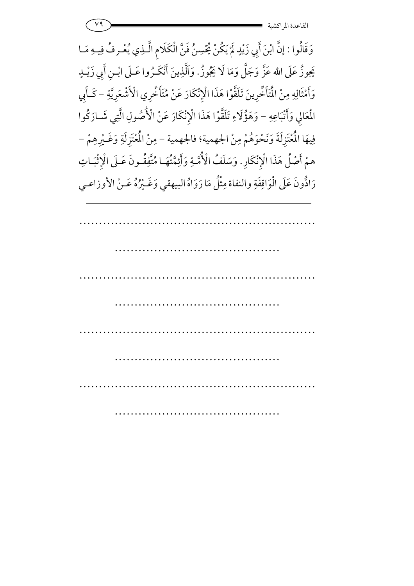وَقَالُوا : إِنَّ ابْنَ أَبِي زَيْدٍ لَمْ يَكُنْ يُحْسِنُ فَنَّ الْكَلَامِ الَّـذِي يُعْـرفُ فِيـهِ مَـا 7 قْرِفُ فِيهِ يَجوزُ عَلَى الله عَزَّ وَجَلَّ وَمَا لَا يَجُوزُ. وَاَلَّذِينَ أَنْكَـرُوا عَــلَى ابْــنِ أَبِي زَيْــلٍـ وَأَمْثَالِهِ مِنْ الْمَأَخَّرِينَ تَلَقَّوْا هَذَا الْإِنْكَارَ عَنْ مُتَأَخِّرِي الْأَشْعَرِيَّةِ – كَأَبِي  $\lambda$ ;<br>^ المُعَالِي وَأَتْبَاعِهِ – وَهَؤُلاءِ تَلَقَّوْا هَذَا الْإِنْكَارَ عَنْ الْأُصُولِ الَّتِي شَـارَكُوا فِيهَا الْمُعْتَزِلَةَ وَنَحْوَهُمْ مِنْ الجهمية؛ فالجهمية – مِنْ الْمُعْتَزِلَةِ وَغَـيْرِهِمْ – همْ أَصْلُ هَذَا الْإِنْكَارِ. وَسَلَفُ الْأُمَّـةِ وَأَئِمَّتُهَـا مُتَّفِقُـونَ عَـلَى الْإِثْبَـاتِ 7 7 رَادُّونَ عَلَى الْوَاقِفَةِ والنفاة مِثْلُ مَا رَوَاهُ البيهقي وَغَـيْرُهُ عَـنْ الأوزاعـي 6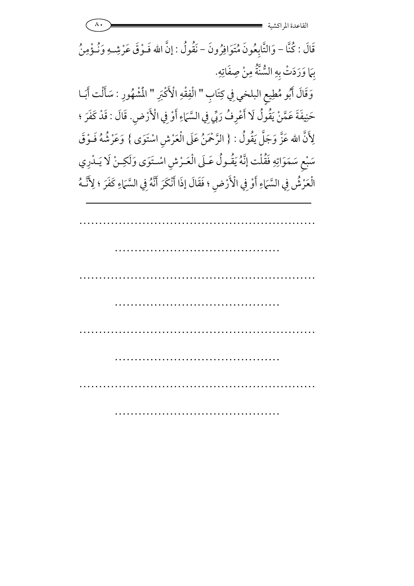القاعدة المر اكشية قَالَ : كُنَّا – وَالتَّابِعُونَ مُتَوَافِرُونَ – نَقُولُ : إنَّ الله فَـوْقَ عَرْشِـهِ وَنُـؤْمِنُ بِهَا وَرَدَتْ بِهِ السُّنَّةُ مِنْ صِفَاتِهِ. وَقَالَ أَبُو مُطِيعِ البلخي فِي كِتَابِ " الْفِقْهِ الْأَكْبَرِ " الْمُشْهُورِ : سَأَلْت أَبَــا حَنِيفَةَ عَمَّنْ يَقُولُ لَا أَعْرِفُ رَبِّي فِي السَّمَاءِ أَوْ فِي الْأَرْضِ. قَالَ : قَدْ كَفَرَ ؛ لِأَنَّ الله عَزَّ وَجَلَّ يَقُولُ : { الرَّحْمَنُ عَلَى الْعَرْشِ اسْتَوَى } وَعَرْشُهُ فَـوْقَ سَبْعِ سَمَوَاتِهِ فَقُلْت إِنَّهُ يَقُولُ عَـلَى الْعَـرْشِ اسْـتَوَى وَلَكِـنْ لَا يَـدْرِي الْعَرْشُ فِي السَّمَاءِ أَوْ فِي الْأَرْضِ ؛ فَقَالَ إِذَا أَنْكَرَ أَنَّهُ فِي السَّمَاءِ كَفَرَ ؛ لِأَنَّـهُ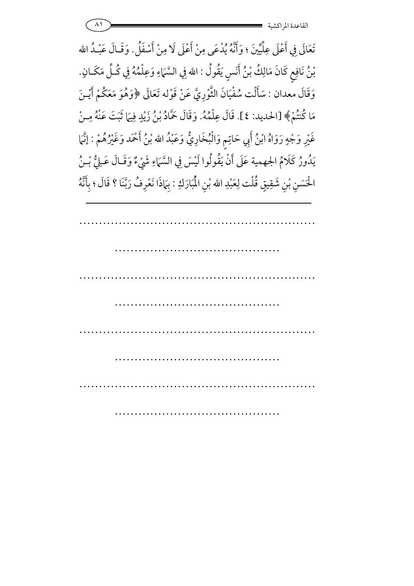تَعَالَى فِي أَعْلَى عِلِّيِّينَ ؛ وَأَنَّهُ يُدْعَى مِنْ أَعْلَى لَا مِنْ أَسْفَلُ. وَقَـالَ عَبْـدُ الله بْنُ نَافِعٍ كَانَ مَالِكُ بْنُ أَنَسٍ يَقُولُ : الله فِي السَّمَاءِ وَعِلْمُهُ فِي كُلِّ مَكَـانٍ. وَقَالَ معدان : سَأَلْت سُفْيَانَ الثَّوْرِيَّ عَنْ قَوْله تَعَالَى ﴿وَهُوَ مَعَكُمْ أَيْـنَ مَا كُنتُمْ﴾ [الحديد: ٤]. قَالَ عِلْمُهُ. وَقَالَ حَمَّادُ بْنُ زَيْدٍ فِيَمَا ثَبَتَ عَنْهُ مِـنْ غَيْرِ وَجْهٍ رَوَاهُ ابْنُ أَبِي حَاتِمٍ وَالْبُخَارِيُّ وَعَبْدُ الله بْنُ أَحْمَد وَغَيْرُهُمْ : إِنَّمَا يَدُورُ كَلَامُ الجهمية عَلَى أَنْ يَقُولُوا لَيْسَ فِي السَّمَاءِ شَيْءٌ وَقَـالَ عَـلِيُّ بْـنُ الْحَسَنِ بْنِ شَقِيقٍ قُلْت لِعَبْدِ الله بْنِ الْمُبَارَكِ : بِهَاذَا نَعْرِفُ رَبَّنَا ؟ قَالَ ؛ بِأَنَّهُ

 $\wedge$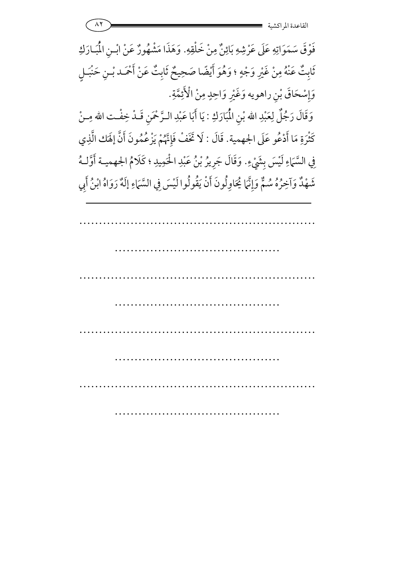$\wedge\Upsilon$ القاعدة المر اكشية

فَوْقَ سَمَوَاتِهِ عَلَى عَرْشِهِ بَائِنٌ مِنْ خَلْقِهِ. وَهَذَا مَشْهُورٌ عَنْ ابْـنِ الْمُبَـارَكِ ثَابِتٌ عَنْهُ مِنْ غَيْرِ وَجْهٍ ؛ وَهُوَ أَيْضًا صَحِيحٌ ثَابِتٌ عَنْ أَحْمَد بْـنِ حَنْبَـلِ وَإِسْحَاقَ بْنِ راهويه وَغَيْرِ وَاحِدٍ مِنْ الْأَئِمَّةِ. وَقَالَ رَجُلٌ لِعَبْدِ الله بْنِ الْمُبَارَكِ : يَا أَبَا عَبْدِ الـرَّحْمَنِ قَـدْ خِفْـت الله مِـنْ كَثْرَةِ مَا أَدْعُو عَلَى الجهمية. قَالَ : لَا تَخَفْ فَإِنَّهُمْ يَزْعُمُونَ أَنَّ إِلَهَك الَّذِي فِي السَّمَاءِ لَيْسَ بِشَيْءٍ. وَقَالَ جَرِيرُ بْنُ عَبْدِ الْحَمِيدِ ؛ كَلَامُ الجهميـة أَوَّلـهُ شَهْدٌ وَآخِرُهُ سُمٌّ وَإِنَّمَا يُحَاوِلُونَ أَنْ يَقُولُوا لَيْسَ فِي السَّمَاءِ إِلَهٌ رَوَاهُ ابْنُ أَبِي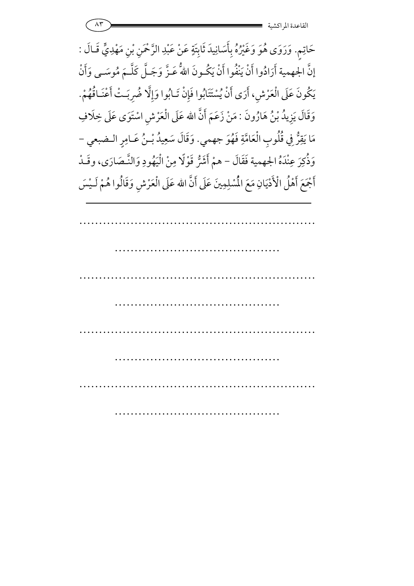حَاتِمٍ. وَرَوَى هُوَ وَغَيْرُهُ بِأَسَانِيدَ ثَابِتَةٍ عَنْ عَبْدِ الرَّحْمَنِ بْنِ مَهْدِيٍّ قَـالَ : إِنَّ الجهمية أَرَادُوا أَنْ يَنْفُوا أَنْ يَكُـونَ اللهَّ عَـزَّ وَجَـلِّ كَلَّـمَ مُوسَــى وَأَنْ يَكُونَ عَلَى الْعَرْشِ، أَرَى أَنْ يُسْتَتَابُوا فَإِنْ تَـابُوا وَإِلَّا ضُرِبَـتْ أَعْنَـاقُهُمْ. .<br>.<br>. وَقَالَ يَزِيدُ بْنُ هَارُونَ : مَنْ زَعَمَ أَنَّ الله عَلَى الْعَرْشِ اسْتَوَى عَلَى خِلَافِ مَا يَقِرُّ فِي قُلُوبِ الْعَامَّةِ فَهُوَ جهمي. وَقَالَ سَعِيدُ بْـنُ عَـامِرٍ الـضبعي -وَذُكِرَ عِنْدَهُ الجهمية رَ عِنْدَهُ الجهمية فَقَالَ – همْ أَشَرُّ قَوْلًا مِنْ الْيَهُودِ وَالنَّـصَارَى، وقَـدْ أَجْمَعَ أَهْلُ الْأَدْيَانِ مَعَ الْمُسْلِمِينَ عَلَى أَنَّ مَ أَهْلُ الْأَدْيَانِ مَعَ الْمُسْلِمِينَ عَلَى أَنَّ الله عَلَى الْعَرْشِ وَقَالُوا هُمْ لَـيْسَ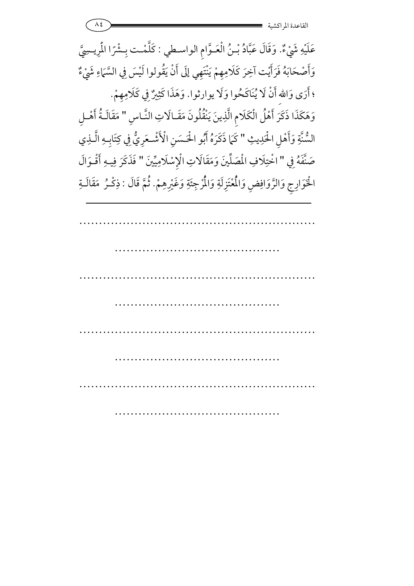عَلَيْهِ شَيْءٌ. وَقَالَ عَبَّادُ بْـنُ الْعَـوَّامِ الواسـطي : كَلَّمْـت بِـشْرًا الْمِرِيسِيَّ : <sup>2</sup> وَأَصْحَابَهُ فَرَأَيْت آخِرَ كَلَامِهِمْ يَنْتَهِي إِلَى أَنْ يَقُولوا لَيْسَ فِي السَّمَاءِ شَيْءٌ لَيْسَ فِي السَّمَاءِ ؛ أَرَى وَاللهِ أَنْ لَا يُنَاكَحُوا وَلَا يوارثوا. وَهَذَا كَثِيرٌ فِي كَلَامِهِمْ وَهَذَا كَثِيرٌ فِي كَلاَمِهِمْ. وَهَكَذَا ذَكَرَ أَهْلُ الْكَلَامِ الَّذِينَ يَنْقُلُونَ مَقَـالَاتِ النَّـاسِ " مَقَالَـةُ أَهْـلِ السُّنَّةِ وَأَهْلِ الْحَـ 7 ةِ وَأَهْلِ الْحَدِيثِ " كَمَا ذَكَرَهُ أَبُو الْحَسَنِ الْأَشْعَرِيُّ فِي كِتَابِهِ الَّـذِي صَنَّفَهُ فِي " اخْتِلَافِ الْمَمَلِّينَ وَمَقَالَاتِ الْإِسْلَامِيِّينَ " فَذَكَرَ فِيهِ أَقْـوَالَ الْخَوَارِجِ وَالزَّوَافِضِ وَالْمُُعْتَزِلَةِ وَالْمُرْجِئَةِ وَغَيْرِهِمْ. ثُمَّ قَالَ : ذِكْـرُ ۚ مَقَالَـةِ  $\overline{a}$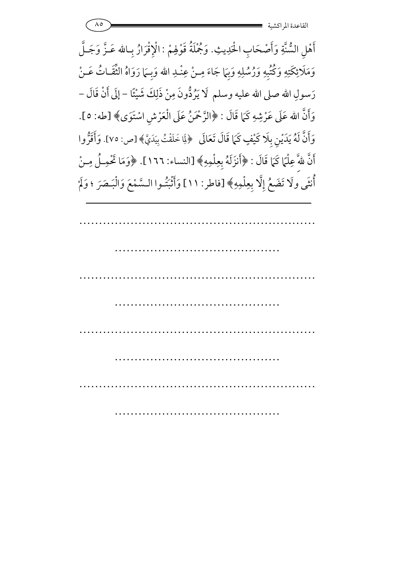$\Lambda$ 0 القاعدة المراكشية

أَهْلِ السُّنَّةِ وَأَصْحَابِ الْحَدِيثِ. وَجُمْلَةُ قَوْلِهِمْ : الْإِقْرَارُ بِـالله عَـزَّ وَجَـلَّ وَمَلَائِكَتِهِ وَكُتُبِهِ وَرُسُلِهِ وَبِهَا جَاءَ مِنْ عِنْدِ الله وَبِـمَا رَوَاهُ الثَّقَـاتُ عَـنْ رَسولِ الله صلى الله عليه وسلم لَا يَرُدُّونَ مِنْ ذَلِكَ شَيْئًا – إِلَى أَنْ قَالَ – وَأَنَّ الله عَلَى عَرْشِهِ كَمَا قَالَ : ﴿الرَّحْمَنُ عَلَى الْعَرْشِ اسْتَوَى﴾ [طه: ٥]. وَأَنَّ لَهُ يَدَيْنِ بِلَا كَيْفٍ كَمَا قَالَ تَعَالَى ۚ ﴿لِلَّا خَلَقْتُ بِيَدَيَّ﴾ [ص: ٧٥]. وَأَقَرُّوا أَنَّ للهَّ عِلْمًا كَمَا قَالَ : ﴿أَنزَلَهُ بِعِلْمِهِ﴾ [النساء: ١٦٦]. ﴿وَمَا تَحْمِـلُ مِـنْ أَنْثَى ولَا تَضَعُ إِلَّا بِعِلْمِهِ﴾ [فاطر: ١١] وَأَثْبَتُوا السَّمْعَ وَالْبَـصَرَ ؛ وَلَمْ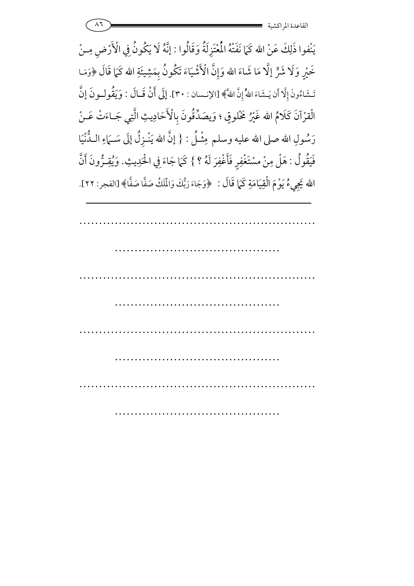

يَنْفوا ذَلِكَ عَنْ الله كَمَا نَفَتْهُ الْمُعْتَزِلَةُ وَقَالُوا : إِنَّهُ لَا يَكُونُ فِي الْأَرْضِ مِـنْ خَيْرٍ وَلَا شَرٍّ إِلَّا مَا شَاءَ الله وَإِنَّ الْأَشْيَاءَ تَكُونُ بِمَشِيئَةِ الله كَمَا قَالَ ﴿وَمَـا تَشَاءُونَ إِلَّا أَن يَشَاءَ اللّهُ إِنَّ اللهَ﴾ [الإنـسان : ٣٠]. إِلَى أَنْ قَـالَ : وَيَقُولُونَ إِنَّ الْقِرْآنَ كَلَامُ الله غَيْرُ مَخْلُوقٍ ؛ وَيصَدِّقُونَ بِالْأَحَادِيثِ الَّتِي جَـاءَتْ عَـنْ رَسُولِ الله صلى الله عليه وسلم مِثْـلُ : { إِنَّ الله يَنْـزِلُ إِلَى سَــَمَاءِ الـدُّنْيَا فَيَقُولُ : هَلْ مِنْ مسْتَغْفِرِ فَأَغْفِرَ لَهُ ؟ } كَمَا جَاءَ فِي الْحَدِيثِ. وَيُقِـرُّونَ أَنَّ الله يَجِيءُ يَوْمَ الْقِيَامَةِ كَمَا قَالَ : ﴿وَجَاءَ رَبُّكَ وَالْمَلَكُ صَفًّا صَفًّا﴾ [الفجر: ٢٢].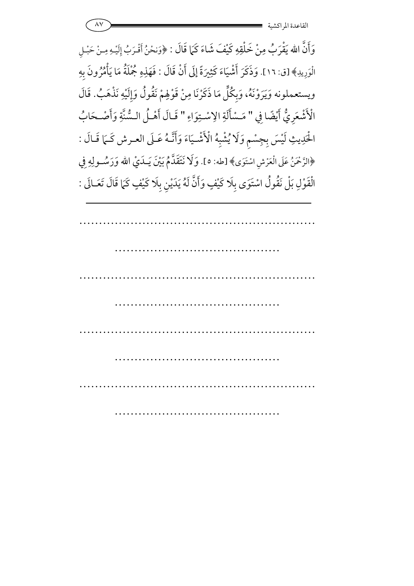$\wedge\vee$ القاعدة المراكشية

وَأَنَّ الله يَقْرَبُ مِنْ خَلْقِهِ كَيْفَ شَاءَ كَمَا قَالَ : ﴿وَنحْنُ أَقْرَبُ إِلَيْهِ مِنْ حَبْلِ الْوَرِيدِ﴾ [ق: ١٦]. وَذَكَرَ أَشْيَاءَ كَثِيرَةً إِلَى أَنْ قَالَ : فَهَذِهِ جُمْلَةُ مَا يَأْمُرُونَ بِهِ ويستعملونه وَيَرَوْنَهُ، وَبِكُلِّ مَا ذَكَرْنَا مِنْ قَوْلِهِمْ نَقُولُ وَإِلَيْهِ نَذْهَبُ. قَالَ الْأَشْعَرِيُّ أَيْضًا فِي " مَسْأَلَةِ الِاسْتِوَاءِ " قَـالَ أَهْـلُ الـسُّنَّةِ وَأَصْـحَابُ الْحَدِيثِ لَيْسَ بِجِسْمٍ وَلَا يُشْبِهُ الْأَشْيَاءَ وَأَنَّـهُ عَـلَى العـرش كَـمَا قَـالَ : ﴿الرَّحْمَنُ عَلَى الْعَرْشِ اسْتَوَى﴾ [طه: ٥]. وَلَا نَتَقَلَّمُ بَيْنَ يَــلَيْ الله وَرَسُّــولِهِ فِي الْقَوْلِ بَلْ نَقُولُ اسْتَوَى بِلَا كَيْفٍ وَأَنَّ لَهُ يَدَيْنِ بِلَا كَيْفٍ كَمَا قَالَ تَعَـالَى :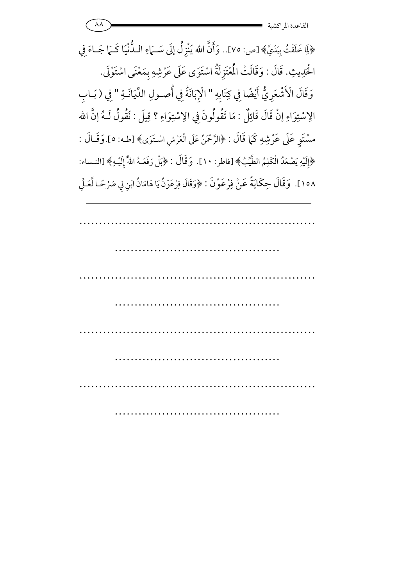﴿لِاَ خَلَقْتُ بِيَدَيَّ﴾ [ص: ٧٥].. وَأَنَّ الله يَنْزِلُ إِلَى سَــَمَاءِ الـدُّنْيَا كَــَمَا جَــاءَ فِي الْحَدِيثِ. قَالَ : وَقَالَتْ الْمُعْتَزِلَةُ اسْتَوَى عَلَى عَرْشِهِ بِمَعْنَى اسْتَوْلَى. وَقَالَ الْأَشْعَرِيُّ أَيْضًا فِي كِتَابِهِ " الْإِبَانَةُ فِي أُصـولِ الدِّيَانَـةِ " فِي ( بَـابِ الِاسْتِوَاءِ إِنْ قَالَ قَائِلٌ : مَا تَقُولُونَ فِي الِاسْتِوَاءِ ؟ قِيلَ : نَقُولُ لَـهُ إِنَّ الله مسْتَوٍ عَلَى عَرْشِهِ كَمَا قَالَ : ﴿الرَّحْمَنُ عَلَى الْعَرْشِ اسْتَوَى﴾[طـه: ٥].وَقَـالَ : ﴿إِلَيْهِ يَصْعَدُ الْكَلِمُ الطَّيِّبُ﴾ [فاطر: ١٠]. وَقَالَ : ﴿بَلْ رَفَعَـهُ اللَّهُ إِلَيْـهِ﴾ [النـساء: ١٥٨]. وَقَالَ حِكَايَةً عَنْ فِرْعَوْنَ : ﴿وَقَالَ فِرْعَوْنُ يَا هَامَانُ ابْنِ لِي صَرْحًـا لَّعَـلِّي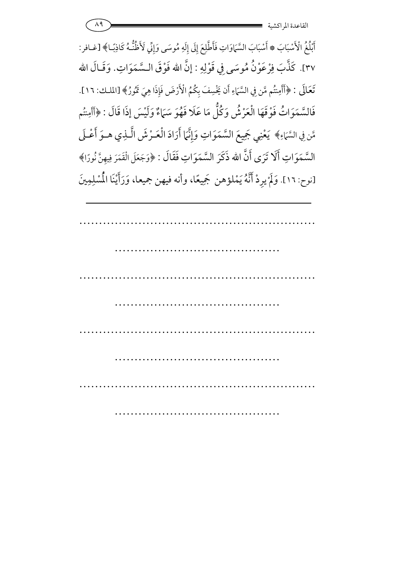

أَبْلُغُ الْأَسْبَابَ \* أَسْبَابَ السَّمَاوَاتِ فَأَطَّلِعَ إِلَى إِلَهِ مُوسَى وَإِنِّي لَأَظُنُّهُ كَاذِبًـا﴾ [غـافر: ٣٧]. كَذَّبَ فِرْعَوْنُ مُوسَى فِي قَوْلِهِ : إنَّ الله فَوْقَ السَّمَوَاتِ. وَقَـالَ الله تَعَالَى : ﴿أَأَمِنتُم مَّن فِي السَّهَاءِ أَن يَخْسِفَ بِكُمُ الْأَرْضَ فَإِذَا هِيَ تَمُورُ﴾ [الملك: ١٦]. فَالسَّمَوَاتُ فَوْقَهَا الْعَرْشُ وَكُلُّ مَا عَلَا فَهُوَ سَمَاءٌ وَلَيْسَ إِذَا قَالَ : ﴿أَأَمِنتُم مَّن فِي السَّمَاءِ﴾ يَعْنِي جَمِيعَ السَّمَوَاتِ وَإِنَّهَا أَرَادَ الْعَـرْشَ الَّـذِي هـوَ أَعْـلَى السَّمَوَاتِ أَلَا تَرَى أَنَّ الله ذَكَرَ السَّمَوَاتِ فَقَالَ : ﴿وَجَعَلَ الْقَمَرَ فِيهِنَّ نُورًا﴾ [نوح: ١٦]. وَلَمْ يرِدْ أَنَّهُ يَمْلؤهن جَمِيعًا، وأنه فيهن جميعا، وَرَأَيْنَا الْمُسْلِمِينَ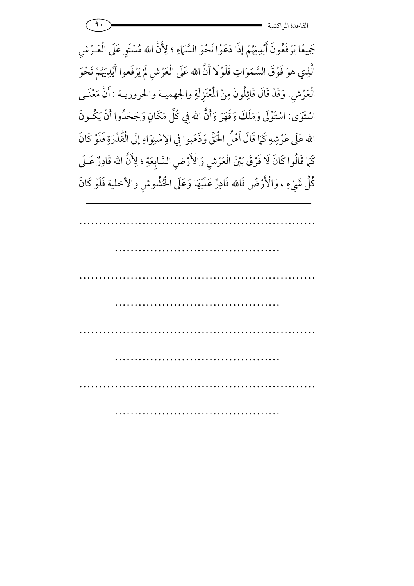جَمِيعًا يَرْفَعُونَ أَيْدِيَهُمْ إِذَا دَعَوْا نَحْوَ السَّمَاءِ ؛ لِأَنَّ الله مُسْتَوِ عَلَى الْعَـرْشِ الَّذِي هوَ فَوْقَ السَّمَوَاتِ فَلَوْلَا أَنَّ الله عَلَى الْعَرْشِ لَمْ يَرْفَعوا أَيْدِيَهُمْ نَحْوَ 7 الْعَرْشِ. وَقَدْ قَالَ قَائِلُونَ مِنْ الْمُعْتَزِلَةِ والجهميـة والحروريـة : أَنَّ مَعْنَـى اسْتَوَى: اسْتَوْلَى وَمَلَكَ وَقَهَرَ وَأَنَّ الله فِي كُلِّ مَكَانٍ وَجَحَدُوا أَنْ يَكُـونَ فِي كُلِّ مَ الله عَلَى عَرْشِهِ كَمَا قَالَ أَهْلُ الْحُقِّ وَذَهَبوا فِي الِاسْتِوَاءِ إِلَى الْقُدْرَةِ فَلَوْ كَانَ كَمَا قَالُوا كَانَ لَا فَرْقَ بَيْنَ الْعَرْشِ وَالْأَرْضِ السَّابِعَةِ ؛ لِأَنَّ الله قَادِرٌ عَـلَى كُلِّ شَيْءٍ ، وَالْأَرْضُ فَالله قَادِرٌ عَلَيْهَا وَعَلَى الْخُشُوشِ والأخلية فَلَوْ كَانَ 7 .<br>م 5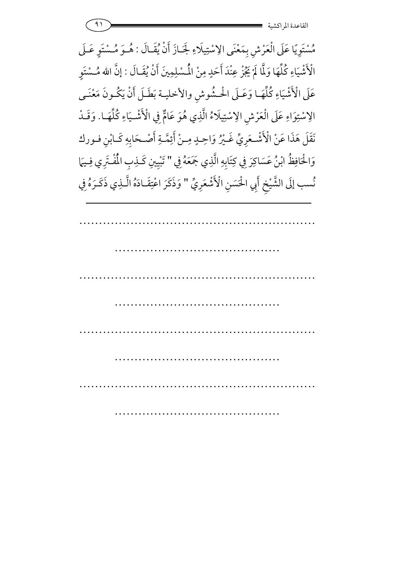$\left( \begin{array}{ccc} 91 \end{array} \right)$  =  $\frac{1}{4}$  and  $\frac{1}{4}$  and  $\frac{1}{4}$  and  $\frac{1}{4}$  and  $\frac{1}{4}$  and  $\frac{1}{4}$  and  $\frac{1}{4}$  and  $\frac{1}{4}$  and  $\frac{1}{4}$  and  $\frac{1}{4}$  and  $\frac{1}{4}$  and  $\frac{1}{4}$  and  $\frac{1}{4}$  and  $\frac{1}{4}$  and القاعدة المراكشي

مُسْتَوِيًا عَلَى الْعَرْشِ بِمَعْنَى الِاسْتِيلَاءِ لَجَـازَ أَنْ يُقَـالَ : هُـوَ مُـسْتَوٍ عَـلَى الْأَشْيَاءِ كُلِّهَا وَلَّا لَمْ يَجُزْ عِنْدَ أَحَدٍ مِنْ الْمُسْلِمِينَ أَنْ يُقَـالَ : إنَّ الله مُـسْتَوِ |<br>|<br>| عَلَى الْأَشْيَاءِ كُلِّهَـا وَعَـلَى الْحـشُوشِ والأخليـة بَطَـلَ أَنْ يَكُـونَ مَعْنَـى الِاسْتِوَاءِ عَلَى الْعَرْشِ الِاسْتِيلَاءُ الَّذِي هُوَ عَامٌّ فِي دِسْتِوَاءِ عَلَى الْعَرْشِ الِاسْتِيلَاءُ الَّذِي هُوَ عَامٌّ فِي الْأَشْـيَاءِ كُلِّهَـا. وَقَـدْ نَقَلَ هَذَا عَنْ الْأَشْـعَرِيِّ غَـيْرُ وَاحِـدٍ مِـنْ أَئِمَّـةِ أَصْـحَابِهِ كَـابْنِ فـورك وَالْحَافِظُ ابْنُ عَسَاكِرَ فِي كِتَابِهِ الَّذِي جَمَعَهُ فِي نْحَافِظُ ابْنُ عَسَاكِرَ فِي كِتَابِهِ الَّذِي جَمَعَهُ فِي " تَبْيِينِ كَـٰذِبِ الْمُفْـتَرِي فِـيَمَا نُسب إلَى الشَّيْخِ أَبِي الْحَسَنِ الْأَشْعَرِيِّ " وَذَكَرَ اعْتِقَـادَهُ الَّـذِي ذَكَـرَهُ فِي  $\ddot{ }$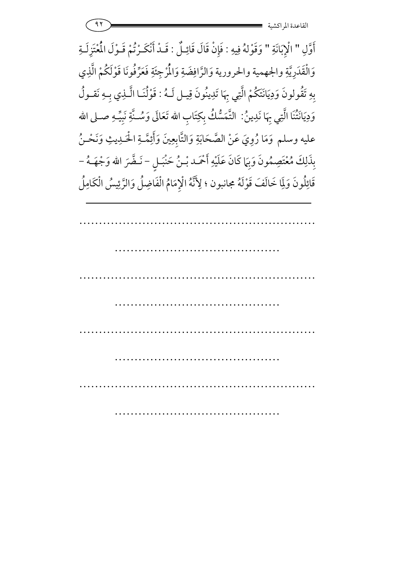$\left( \begin{array}{ccc} 91 \end{array} \right)$  -  $\left( \begin{array}{ccc} 91 \end{array} \right)$  -  $\left( \begin{array}{ccc} 91 \end{array} \right)$  -  $\left( \begin{array}{ccc} 91 \end{array} \right)$  -  $\left( \begin{array}{ccc} 91 \end{array} \right)$  -  $\left( \begin{array}{ccc} 91 \end{array} \right)$  -  $\left( \begin{array}{ccc} 91 \end{array} \right)$  -  $\left( \begin{array}{ccc} 91 \end{array} \right)$  -  $\left( \begin{array}{ccc} 9$ القاعدة المراكشي

أَوَّلِ " الْإِبَانَةِ " وَقَوْلهُ فِيهِ : فَإِنْ قَالَ قَائِلٌ : قَـدْ أَنْكَـرْتُمْ قَـوْلَ الْمُتَزِلَـةِ وَالْقَدَرِيَّةِ والجهمية والحرورية وَالرَّافِضَةِ وَالْمُرْجِئَةِ فَعَرِّفُونَا قَوْلَكُمْ الَّذِي 7 7 بِهِ تَقُولونَ وَدِيَانَتَكُمْ الَّتِي بِهَا تَدِينُونَ قِيـل لَـهُ : قَوْلُنَـا الَّـذِي بِـهِ نَقـولُ وَدِيَانَتْنَا الَّتِي بِهَا نَدِينُ نَدِينُ: التَّمَسُّكُ بِكِتَابِ الله تَعَالَى وَسُــنَّةِ نَبِيِّـهِ صــلى الله عليه وسلم وَمَا رُوِيَ عَنْ الصَّحَابَةِ وَالتَّابِعِينَ وَأَئِمَّـةِ الْحَـٰدِيثِ وَنَحْـنُ بِذَلِكَ مُعْتَصِمُونَ وَبِهَا كَانَ عَلَيْهِ أَحْمَـد بْـنُ حَنْبَـلٍ - نَـضَّرَ الله وَجْهَــهُ -قَائِلُونَ وَلِمَا خَالَفَ قَوْلَهُ مجانبون ؛ لِأَنَّهُ الْإِمَامُ الْفَاضِلُ وَالرَّئِيسُ الْكَامِلُ 6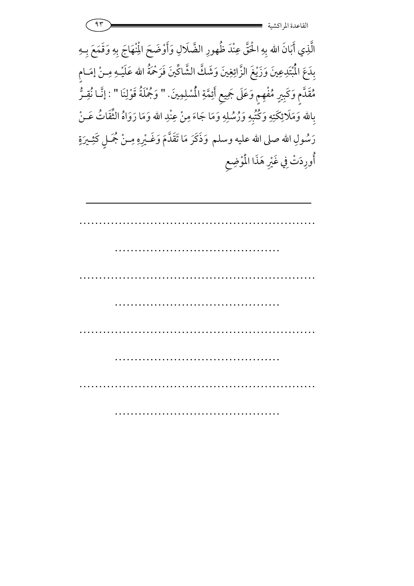

الَّذِي أَبَانَ الله بِهِ الْحَقَّ عِنْدَ ظُهورِ الضَّلَالِ وَأَوْضَحَ الْمِنْهَاجَ بِهِ وَقَمَعَ بِهِ )<br>1 بِدَعَ الْمُبْتَدِعِينَ وَزَيْغَ الزَّائِغِينَ وَشَكَّ الشَّاكِّينَ فَرَحْمَةُ الله عَلَيْـهِ مِـنْ إِمَـامٍ مُقَدَّمٍ وَكَبِيرٍ مُفْهِمٍ وَعَلَى جَمِيعٍ أَئِمَّةِ الْمُسْلِمِينَ. " وَجُمْلَةُ قَوْلِنَا **⁄** وَجُمْلَةُ قَوْلِنَا " : إنَّـا نُقِـرُّ بِالله وَمَلَائِكَتِهِ وَكُتُبِهِ وَرُسُلِهِ وَمَا جَاءَ مِنْ عِنْدِ الله وَمَا رَوَاهُ الثَّقَاتُ عَـنْ رَسُولِ الله صلى الله عليه وسلم وَذَكَرَ مَا تَقَدَّمَ وَغَــْيِرِهِ مِــنْ مُجَــلٍ كَثِــيرَةٍ أُورِدَتْ فِي غَيْرِ هَذَا الْمُوْضِعِ 7 .<br>. .<br>.<br>.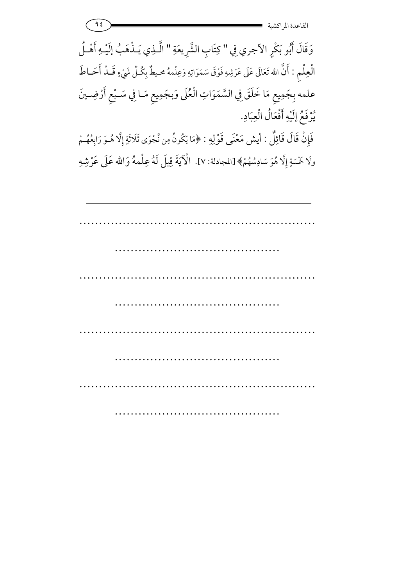وَقَالَ أَبُو بَكْرٍ الآجري فِي " كِتَابِ الشَّرِيعَةِ " الَّـٰذِي يَـٰذْهَبُ إلَيْـهِ أَهْـلُ الْعِلْمِ : أَنَّ الله تَعَالَى عَلَى عَرْشِهِ فَوْقَ سَمَوَاتِهِ وَعِلْمهُ محيطٌ بِكُلِّ شَيْءٍ قَــلْ أَحَــاطَ علمه بِجَمِيعِ مَا خَلَقَ فِي السَّمَوَاتِ الْعُلَى وَبِجَمِيعِ مَـا فِي سَـبْعِ أَرْضِـينَ يُرْفَعُ إِلَيْهِ أَفْعَالُ الْعِبَادِ. فَإِنْ قَالَ قَائِلٌ : أيش مَعْنَى قَوْلِهِ : ﴿مَا يَكُونُ مِن نَّجْوَى ثَلَاثَةٍ إِلَّا هُـوَ رَابِعُهُـمْ

ولَا خَمْسَةٍ إِلَّا هُوَ سَادِسُهُمْ﴾ [المجادلة: ٧]. الْآيَةَ قِيلَ لَهُ عِلْمهُ وَالله عَلَى عَرْشِهِ

| $\cdots$ |  |  |
|----------|--|--|
|          |  |  |
|          |  |  |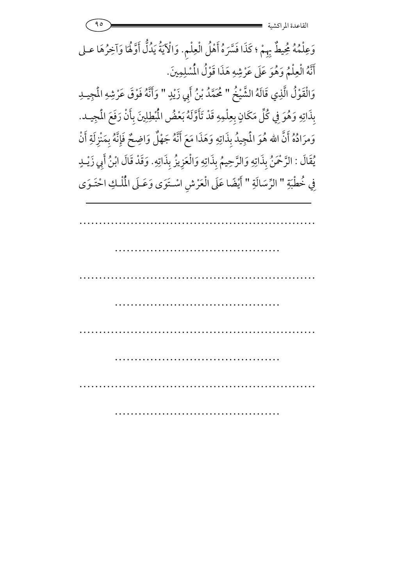وَعِلْمُهُ مُحِيطٌ بِهِمْ ؛ كَذَا فَسَّرَهُ أَهْلُ الْعِلْمِ. وَالْآيَةُ يَدُلُّ أَوَّلُهَا وَآخِرُهَا عـلى أَنَّهُ الْعِلْمُ وَهُوَ عَلَى عَرْشِهِ هَذَا قَوْلُ الْمُسْلِمِينَ. وَالْقَوْلُ الَّذِي قَالَهُ الشَّيْخُ " مُحَمَّدُ بْنُ أَبِي زَيْدٍ " وَأَنَّهُ فَوْقَ عَرْشِهِ الْمجِيدِ بِذَاتِهِ وَهُوَ فِي كُلِّ مَكَانٍ بِعِلْمِهِ قَدْ تَأَوَّلَهُ بَعْضُ الْمُطِلِينَ بِأَنْ رَفَعَ الْمجِيـد. وَمرَادُهُ أَنَّ الله هُوَ الْمَجِيدُ بِذَاتِهِ وَهَذَا مَعَ أَنَّهُ جَهْلٌ وَاضِحٌ فَإِنَّهُ بِمَنْزِلَةِ أَنْ يْقَالَ : الرَّحْمَنُ بِذَاتِهِ وَالرَّحِيمُ بِذَاتِهِ وَالْعَزِيزُ بِذَاتِهِ. وَقَدْ قَالَ ابْنُ أَبِي زَيْـدٍ فِي خُطْبَةِ " الرِّسَالَةِ " أَيْضًا عَلَى الْعَرْشِ اسْتَوَى وَعَـلَى الْمُلْكِ احْتَـوَى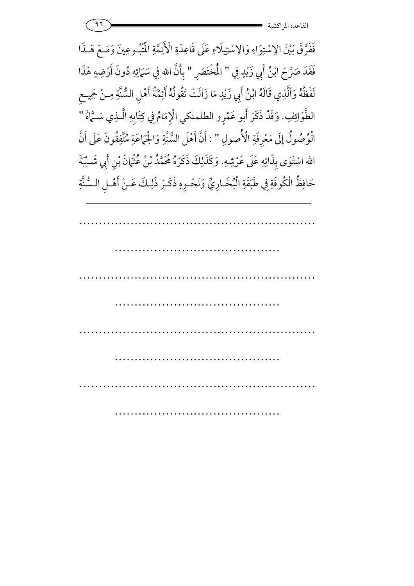فَفَرَّقَ بَيْنَ الِاسْتِوَاءِ وَالِاسْتِيلَاءِ عَلَى قَاعِدَةِ الْأَئِمَّةِ الْمُتْبُوعِينَ وَمَـعَ هَـذَا فَقَدَ صَرَّحَ ابْنُ أَبِي زَيْدٍ فِي " الْمُخْتَصَر " بأَنَّ الله فِي سَمَائِهِ دُونَ أَرْضِهِ هَذَا لَفْظُهُ وَاَلَّذِي قَالَهُ ابْنُ أَبِي زَيْدٍ مَا زَالَتْ تَقُولُهُ أَئِمَّةُ أَهْلِ السُّنَّةِ مِـنْ جَمِيـع الطَّوَائِفِ. وَقَدْ ذَكَرَ أَبو عَمْرِو الطلمنكي الْإِمَامُ فِي كِتَابِهِ الَّـٰذِي سَــَّاهُ " الْوُصُولُ إِلَى مَعْرِفَةِ الْأُصولِ " : أَنَّ أَهْلَ السُّنَّةِ وَالْجَهَاعَةِ مُتَّفِقُونَ عَلَى أَنَّ الله اسْتَوَى بِذَاتِهِ عَلَى عَرْشِهِ. وَكَذَلِكَ ذَكَرَهُ مُحَمَّدُ بْنُ عُثْمَانَ بْنِ أَبِي شَـيْبَةَ حَافِظُ الْكُوفَةِ فِي طَبَقَةِ الْبُخَـارِيِّ وَنَحْـوِهِ ذَكَـرَ ذَلِـكَ عَـنْ أَهْـلِ الـسُّنَّةِ

۹٦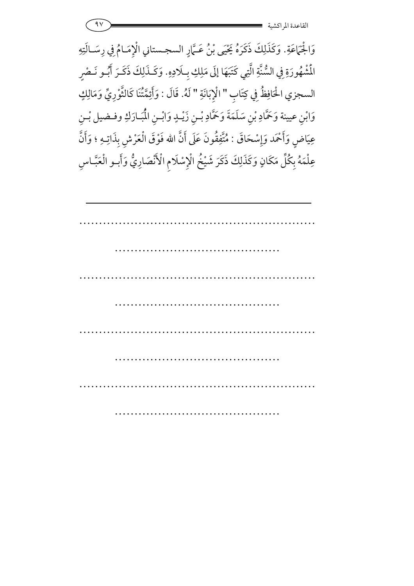| $\sim$ |                          |
|--------|--------------------------|
|        | ِ اکسیه<br>الصانعده المد |

وَالْجَمَاعَةِ. وَكَذَلِكَ ذَكَرَهُ يَحْيَى بْنُ عَـمَّارٍ السجـستاني الْإِمَـامُ فِي رِسَـالَتِهِ المُشْهُورَةِ فِي السُّنَّةِ الَّتِي كَتَبَهَا إِلَى مَلِكِ بِلَادِهِ نُشْهُورَةِ فِي السُّنَّةِ الَّتِي كَتَبَهَا إِلَى مَلِكِ بِلَادِهِ. وَكَـذَلِكَ ذَكَـرَ أَبُـو نَـصْرٍ السجزي الحُافِظُ فِي كِتَابِ " الْإِبَانَةِ " لَهُ. قَالَ : وَأَئِمَّتُنَا كَالثَّوْرِيِّ وَمَالِكٍ وَابْنِ عيينة وَحَمَّادِ بْنِ سَلَمَةَ وَحَمَّادِ بْـنِ زَيْـدٍ وَابْـنِ الْمُبَـارَكِ وفـضيل بْـنِ عِيَاضٍ وَأَحْمَد وَإِسْحَاقَ : مُتَّفِقُونَ عَلَى أَنَّ الله فَوْقَ الْعَرْشِ بِذَاتِـهِ ؛ وَأَنَّ <u>;</u> 7 عِلْمَهُ بِكُلِّ مَكَانٍ وَكَذَلِكَ ذَكَرَ شَيْخُ الْإِسْلَامِ الْأَنْصَارِيُّ وَأَبـو الْعَبَّـاسِ **م**<br>م .<br>د 7

| $\cdots$ |  |  |
|----------|--|--|
|          |  |  |
|          |  |  |
|          |  |  |
|          |  |  |
|          |  |  |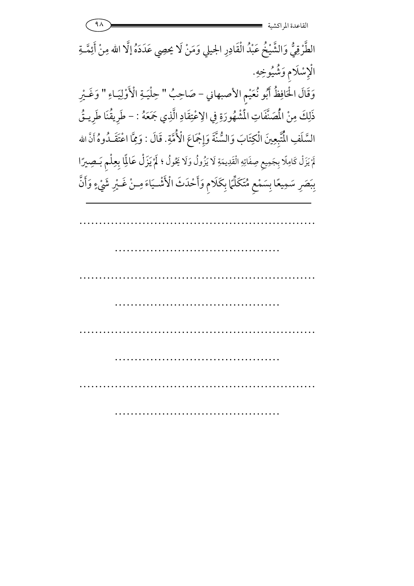$9<sub>A</sub>$ القاعدة المر اكشية الطَّرْقِيُّ وَالشَّيْخُ عَبْدُ الْقَادِرِ الجيلي وَمَنْ لَا يحصِي عَدَدَهُ إلَّا الله مِنْ أَئِمَّـةِ الْإِسْلَام وَشُيُوخِهِ. وَقَالَ الْحَافِظُ أَبُو نُعَيْمِ الأصبهاني - صَاحِبُ " حِلْيَـةِ الْأَوْلِيَـاءِ " وَغَـيْرِ ذَلِكَ مِنْ الْمُصَنَّفَاتِ الْمُشْهُورَةِ فِي الِاعْتِقَادِ الَّذِي جَمَعَهُ : – طَرِيقُنَا طَرِيتُى السَّلَفِ الْمُتَّبِعِينَ الْكِتَابَ وَالسُّنَّةَ وَإِجْمَاعَ الْأُمَّةِ. قَالَ : وَمِمَّا اعْتَقَـٰدُوهُ أَنَّ الله لَمْ يَزَلْ كَامِلًا بِجَمِيعٍ صِفَاتِهِ الْقَدِيمَةِ لَا يَزُولُ وَلَا يَحُولُ ؛ لَمْ يَزَلْ عَالِمًا بِعِلْم بَـصِيرًا بِبَصَرِ سَمِيعًا بِسَمْعِ مُتَكَلِّمًا بِكَلَامٍ وَأَحْدَثَ الْأَشْـيَاءَ مِـنْ غَـيْرِ شَيْءٍ وَأَنَّ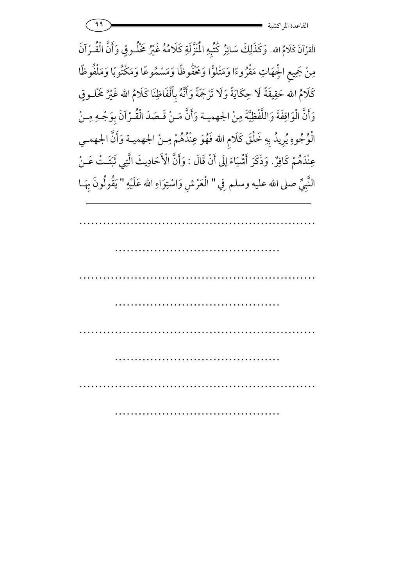19 - 2000 - 2000 - 2000 - 2000 - 2000 - 2000 - 2000 - 2000 - 2000 - 2000 - 2000 - 2000 - 2000 - 2000 - 2000 - <br>2000 - 2000 - 2000 - 2000 - 2000 - 2000 - 2000 - 2000 - 2000 - 2000 - 2000 - 2000 - 2000 - 2000 - 2000 - 2000 القاعدة المراكشي

الْقرْآنَ كَلَامُ الله. وَكَذَلِكَ سَائِرُ كُتُبِهِ الْمُنَزَّلَةِ كَلَامُهُ غَيْرُ خَلُـوقٍ وَأَنَّ الْقُـرْآنَ غَيْرُ مَخْلُــوقٍ مِنْ جَمِيعِ الْجِهَاتِ مَقْرُوءًا وَمَتْلَوًّا وَمَخْفُوظًا وَمَسْمُوعًا وَمَكْتُوبًا وَمَلْفُوظًا ;<br>C كَلَامُ الله حَقِيقَةً لَا حِكَايَةً وَلَا تَرْجَمَةً وَأَنَّهُ بِأَلْفَاظِنَا كَلَامُ الله غَيْرُ مَخْلـوقٍ Ĵ وَأَنَّ الْوَاقِفَةَ وَاللَّفْظِيَّةَ مِنْ الجهميـة وَأَنَّ مَـنْ قَـصَدَ الْقُـرْآنَ بِوَجْـهِ مِـنْ الْوُجُوهِ يُرِيدُ بِهِ خَلْقَ كَلَامِ الله فَهُوَ عِنْدُهُمْ مِـنْ الجهميـة وَأَنَّ الجهمـي عِنْدَهُمْ كَافِرٌٌ. وَذَكَرَ أَشْيَاءَ إِلَى أَنْ قَالَ : وَأَنَّ الْأَحَادِي وَأَنَّ الْأَحَادِيثَ الَّتِي ثَبَّـَتْ عَـنْ النَّبِيِّ صلى الله عليه وسلم فِي " الْعَرْشِ وَاسْتِوَاءِ الله عَلَيْهِ " يَقُولُونَ بِهَـا : 6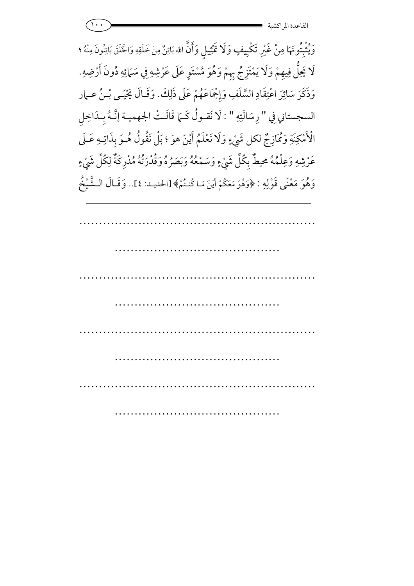|  | $\bullet\bullet$<br>اكشية<br>القاعده المو |
|--|-------------------------------------------|
|  |                                           |

وَيُثْبِتُونَهَا مِنْ غَيْرِ تَكْيِيفٍ وَلَا تَمْثِيلٍ وَأَنَّ الله بَائِنٌ مِنْ خَلْقِهِ وَالْخَلْقَ بَائِنُونَ مِنْهُ ؛ لَا يَحِلُّ فِيهِمْ وَلَا يَمْتَزِجُ بِهِمْ وَهُوَ مُسْتَوٍ عَلَى عَرْشِهِ فِي سَمَائِهِ دُونَ أَرْضِهِ مْ وَلَا يَمْتَزِجْ بِهِمْ وَهُوَ مُسْتَوٍ عَلَى عَرْشِهِ فِي سَمَائِهِ دُونَ أَرْضِهِ. وَذَكَرَ سَائِرَ اعْتِقَادِ السَّلَفِ وَإِجْمَاعَهُمْ عَلَى ذَلِكَ. وَقَـالَ يَحْيَـى بْـنُ عـهار السجستاني فِي " رِسَالَتِهِ " : لَا نَقـولُ كَـمَا قَالَـتْ الجهميـة إنَّـهُ بِـدَاخِلِ الْأَمْكِنَةِ وَكُمَازِجٌ لكل شَيْءٍ وَلَا نَعْلَمُ أَيْنَ هوَ ؛ بَلْ نَقُولُ هُـوَ بِذَاتِـهِ عَـلَى 7 عَرْشِهِ وَعِلْمُهُ محيطٌ بِكُلِّ شَيْءٍ وَسَمْعُهُ وَبَصَرُهُ وَقُدْرَتُهُ مُدْرِكَةٌ لِكُلِّ شَيْءٍ  $\int$ وَهُوَ مَعْنَى قَوْلِهِ : ﴿وَهُوَ مَعَكُمْ أَيْنَ مَا كُنتُمْ﴾ [الحديد: ٤].. وَقَـالَ الـشَّيْخُ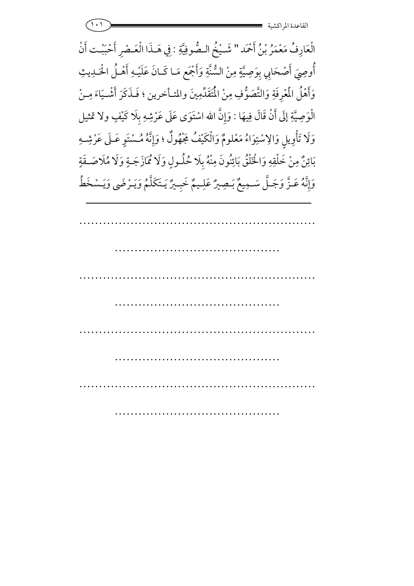$\left( \cdot\right)$ القاعدة المر اكشية

الْعَارِفُ مَعْمَرُ بْنُ أَحْمَد " شَيْخُ الـصُّوفِيَّةِ : فِي هَـذَا الْعَـصْرِ أَحْبَبْت أَنْ أُوصِيَ أَصْحَابِي بِوَصِيَّةٍ مِنْ السُّنَّةِ وَأَجْمَعٍ مَـا كَـانَ عَلَيْـهِ أَهْـلُ الْحَـٰلِيثِ وَأَهْلُ الْمُعْرِفَةِ وَالتَّصَوُّفِ مِنْ الْمُتَقَدِّمِينَ والمتـأخرين ؛ فَـذَكَرَ أَشْـيَاءَ مِـنْ الْوَصِيَّةِ إِلَى أَنْ قَالَ فِيهَا : وَإِنَّ الله اسْتَوَى عَلَى عَرْشِهِ بِلَا كَيْفٍ ولا تمثيل وَلَا تَأْوِيلِ وَالِاسْتِوَاءُ مَعْلومٌ وَالْكَيْفُ مَجْهُولٌ ؛ وَإِنَّهُ مُسْتَوِ عَـلَى عَرْشِـهِ بَائِنٌ مِنْ خَلْقِهِ وَالْخَلْقُ بَائِنُونَ مِنْهُ بِلَا حُلُولٍ وَلَا مُمَازَجَةٍ وَلَا مُلَاصَـقَةٍ وَإِنَّهُ عَـزَّ وَجَـلَّ سَـمِيعٌ بَـصِيرٌ عَلِـيمٌ خَبِـيرٌ يَـتَكَلَّمُ وَيَـرْضَى وَيَـسْخَطُ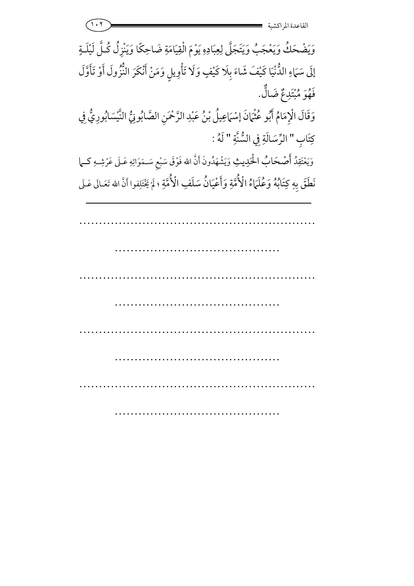1.1 = 2 القاعدة المراكشي

…………………………………………………… وَيَضْحَكُ وَيَعْجَبُ وَيَتَجَلَّ لِعِبَادِهِ يَوْمَ الْقِيَامَةِ ضَاحِكًا وَيَنْزِلُ كُلَّ لَيْلَـةٍ إِلَى سَمَاءِ الذُّنْيَا كَيْفَ شَاءَ بِلَا كَيْفٍ وَلَا تَأْوِيلٍ وَمَنْ أَنْكَرَ النُّزُولَ أَوْ تَأَوَّلَ فَهْوَ مُبْتَدِعٌ ضَالٌّ. وَقَالَ الْإِمَامُ أَبُو عُثْمَانَ إسْهَاعِيلُ بْنُ عَبْدِ الرَّحْمَنِ الصَّابُونِيُّ النَّيْسَابُورِيُّ فِي كِتَابِ " الرِّسَالَةِ فِي السُّنَّةِ " لَهُ : وَيَعْتَقِدُ أَصْحَابُ الْحَكِيثِ وَيَشْهَدُونَ أَنَّ الله فَوْقَ سَبْعِ سَـمَوَاتِهِ عَـلَى عَرْشِـهِ كـما **J** نَطَقَ بِهِ كِتَابُهُ وَعُلَمَاءُ الْأُمَّةِ وَأَعْيَانُ سَلَفِ الْأُمَّةِ ؛ لَمْ يَخْتَلِفوا أَنَّ الله تَعَـالَى عَـلَى 7

…………………………………………………………… …………………………………………………… …………………………………………………………… ……………………………………………………

……………………………………

…………

………………………………………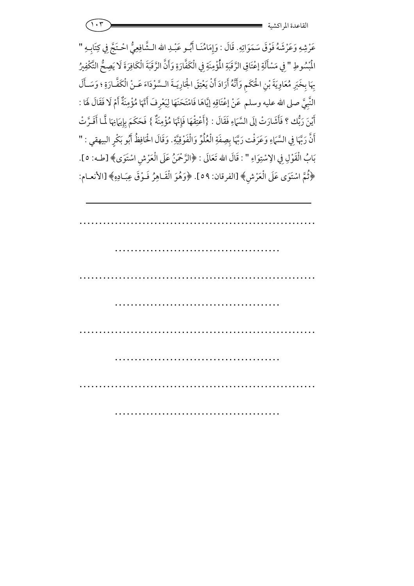عَرْشِهِ وَعَرْشَهُ فَوْقَ سَمَوَاتِهِ. قَالَ : وَإِمَامُنَـا أَبُّـو عَبْـدِ الله الـشَّافِعِيُّ احْـتَجَّ فِي كِتَابِـهِ " الْمُسُوطِ " فِي مَسْأَلَةِ إعْتَاقِ الرَّقَبَةِ الْمُؤْمِنَةِ فِي الْكَفَّارَةِ وَأَنَّ الرَّقَبَةَ الْكَافِرَةَ لَا يَصِحُّ التَّكْفِيرُ بِهَا بِخَبَرِ مُعَاوِيَةَ بْنِ الْحَكَمِ وَأَنَّهُ أَرَادَ أَنْ يَعْتِقَ الْجَارِيَـةَ الـسَّوْدَاءَ عَـنْ الْكَفَّـارَةِ ؛ وَسَـأَلَ النَّبِيَّ صلى الله عليه وسلم عَنْ إعْتَاقِهِ إيَّاهَا فَامْتَحَنَهَا لِيَعْرِفَ أَنَّهَا مُؤْمِنَةٌ أَمْ لَا فَقَالَ لَهَا <u>م</u><br>م تَحَنَهَا لِيَعْرِفَ أَنَّهَا مُؤْمِنَةٌ أَمْ لَا فَقَالَ لَهَا : أَيْنَ رَبُّك ؟ فَأَشَارَتْ إِلَى السَّمَاءِ فَقَالَ يْنَ رَبُّك ؟ فَأَشَارَتْ إِلَى السَّمَاءِ فَقَالَ : {أَعْتِقْهَا فَإِنَّهَا مُؤْمِنَةٌ } فَحَكَمَ بِإِيهَانِهَا لَمَّا أَقَـرَّتْ حَكَمَ بِإِيَمَاذِ أَنَّ رَبَّهَا فِي السَّمَاءِ وَعَرَفْت رَبَّهَا بِصِفَةِ الْعُلُوِّ وَالْفَوْقِيَّةِ. وَقَالَ الْحَافِظُ أَبُو بَكْرٍ البيهقي : " بَابُ الْقَوْلِ فِي الِاسْتِوَاءِ " : قَالَ الله تَعَالَى : ﴿الرَّحْمَنُ عَلَى الْعَرْشِ اسْتَوَى﴾ [طـه: ٥]. ﴿ثُمَّ اسْتَوَى عَلَى الْعَرْشِ﴾ [الفرقان: ٥٩]. ﴿وَهُوَ الْقَـاهِرُ فَـوْقَ عِبَـادِهِ﴾ [الأنعـام: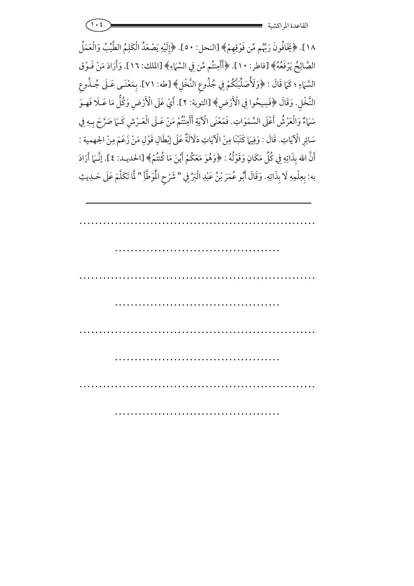1.  $\epsilon$  ) =  $\epsilon$  =  $\epsilon$  =  $\epsilon$  =  $\epsilon$  =  $\epsilon$  =  $\epsilon$  =  $\epsilon$  =  $\epsilon$  =  $\epsilon$  =  $\epsilon$  =  $\epsilon$  =  $\epsilon$  =  $\epsilon$  =  $\epsilon$  =  $\epsilon$  =  $\epsilon$  =  $\epsilon$  =  $\epsilon$  =  $\epsilon$  =  $\epsilon$  =  $\epsilon$  =  $\epsilon$  =  $\epsilon$  =  $\epsilon$  =  $\epsilon$  =  $\epsilon$  =  $\epsilon$  =  $\epsilon$  =  $\epsilon$  =  $\epsilon$  = القاعدة المراكشي

١٨]. ﴿يَخَافُونَ رَبَّهُم مِّن فَوْقِهِمْ﴾ [النحل: ٥٠]. ﴿إِلَيْهِ يَصْعَدُ الْكَلِمُ الطَّيِّبُ وَالْعَمَلُ 7 الصَّالِحُ يَرْفَعُهُ﴾ [فاطر: ١٠]. ﴿أَأَمِنتُم مَّن فِي السَّمَاءِ ; أَأَمِنتُم مَّن فِي السَّمَاءِ﴾ [الملك: ١٦]. وَأَرَادَ مَنْ فَـوْق السَّمَاءِ ؛ كَمَا قَالَ : ﴿وَلَأُصَلِّبَنَّكُمْ فِي جُذُوعِ النَّخْلِ﴾ [طه: ٧١]. بِمَعْنَـى عَـلَى جُـذُوعِ النَّخْلِ. وَقَالَ ﴿فَسِيحُوا فِي الْأَرْضِ﴾ [التوبة: ٢]. أَيْ عَلَى الْأَرْضِ وَكُلُّ مَا عَـلَا فَهـوَ <u>بر</u><br>م 7 سَمَاءٌ وَالْعَرْشُ أَعْلَى السَّمَوَاتِ. فَمَعْنَى الْآيَةِ أَأَمِنْتُمْ مَنْ عَـلَى الْعَـرْشِ كَـمَا صَرَّحَ بِـهِ فِي سَائِرِ الْآيَاتِ. قَالَ : وَفِيهَا كَتَبْنَا مِنْ الْآيَاتِ دَلَالَةٌ عَلَى إِبْطَالِ قَوْلِ مَنْ زَعَمَ مِنْ الجهمية : 7 أَنَّ الله بِذَاتِهِ فِي كُلِّ مَكَانٍ وَقَوْلُهُ : ﴿وَهُوَ مَعَكُمْ أَيْنَ مَا كُنتُمْ﴾ [الحديـد: ٤]. إنَّـهَا أَرَادَ به: بِعِلْمِهِ لَا بِذَاتِهِ. وَقَالَ أَبُو عُمَرَ بْنُ عَبْدِ الْبَرِّ فِي " شَرْحِ الْمَوَطَّأِ " لَمَا تَكَلَّمَ عَلَى حَـدِيثِ 7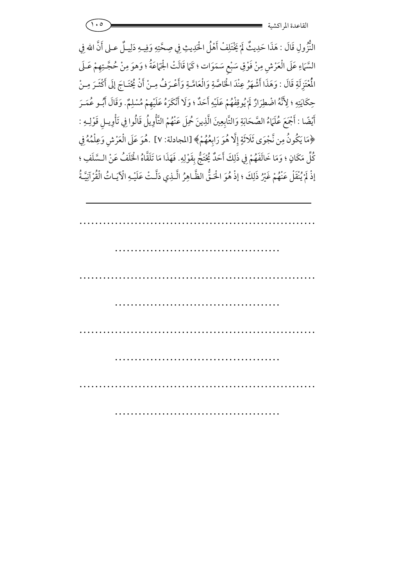النُّزُولِ قَالَ : هَذَا حَدِيثٌ لَمْ يَخْتَلِفْ أَهْلُ الْحَدِيثِ فِي صِحَّتِهِ وَفِيـهِ دَلِيـلٌ عـلى أَنَّ الله فِي 7 السَّمَاءِ عَلَى الْعَرْشِ مِنْ فَوْقِ سَبْعِ سَمَوَات ؛ كَمَا قَالَتْ الْجَمَاعَةُ ؛ وَهوَ مِنْ حُجَّـتِهِمْ عَـلَى الْمُتَزِلَةِ قَالَ : وَهَذَا أَشْهَرُ عِنْدَ الْخَاصَّةِ وَالْعَامَّـةِ وَأَعْـرَفُ مِـنْ أَنْ يُخْتَـاجَ إِلَى أَكْثَـرَ مِـنْ تَـاجَ إِلَى أَكْثَـرَ حِكَايَتِهِ ؛ لِأَنَّهُ اضْطِرَارٌ لَمْ يُوقِفْهُمْ عَلَيْهِ أَحَدٌّ ؛ وَلَا أَنْكَرَهُ عَلَيْهِمْ مُسْلِمٌ. وَقَالَ أَبُّـو عُمَـرَ ;<br>A 7 أَيْضًا : أَجْمَعَ عُلَمَاءُ الصَّحَابَةِ وَالتَّابِعِينَ الَّذِينَ حُمِلَ عَنْهُمْ التَّأْوِيلُ قَالُوا فِي تَأْوِيلِ قَوْلِـهِ : ﴿مَا يَكُونُ مِن نَّجْوَى ثَلاثَةٍ إِلَّا هُوَ رَابِعُهُمْ﴾ [المجادلة: ٧] .هُوَ عَلَى الْعَرْشِ وَعِلْمُهُ فِي كُلِّ مَكَانٍ ؛ وَمَا خَالَفَهُمْ فِي ذَلِكَ أَحَدٌ يُحْتَجُّ بِقَوْلِهِ. فَهَذَا مَا تَلَقَّاهُ الْخَلَفُ عَنْ الـسَّلَفِ ؛ إِذْ لَمْ يُنْقَلْ عَنْهُمْ غَيْرُ ذَلِكَ ؛ إِذْ هُوَ الْحَـقُّ الظَّـاهِرُ الَّـذِي دَلَّـتْ عَلَيْـهِ الْآيَـاتُ الْقُرْآنِيَّةُ